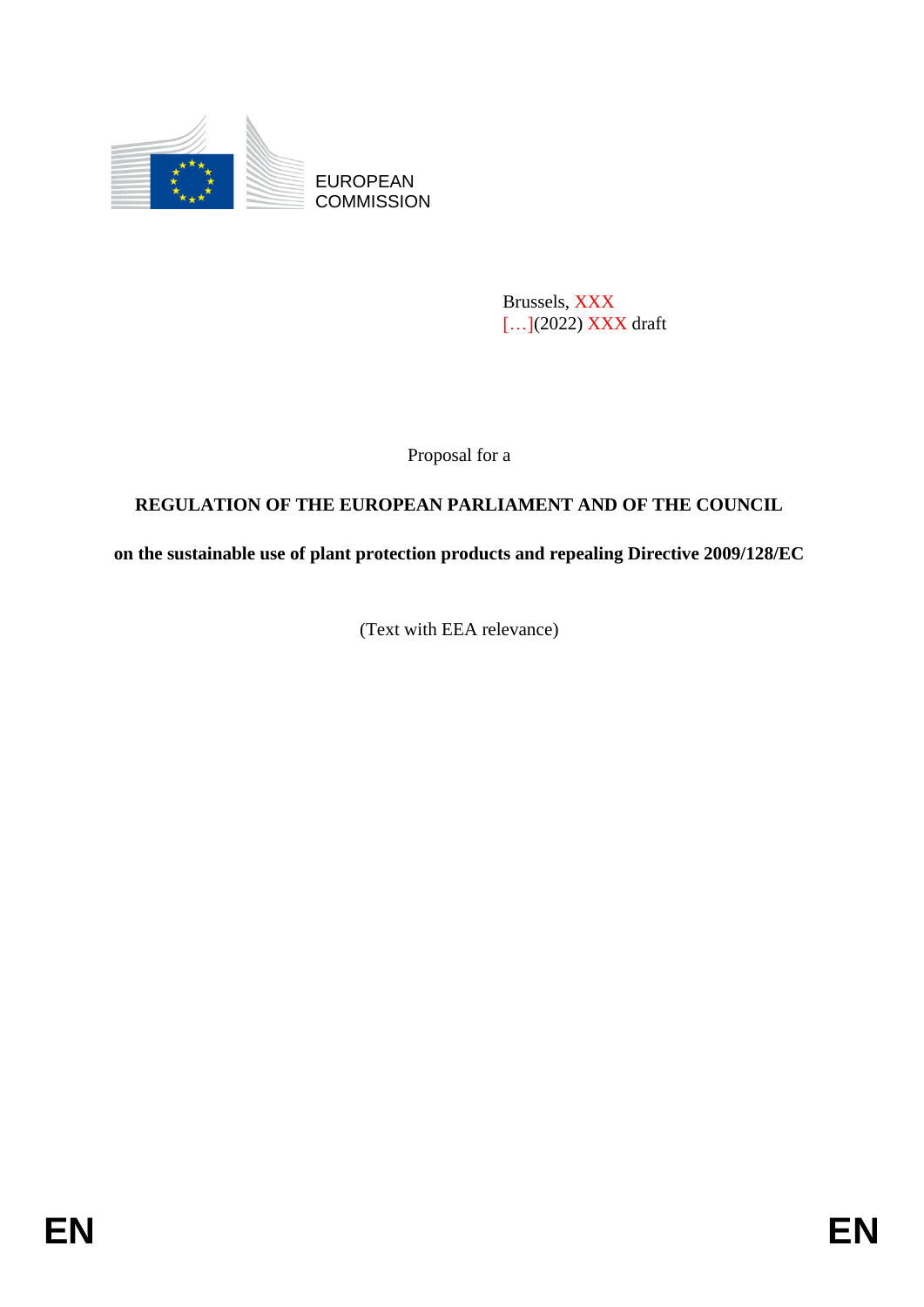

EUROPEAN **COMMISSION** 

> Brussels, XXX [...](2022) XXX draft

Proposal for a

# **REGULATION OF THE EUROPEAN PARLIAMENT AND OF THE COUNCIL**

**on the sustainable use of plant protection products and repealing Directive 2009/128/EC**

(Text with EEA relevance)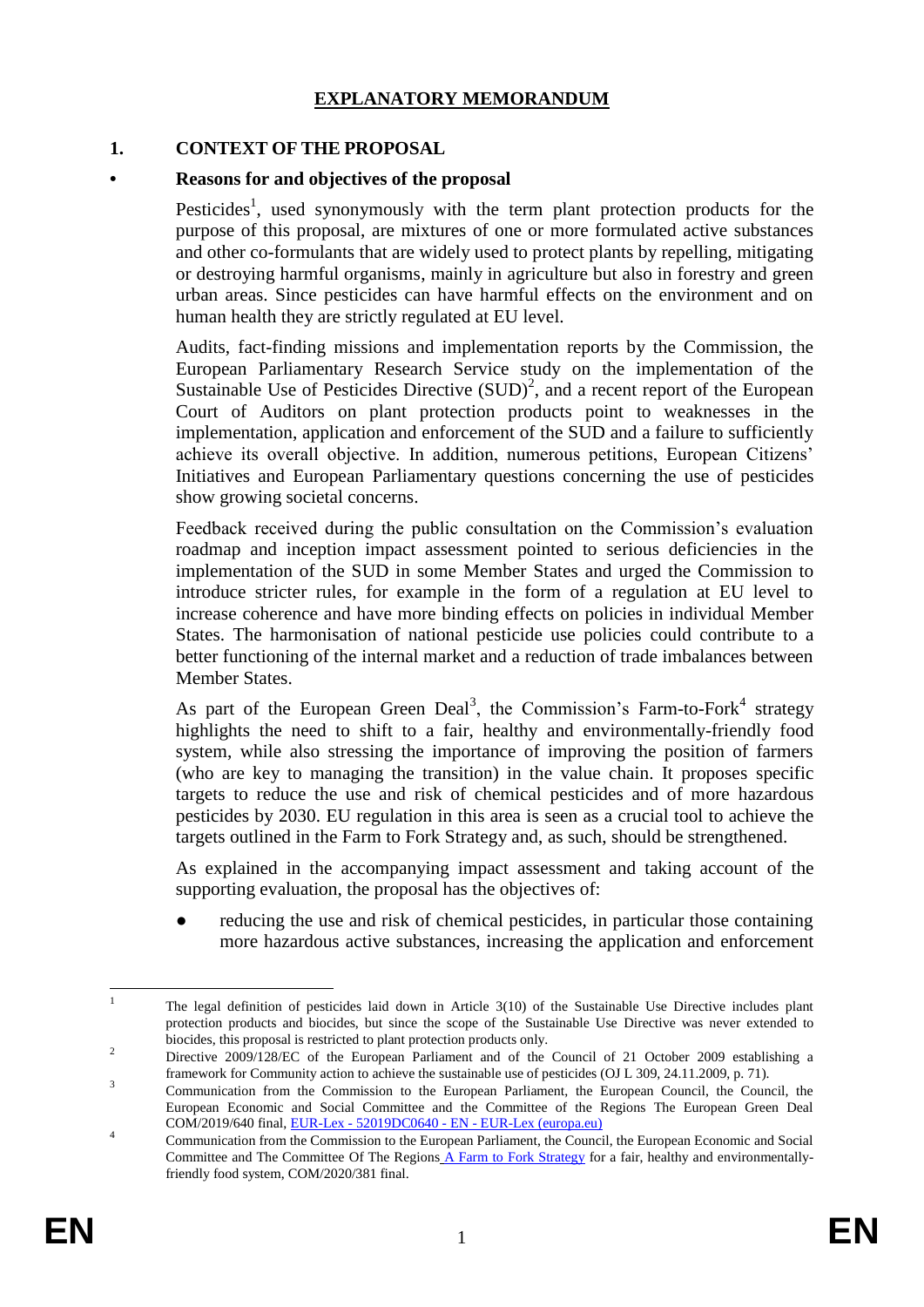### **EXPLANATORY MEMORANDUM**

#### **1. CONTEXT OF THE PROPOSAL**

#### **• Reasons for and objectives of the proposal**

Pesticides<sup>1</sup>, used synonymously with the term plant protection products for the purpose of this proposal, are mixtures of one or more formulated active substances and other co-formulants that are widely used to protect plants by repelling, mitigating or destroying harmful organisms, mainly in agriculture but also in forestry and green urban areas. Since pesticides can have harmful effects on the environment and on human health they are strictly regulated at EU level.

Audits, fact-finding missions and implementation reports by the Commission, the European Parliamentary Research Service study on the implementation of the Sustainable Use of Pesticides Directive  $(SUD)^2$ , and a recent report of the European Court of Auditors on plant protection products point to weaknesses in the implementation, application and enforcement of the SUD and a failure to sufficiently achieve its overall objective. In addition, numerous petitions, European Citizens' Initiatives and European Parliamentary questions concerning the use of pesticides show growing societal concerns.

Feedback received during the public consultation on the Commission's evaluation roadmap and inception impact assessment pointed to serious deficiencies in the implementation of the SUD in some Member States and urged the Commission to introduce stricter rules, for example in the form of a regulation at EU level to increase coherence and have more binding effects on policies in individual Member States. The harmonisation of national pesticide use policies could contribute to a better functioning of the internal market and a reduction of trade imbalances between Member States.

As part of the European Green Deal<sup>3</sup>, the Commission's Farm-to-Fork<sup>4</sup> strategy highlights the need to shift to a fair, healthy and environmentally-friendly food system, while also stressing the importance of improving the position of farmers (who are key to managing the transition) in the value chain. It proposes specific targets to reduce the use and risk of chemical pesticides and of more hazardous pesticides by 2030. EU regulation in this area is seen as a crucial tool to achieve the targets outlined in the Farm to Fork Strategy and, as such, should be strengthened.

As explained in the accompanying impact assessment and taking account of the supporting evaluation, the proposal has the objectives of:

reducing the use and risk of chemical pesticides, in particular those containing more hazardous active substances, increasing the application and enforcement

 $\frac{1}{1}$ The legal definition of pesticides laid down in Article 3(10) of the Sustainable Use Directive includes plant protection products and biocides, but since the scope of the Sustainable Use Directive was never extended to biocides, this proposal is restricted to plant protection products only.

<sup>&</sup>lt;sup>2</sup> Directive 2009/128/EC of the European Parliament and of the Council of 21 October 2009 establishing a framework for Community action to achieve the sustainable use of pesticides (OJ L 309, 24.11.2009, p. 71).

<sup>3</sup> Communication from the Commission to the European Parliament, the European Council, the Council, the European Economic and Social Committee and the Committee of the Regions The European Green Deal COM/2019/640 final, EUR-Lex - 52019DC0640 - EN - EUR-Lex (europa.eu)

<sup>4</sup> Communication from the Commission to the European Parliament, the Council, the European Economic and Social Committee and The Committee Of The Regions A Farm to Fork Strategy for a fair, healthy and environmentallyfriendly food system, COM/2020/381 final.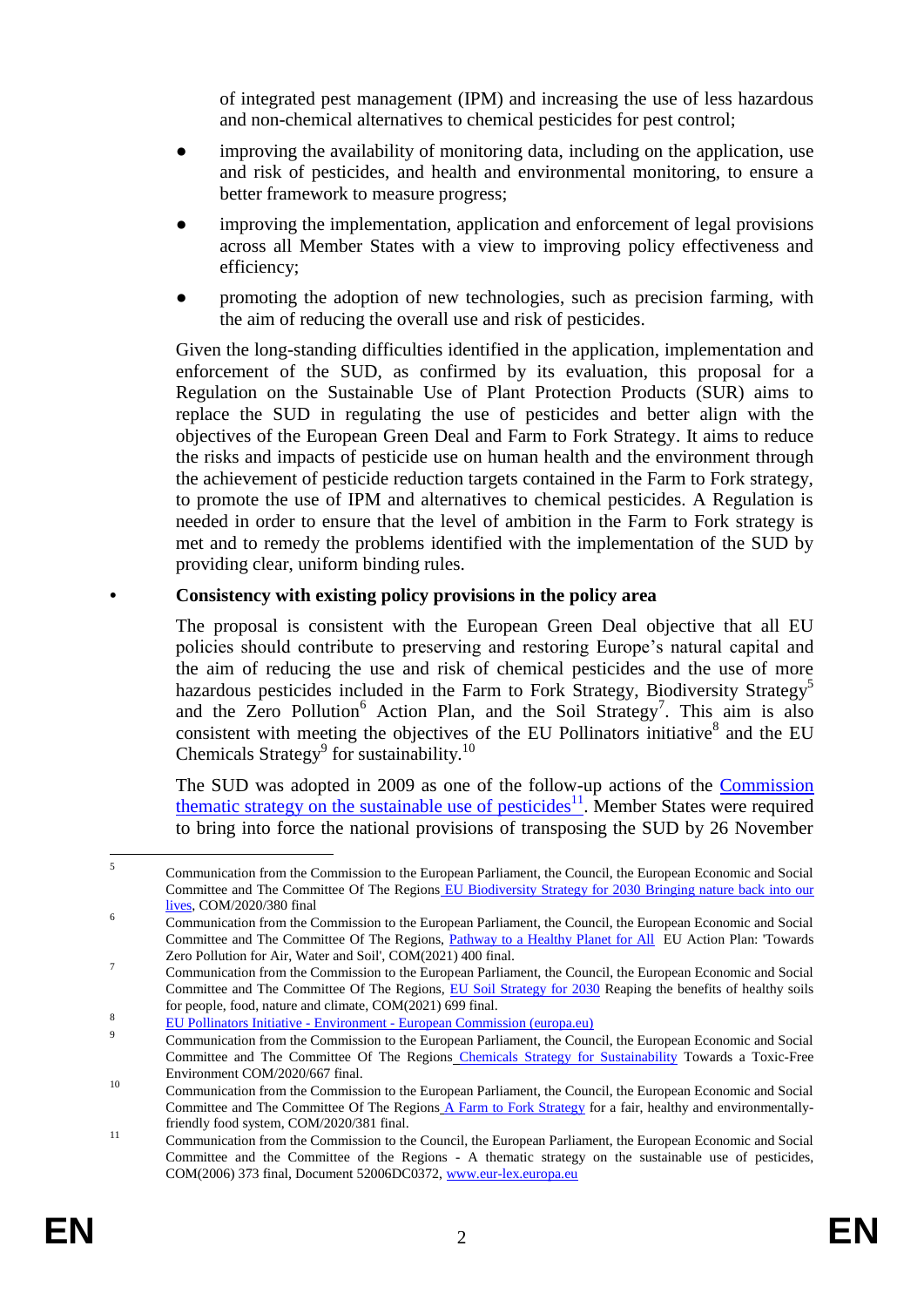of integrated pest management (IPM) and increasing the use of less hazardous and non-chemical alternatives to chemical pesticides for pest control;

- improving the availability of monitoring data, including on the application, use and risk of pesticides, and health and environmental monitoring, to ensure a better framework to measure progress;
- improving the implementation, application and enforcement of legal provisions across all Member States with a view to improving policy effectiveness and efficiency;
- promoting the adoption of new technologies, such as precision farming, with the aim of reducing the overall use and risk of pesticides.

Given the long-standing difficulties identified in the application, implementation and enforcement of the SUD, as confirmed by its evaluation, this proposal for a Regulation on the Sustainable Use of Plant Protection Products (SUR) aims to replace the SUD in regulating the use of pesticides and better align with the objectives of the European Green Deal and Farm to Fork Strategy. It aims to reduce the risks and impacts of pesticide use on human health and the environment through the achievement of pesticide reduction targets contained in the Farm to Fork strategy, to promote the use of IPM and alternatives to chemical pesticides. A Regulation is needed in order to ensure that the level of ambition in the Farm to Fork strategy is met and to remedy the problems identified with the implementation of the SUD by providing clear, uniform binding rules.

### **• Consistency with existing policy provisions in the policy area**

The proposal is consistent with the European Green Deal objective that all EU policies should contribute to preserving and restoring Europe's natural capital and the aim of reducing the use and risk of chemical pesticides and the use of more hazardous pesticides included in the Farm to Fork Strategy, Biodiversity Strategy<sup>5</sup> and the Zero Pollution<sup>6</sup> Action Plan, and the Soil Strategy<sup>7</sup>. This aim is also consistent with meeting the objectives of the EU Pollinators initiative $8$  and the EU Chemicals Strategy<sup>9</sup> for sustainability.<sup>10</sup>

The SUD was adopted in 2009 as one of the follow-up actions of the Commission thematic strategy on the sustainable use of pesticides<sup>11</sup>. Member States were required to bring into force the national provisions of transposing the SUD by 26 November

 $\frac{1}{5}$ Communication from the Commission to the European Parliament, the Council, the European Economic and Social Committee and The Committee Of The Regions EU Biodiversity Strategy for 2030 Bringing nature back into our lives, COM/2020/380 final

<sup>6</sup> Communication from the Commission to the European Parliament, the Council, the European Economic and Social Committee and The Committee Of The Regions, Pathway to a Healthy Planet for All EU Action Plan: 'Towards Zero Pollution for Air, Water and Soil', COM(2021) 400 final.

<sup>7</sup> Communication from the Commission to the European Parliament, the Council, the European Economic and Social Committee and The Committee Of The Regions, EU Soil Strategy for 2030 Reaping the benefits of healthy soils for people, food, nature and climate, COM(2021) 699 final.  $\mathbf{Q}$ 

EU Pollinators Initiative - Environment - European Commission (europa.eu)

<sup>9</sup> Communication from the Commission to the European Parliament, the Council, the European Economic and Social Committee and The Committee Of The Regions Chemicals Strategy for Sustainability Towards a Toxic-Free Environment COM/2020/667 final.

<sup>&</sup>lt;sup>10</sup> Communication from the Commission to the European Parliament, the Council, the European Economic and Social Committee and The Committee Of The Regions A Farm to Fork Strategy for a fair, healthy and environmentallyfriendly food system, COM/2020/381 final.

<sup>11</sup> Communication from the Commission to the Council, the European Parliament, the European Economic and Social Committee and the Committee of the Regions - A thematic strategy on the sustainable use of pesticides, COM(2006) 373 final, Document 52006DC0372, www.eur-lex.europa.eu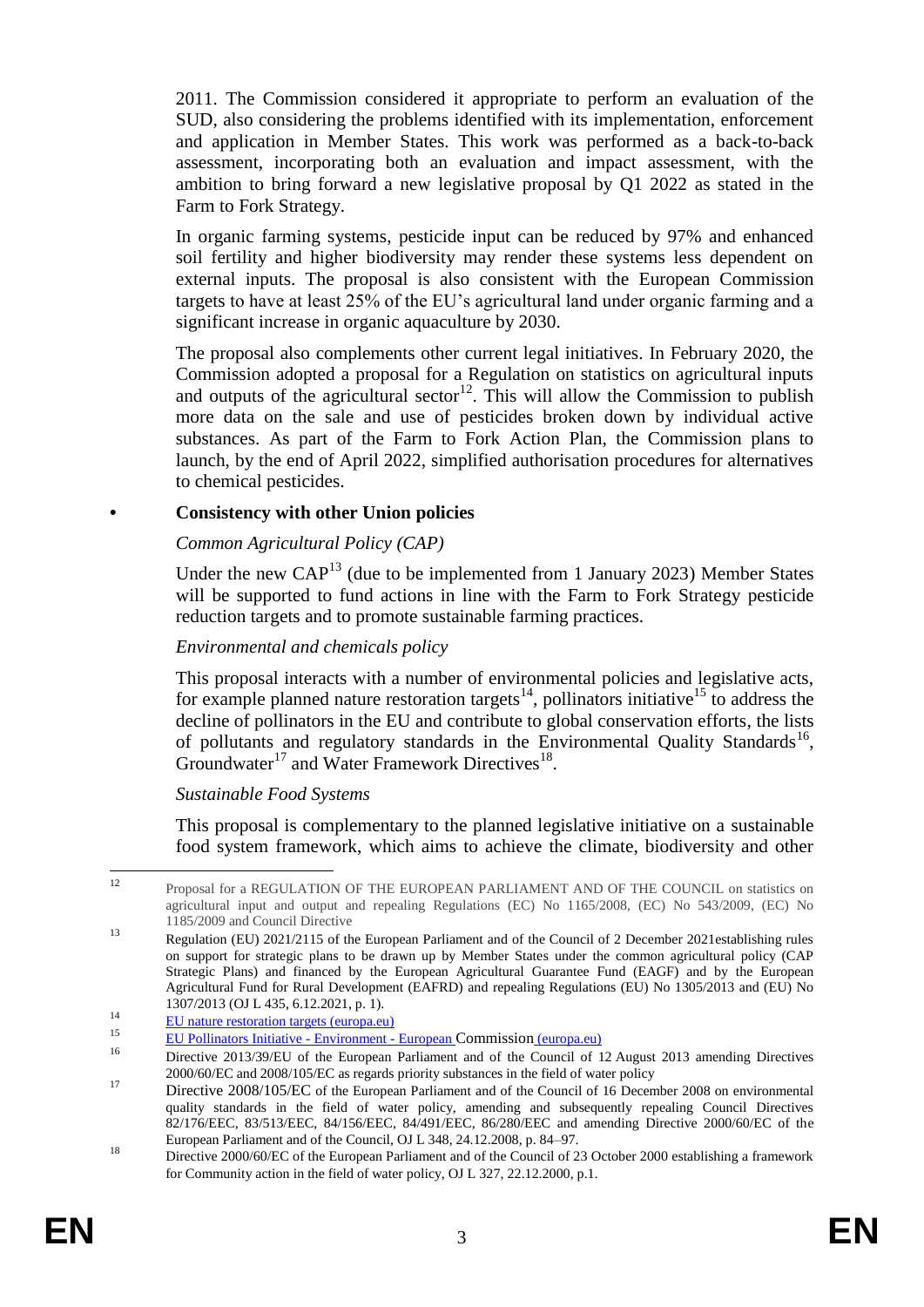2011. The Commission considered it appropriate to perform an evaluation of the SUD, also considering the problems identified with its implementation, enforcement and application in Member States. This work was performed as a back-to-back assessment, incorporating both an evaluation and impact assessment, with the ambition to bring forward a new legislative proposal by Q1 2022 as stated in the Farm to Fork Strategy.

In organic farming systems, pesticide input can be reduced by 97% and enhanced soil fertility and higher biodiversity may render these systems less dependent on external inputs. The proposal is also consistent with the European Commission targets to have at least 25% of the EU's agricultural land under organic farming and a significant increase in organic aquaculture by 2030.

The proposal also complements other current legal initiatives. In February 2020, the Commission adopted a proposal for a Regulation on statistics on agricultural inputs and outputs of the agricultural sector<sup>12</sup>. This will allow the Commission to publish more data on the sale and use of pesticides broken down by individual active substances. As part of the Farm to Fork Action Plan, the Commission plans to launch, by the end of April 2022, simplified authorisation procedures for alternatives to chemical pesticides.

### **• Consistency with other Union policies**

### *Common Agricultural Policy (CAP)*

Under the new  $CAP<sup>13</sup>$  (due to be implemented from 1 January 2023) Member States will be supported to fund actions in line with the Farm to Fork Strategy pesticide reduction targets and to promote sustainable farming practices.

### *Environmental and chemicals policy*

This proposal interacts with a number of environmental policies and legislative acts, for example planned nature restoration targets<sup>14</sup>, pollinators initiative<sup>15</sup> to address the decline of pollinators in the EU and contribute to global conservation efforts, the lists of pollutants and regulatory standards in the Environmental Quality Standards<sup>16</sup>, Groundwater<sup>17</sup> and Water Framework Directives<sup>18</sup>.

#### *Sustainable Food Systems*

This proposal is complementary to the planned legislative initiative on a sustainable food system framework, which aims to achieve the climate, biodiversity and other

 $12$ <sup>12</sup> Proposal for a REGULATION OF THE EUROPEAN PARLIAMENT AND OF THE COUNCIL on statistics on agricultural input and output and repealing Regulations (EC) No 1165/2008, (EC) No 543/2009, (EC) No 1185/2009 and Council Directive

<sup>&</sup>lt;sup>13</sup> Regulation (EU) 2021/2115 of the European Parliament and of the Council of 2 December 2021 establishing rules on support for strategic plans to be drawn up by Member States under the common agricultural policy (CAP Strategic Plans) and financed by the European Agricultural Guarantee Fund (EAGF) and by the European Agricultural Fund for Rural Development (EAFRD) and repealing Regulations (EU) No 1305/2013 and (EU) No 1307/2013 (OJ L 435, 6.12.2021, p. 1).

<sup>14</sup> EU nature restoration targets (europa.eu)<br> $\frac{14}{\text{E1}}$  atture restoration targets (europa.eu)

<sup>&</sup>lt;sup>15</sup> EU Pollinators Initiative - Environment - European Commission (europa.eu)

Directive 2013/39/EU of the European Parliament and of the Council of 12 August 2013 amending Directives 2000/60/EC and 2008/105/EC as regards priority substances in the field of water policy

<sup>&</sup>lt;sup>17</sup> Directive 2008/105/EC of the European Parliament and of the Council of 16 December 2008 on environmental quality standards in the field of water policy, amending and subsequently repealing Council Directives 82/176/EEC, 83/513/EEC, 84/156/EEC, 84/491/EEC, 86/280/EEC and amending Directive 2000/60/EC of the European Parliament and of the Council, OJ L 348, 24.12.2008, p. 84–97.

<sup>18</sup> Directive 2000/60/EC of the European Parliament and of the Council of 23 October 2000 establishing a framework for Community action in the field of water policy, OJ L 327, 22.12.2000, p.1.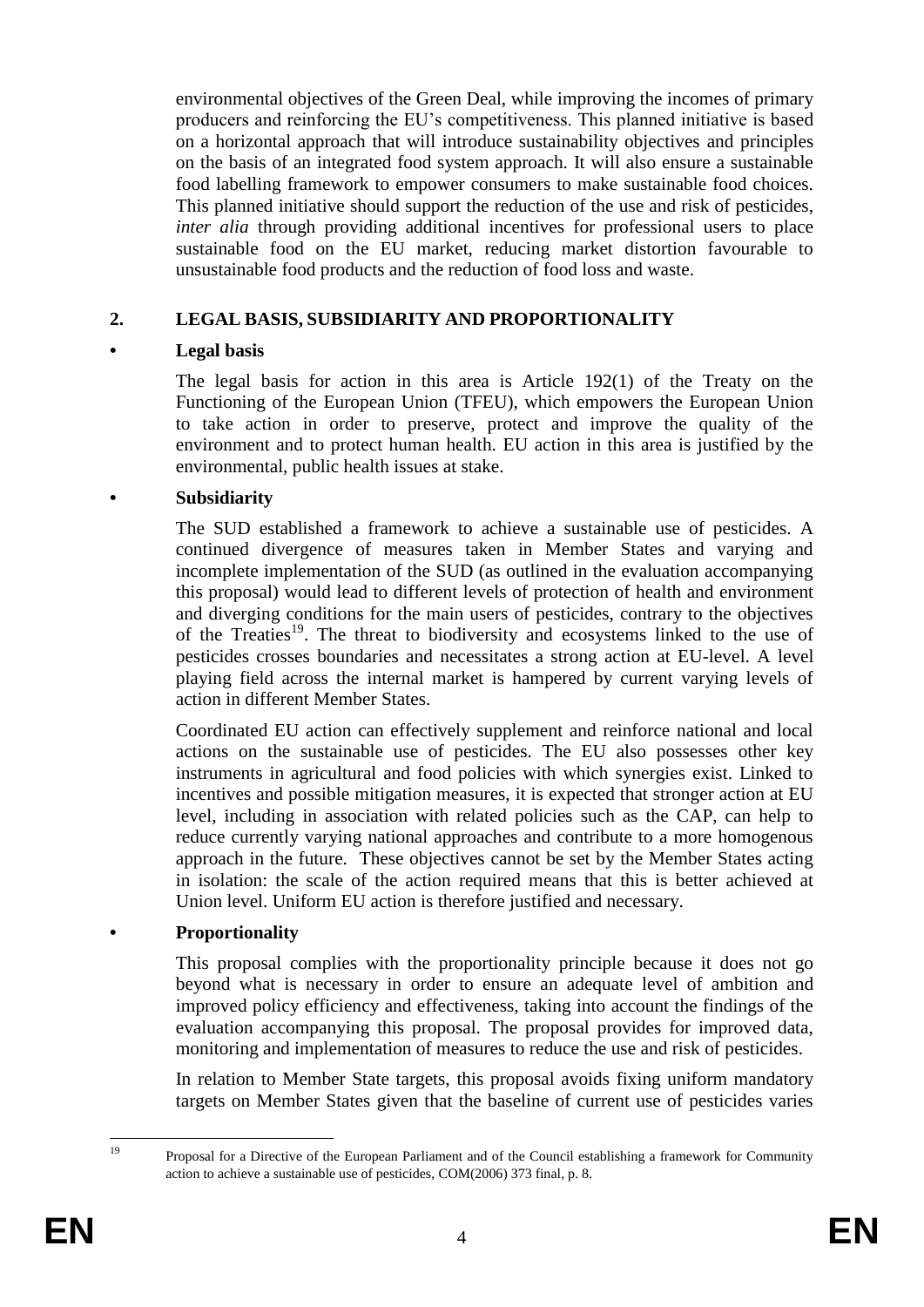environmental objectives of the Green Deal, while improving the incomes of primary producers and reinforcing the EU's competitiveness. This planned initiative is based on a horizontal approach that will introduce sustainability objectives and principles on the basis of an integrated food system approach. It will also ensure a sustainable food labelling framework to empower consumers to make sustainable food choices. This planned initiative should support the reduction of the use and risk of pesticides, *inter alia* through providing additional incentives for professional users to place sustainable food on the EU market, reducing market distortion favourable to unsustainable food products and the reduction of food loss and waste.

### **2. LEGAL BASIS, SUBSIDIARITY AND PROPORTIONALITY**

#### **• Legal basis**

The legal basis for action in this area is Article 192(1) of the Treaty on the Functioning of the European Union (TFEU), which empowers the European Union to take action in order to preserve, protect and improve the quality of the environment and to protect human health. EU action in this area is justified by the environmental, public health issues at stake.

#### **• Subsidiarity**

The SUD established a framework to achieve a sustainable use of pesticides. A continued divergence of measures taken in Member States and varying and incomplete implementation of the SUD (as outlined in the evaluation accompanying this proposal) would lead to different levels of protection of health and environment and diverging conditions for the main users of pesticides, contrary to the objectives of the Treaties<sup>19</sup>. The threat to biodiversity and ecosystems linked to the use of pesticides crosses boundaries and necessitates a strong action at EU-level. A level playing field across the internal market is hampered by current varying levels of action in different Member States.

Coordinated EU action can effectively supplement and reinforce national and local actions on the sustainable use of pesticides. The EU also possesses other key instruments in agricultural and food policies with which synergies exist. Linked to incentives and possible mitigation measures, it is expected that stronger action at EU level, including in association with related policies such as the CAP, can help to reduce currently varying national approaches and contribute to a more homogenous approach in the future. These objectives cannot be set by the Member States acting in isolation: the scale of the action required means that this is better achieved at Union level. Uniform EU action is therefore justified and necessary.

#### **• Proportionality**

This proposal complies with the proportionality principle because it does not go beyond what is necessary in order to ensure an adequate level of ambition and improved policy efficiency and effectiveness, taking into account the findings of the evaluation accompanying this proposal. The proposal provides for improved data, monitoring and implementation of measures to reduce the use and risk of pesticides.

In relation to Member State targets, this proposal avoids fixing uniform mandatory targets on Member States given that the baseline of current use of pesticides varies

 $19$ 

<sup>19</sup> Proposal for a Directive of the European Parliament and of the Council establishing a framework for Community action to achieve a sustainable use of pesticides, COM(2006) 373 final, p. 8.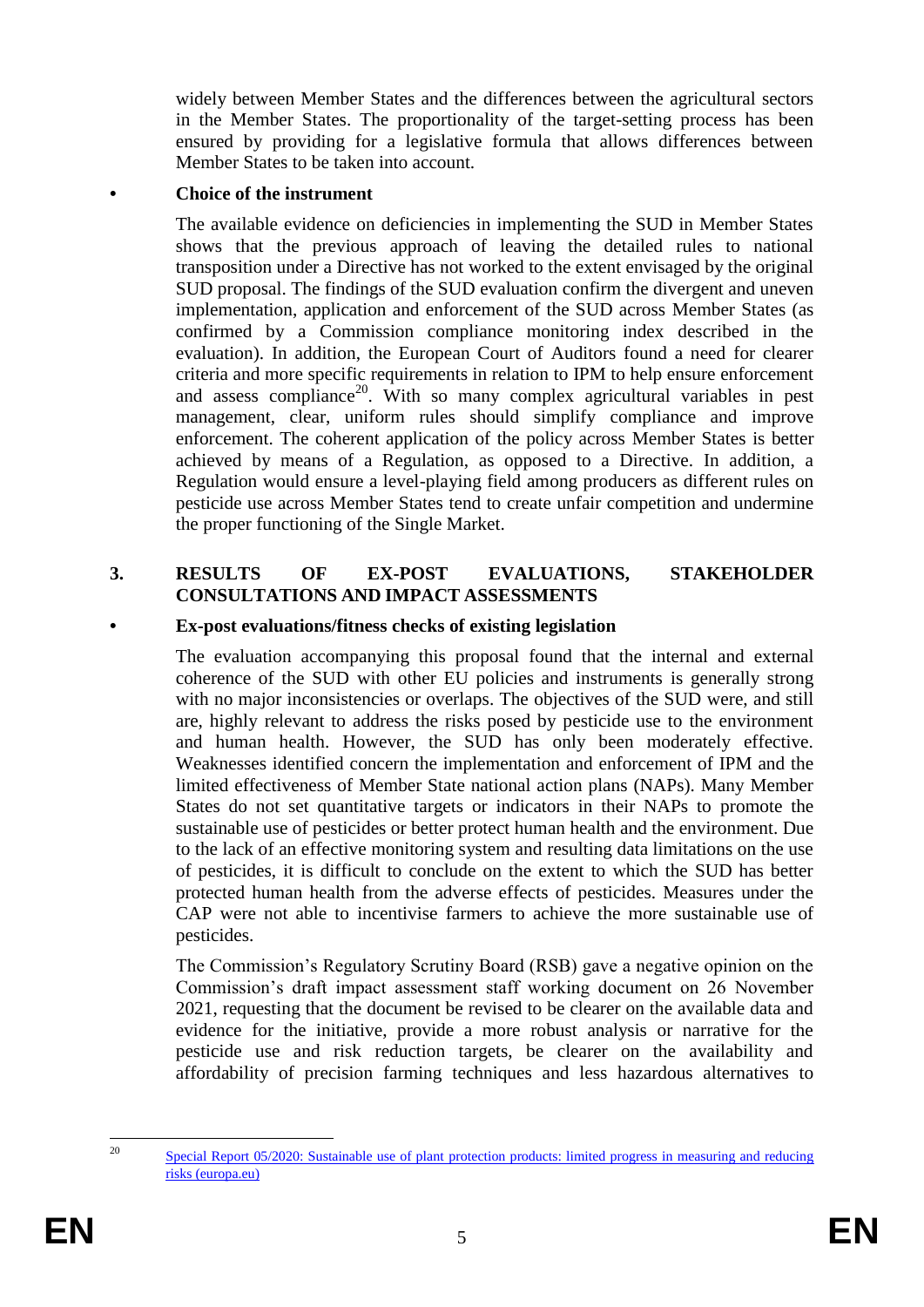widely between Member States and the differences between the agricultural sectors in the Member States. The proportionality of the target-setting process has been ensured by providing for a legislative formula that allows differences between Member States to be taken into account.

#### **• Choice of the instrument**

The available evidence on deficiencies in implementing the SUD in Member States shows that the previous approach of leaving the detailed rules to national transposition under a Directive has not worked to the extent envisaged by the original SUD proposal. The findings of the SUD evaluation confirm the divergent and uneven implementation, application and enforcement of the SUD across Member States (as confirmed by a Commission compliance monitoring index described in the evaluation). In addition, the European Court of Auditors found a need for clearer criteria and more specific requirements in relation to IPM to help ensure enforcement and assess compliance<sup>20</sup>. With so many complex agricultural variables in pest management, clear, uniform rules should simplify compliance and improve enforcement. The coherent application of the policy across Member States is better achieved by means of a Regulation, as opposed to a Directive. In addition, a Regulation would ensure a level-playing field among producers as different rules on pesticide use across Member States tend to create unfair competition and undermine the proper functioning of the Single Market.

#### **3. RESULTS OF EX-POST EVALUATIONS, STAKEHOLDER CONSULTATIONS AND IMPACT ASSESSMENTS**

#### **• Ex-post evaluations/fitness checks of existing legislation**

The evaluation accompanying this proposal found that the internal and external coherence of the SUD with other EU policies and instruments is generally strong with no major inconsistencies or overlaps. The objectives of the SUD were, and still are, highly relevant to address the risks posed by pesticide use to the environment and human health. However, the SUD has only been moderately effective. Weaknesses identified concern the implementation and enforcement of IPM and the limited effectiveness of Member State national action plans (NAPs). Many Member States do not set quantitative targets or indicators in their NAPs to promote the sustainable use of pesticides or better protect human health and the environment. Due to the lack of an effective monitoring system and resulting data limitations on the use of pesticides, it is difficult to conclude on the extent to which the SUD has better protected human health from the adverse effects of pesticides. Measures under the CAP were not able to incentivise farmers to achieve the more sustainable use of pesticides.

The Commission's Regulatory Scrutiny Board (RSB) gave a negative opinion on the Commission's draft impact assessment staff working document on 26 November 2021, requesting that the document be revised to be clearer on the available data and evidence for the initiative, provide a more robust analysis or narrative for the pesticide use and risk reduction targets, be clearer on the availability and affordability of precision farming techniques and less hazardous alternatives to

 $20^{\circ}$ 

<sup>20</sup> Special Report 05/2020: Sustainable use of plant protection products: limited progress in measuring and reducing risks (europa.eu)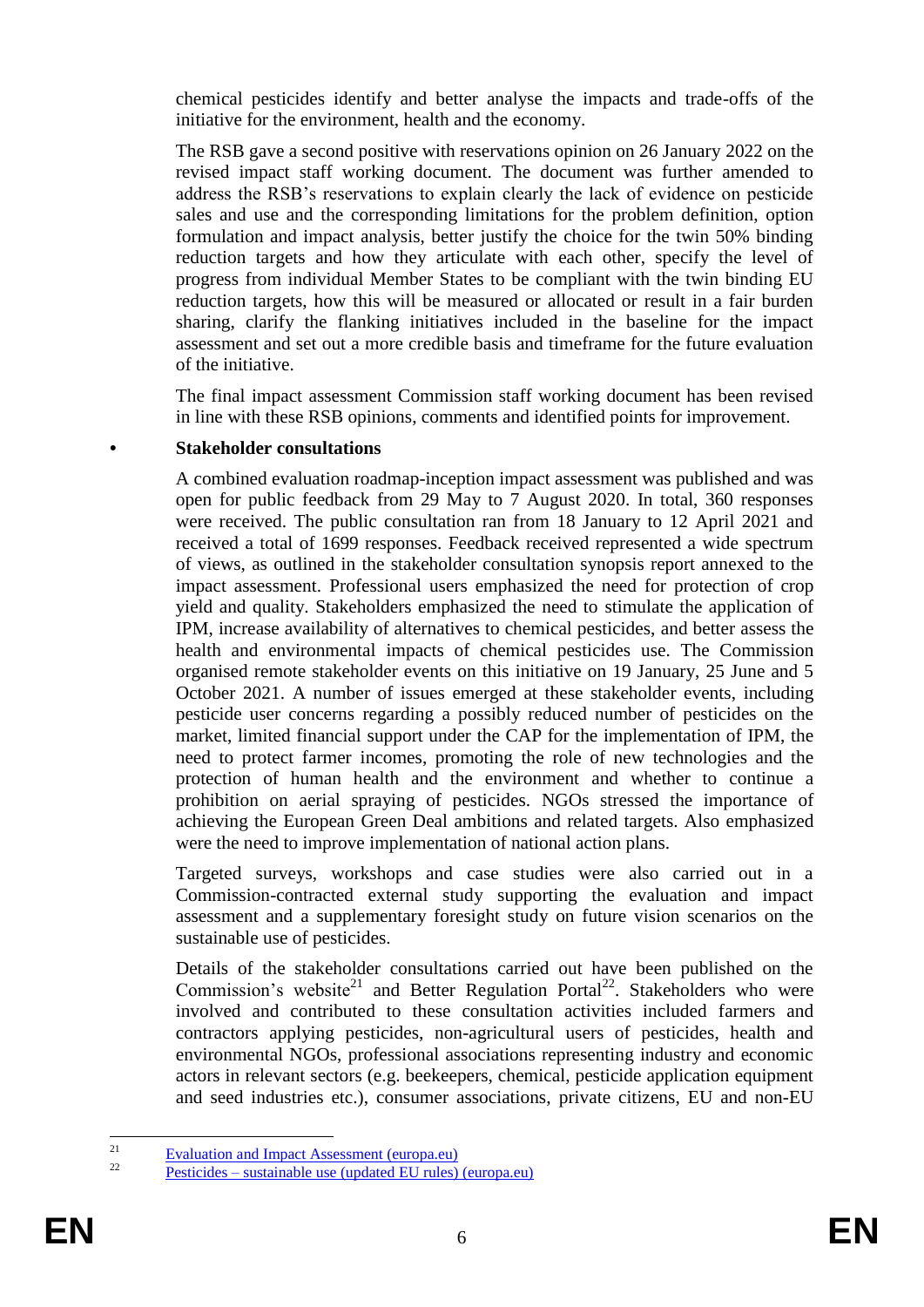chemical pesticides identify and better analyse the impacts and trade-offs of the initiative for the environment, health and the economy.

The RSB gave a second positive with reservations opinion on 26 January 2022 on the revised impact staff working document. The document was further amended to address the RSB's reservations to explain clearly the lack of evidence on pesticide sales and use and the corresponding limitations for the problem definition, option formulation and impact analysis, better justify the choice for the twin 50% binding reduction targets and how they articulate with each other, specify the level of progress from individual Member States to be compliant with the twin binding EU reduction targets, how this will be measured or allocated or result in a fair burden sharing, clarify the flanking initiatives included in the baseline for the impact assessment and set out a more credible basis and timeframe for the future evaluation of the initiative.

The final impact assessment Commission staff working document has been revised in line with these RSB opinions, comments and identified points for improvement.

#### **• Stakeholder consultations**

A combined evaluation roadmap-inception impact assessment was published and was open for public feedback from 29 May to 7 August 2020. In total, 360 responses were received. The public consultation ran from 18 January to 12 April 2021 and received a total of 1699 responses. Feedback received represented a wide spectrum of views, as outlined in the stakeholder consultation synopsis report annexed to the impact assessment. Professional users emphasized the need for protection of crop yield and quality. Stakeholders emphasized the need to stimulate the application of IPM, increase availability of alternatives to chemical pesticides, and better assess the health and environmental impacts of chemical pesticides use. The Commission organised remote stakeholder events on this initiative on 19 January, 25 June and 5 October 2021. A number of issues emerged at these stakeholder events, including pesticide user concerns regarding a possibly reduced number of pesticides on the market, limited financial support under the CAP for the implementation of IPM, the need to protect farmer incomes, promoting the role of new technologies and the protection of human health and the environment and whether to continue a prohibition on aerial spraying of pesticides. NGOs stressed the importance of achieving the European Green Deal ambitions and related targets. Also emphasized were the need to improve implementation of national action plans.

Targeted surveys, workshops and case studies were also carried out in a Commission-contracted external study supporting the evaluation and impact assessment and a supplementary foresight study on future vision scenarios on the sustainable use of pesticides.

Details of the stakeholder consultations carried out have been published on the Commission's website<sup>21</sup> and Better Regulation Portal<sup>22</sup>. Stakeholders who were involved and contributed to these consultation activities included farmers and contractors applying pesticides, non-agricultural users of pesticides, health and environmental NGOs, professional associations representing industry and economic actors in relevant sectors (e.g. beekeepers, chemical, pesticide application equipment and seed industries etc.), consumer associations, private citizens, EU and non-EU

 $21$ <sup>21</sup> Evaluation and Impact Assessment (europa.eu)

Pesticides – sustainable use (updated EU rules) (europa.eu)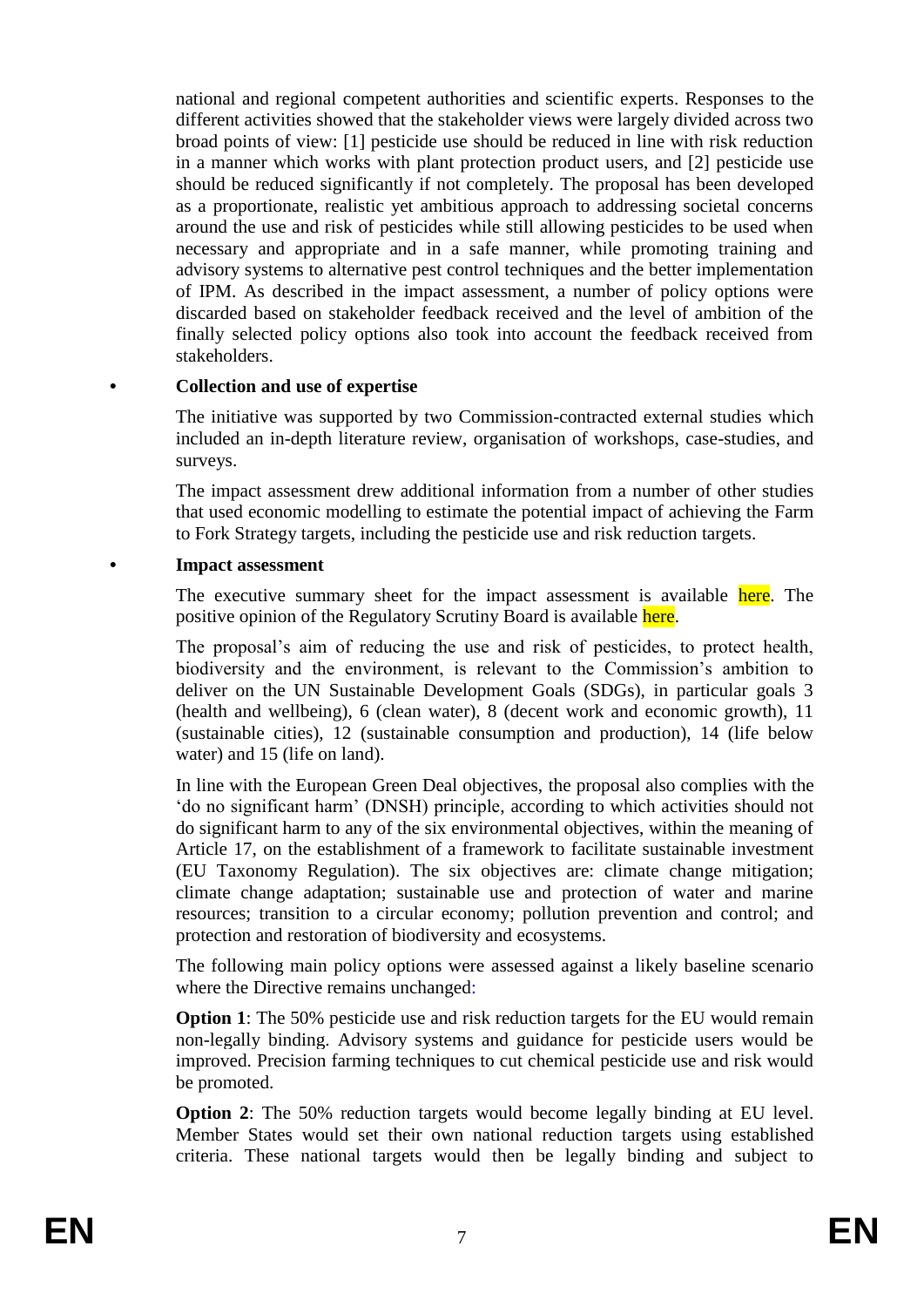national and regional competent authorities and scientific experts. Responses to the different activities showed that the stakeholder views were largely divided across two broad points of view: [1] pesticide use should be reduced in line with risk reduction in a manner which works with plant protection product users, and [2] pesticide use should be reduced significantly if not completely. The proposal has been developed as a proportionate, realistic yet ambitious approach to addressing societal concerns around the use and risk of pesticides while still allowing pesticides to be used when necessary and appropriate and in a safe manner, while promoting training and advisory systems to alternative pest control techniques and the better implementation of IPM. As described in the impact assessment, a number of policy options were discarded based on stakeholder feedback received and the level of ambition of the finally selected policy options also took into account the feedback received from stakeholders.

### **• Collection and use of expertise**

The initiative was supported by two Commission-contracted external studies which included an in-depth literature review, organisation of workshops, case-studies, and surveys.

The impact assessment drew additional information from a number of other studies that used economic modelling to estimate the potential impact of achieving the Farm to Fork Strategy targets, including the pesticide use and risk reduction targets.

**• Impact assessment**

The executive summary sheet for the impact assessment is available here. The positive opinion of the Regulatory Scrutiny Board is available here.

The proposal's aim of reducing the use and risk of pesticides, to protect health, biodiversity and the environment, is relevant to the Commission's ambition to deliver on the UN Sustainable Development Goals (SDGs), in particular goals 3 (health and wellbeing), 6 (clean water), 8 (decent work and economic growth), 11 (sustainable cities), 12 (sustainable consumption and production), 14 (life below water) and 15 (life on land).

In line with the European Green Deal objectives, the proposal also complies with the 'do no significant harm' (DNSH) principle, according to which activities should not do significant harm to any of the six environmental objectives, within the meaning of Article 17, on the establishment of a framework to facilitate sustainable investment (EU Taxonomy Regulation). The six objectives are: climate change mitigation; climate change adaptation; sustainable use and protection of water and marine resources; transition to a circular economy; pollution prevention and control; and protection and restoration of biodiversity and ecosystems.

The following main policy options were assessed against a likely baseline scenario where the Directive remains unchanged:

**Option 1**: The 50% pesticide use and risk reduction targets for the EU would remain non-legally binding. Advisory systems and guidance for pesticide users would be improved. Precision farming techniques to cut chemical pesticide use and risk would be promoted.

**Option 2:** The 50% reduction targets would become legally binding at EU level. Member States would set their own national reduction targets using established criteria. These national targets would then be legally binding and subject to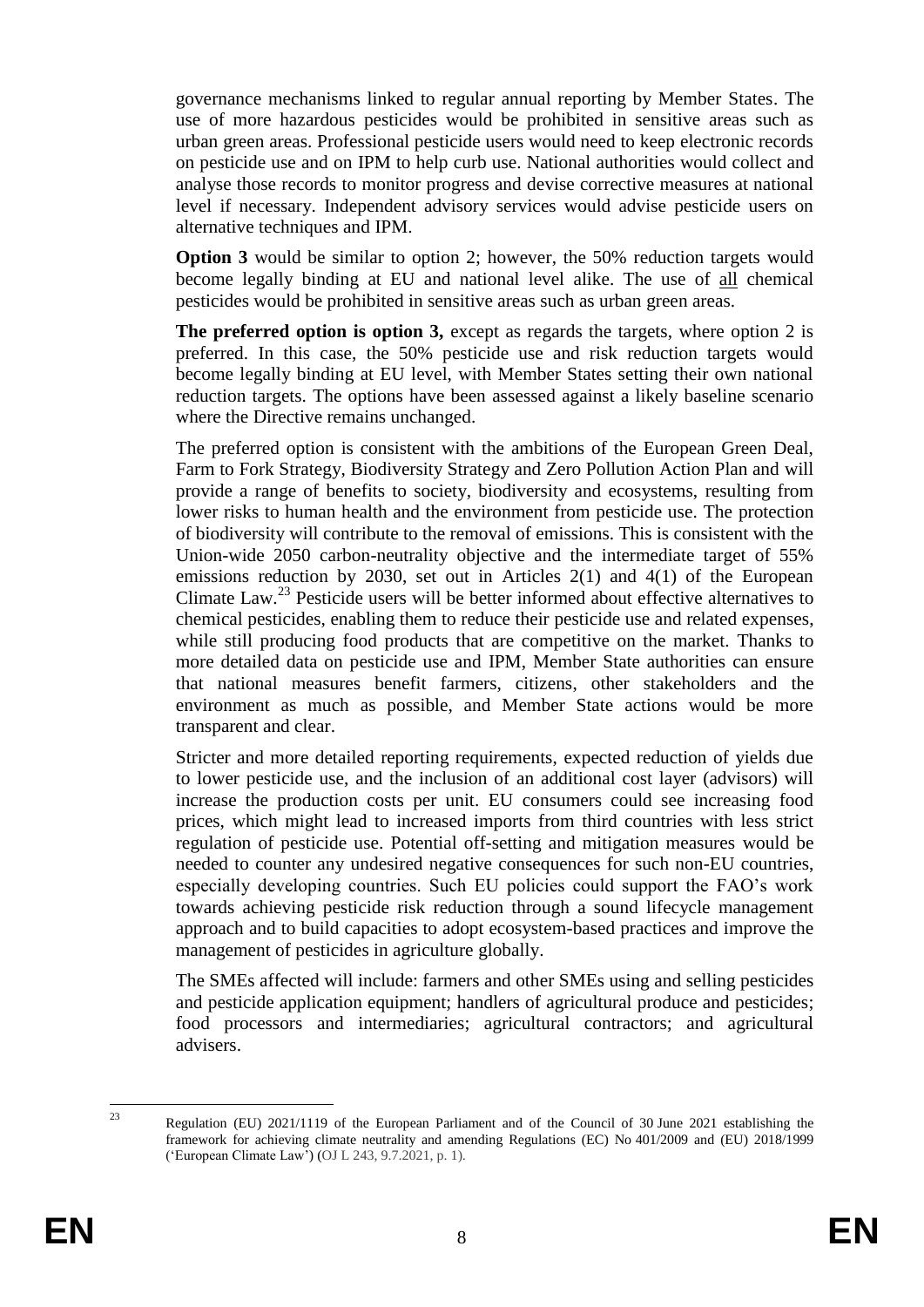governance mechanisms linked to regular annual reporting by Member States. The use of more hazardous pesticides would be prohibited in sensitive areas such as urban green areas. Professional pesticide users would need to keep electronic records on pesticide use and on IPM to help curb use. National authorities would collect and analyse those records to monitor progress and devise corrective measures at national level if necessary. Independent advisory services would advise pesticide users on alternative techniques and IPM.

**Option 3** would be similar to option 2; however, the 50% reduction targets would become legally binding at EU and national level alike. The use of all chemical pesticides would be prohibited in sensitive areas such as urban green areas.

**The preferred option is option 3,** except as regards the targets, where option 2 is preferred. In this case, the 50% pesticide use and risk reduction targets would become legally binding at EU level, with Member States setting their own national reduction targets. The options have been assessed against a likely baseline scenario where the Directive remains unchanged.

The preferred option is consistent with the ambitions of the European Green Deal, Farm to Fork Strategy, Biodiversity Strategy and Zero Pollution Action Plan and will provide a range of benefits to society, biodiversity and ecosystems, resulting from lower risks to human health and the environment from pesticide use. The protection of biodiversity will contribute to the removal of emissions. This is consistent with the Union-wide 2050 carbon-neutrality objective and the intermediate target of 55% emissions reduction by 2030, set out in Articles 2(1) and 4(1) of the European Climate Law.<sup>23</sup> Pesticide users will be better informed about effective alternatives to chemical pesticides, enabling them to reduce their pesticide use and related expenses, while still producing food products that are competitive on the market. Thanks to more detailed data on pesticide use and IPM, Member State authorities can ensure that national measures benefit farmers, citizens, other stakeholders and the environment as much as possible, and Member State actions would be more transparent and clear.

Stricter and more detailed reporting requirements, expected reduction of yields due to lower pesticide use, and the inclusion of an additional cost layer (advisors) will increase the production costs per unit. EU consumers could see increasing food prices, which might lead to increased imports from third countries with less strict regulation of pesticide use. Potential off-setting and mitigation measures would be needed to counter any undesired negative consequences for such non-EU countries, especially developing countries. Such EU policies could support the FAO's work towards achieving pesticide risk reduction through a sound lifecycle management approach and to build capacities to adopt ecosystem-based practices and improve the management of pesticides in agriculture globally.

The SMEs affected will include: farmers and other SMEs using and selling pesticides and pesticide application equipment; handlers of agricultural produce and pesticides; food processors and intermediaries; agricultural contractors; and agricultural advisers.

 $23$ 

Regulation (EU) 2021/1119 of the European Parliament and of the Council of 30 June 2021 establishing the framework for achieving climate neutrality and amending Regulations (EC) No 401/2009 and (EU) 2018/1999 ('European Climate Law') (OJ L 243, 9.7.2021, p. 1).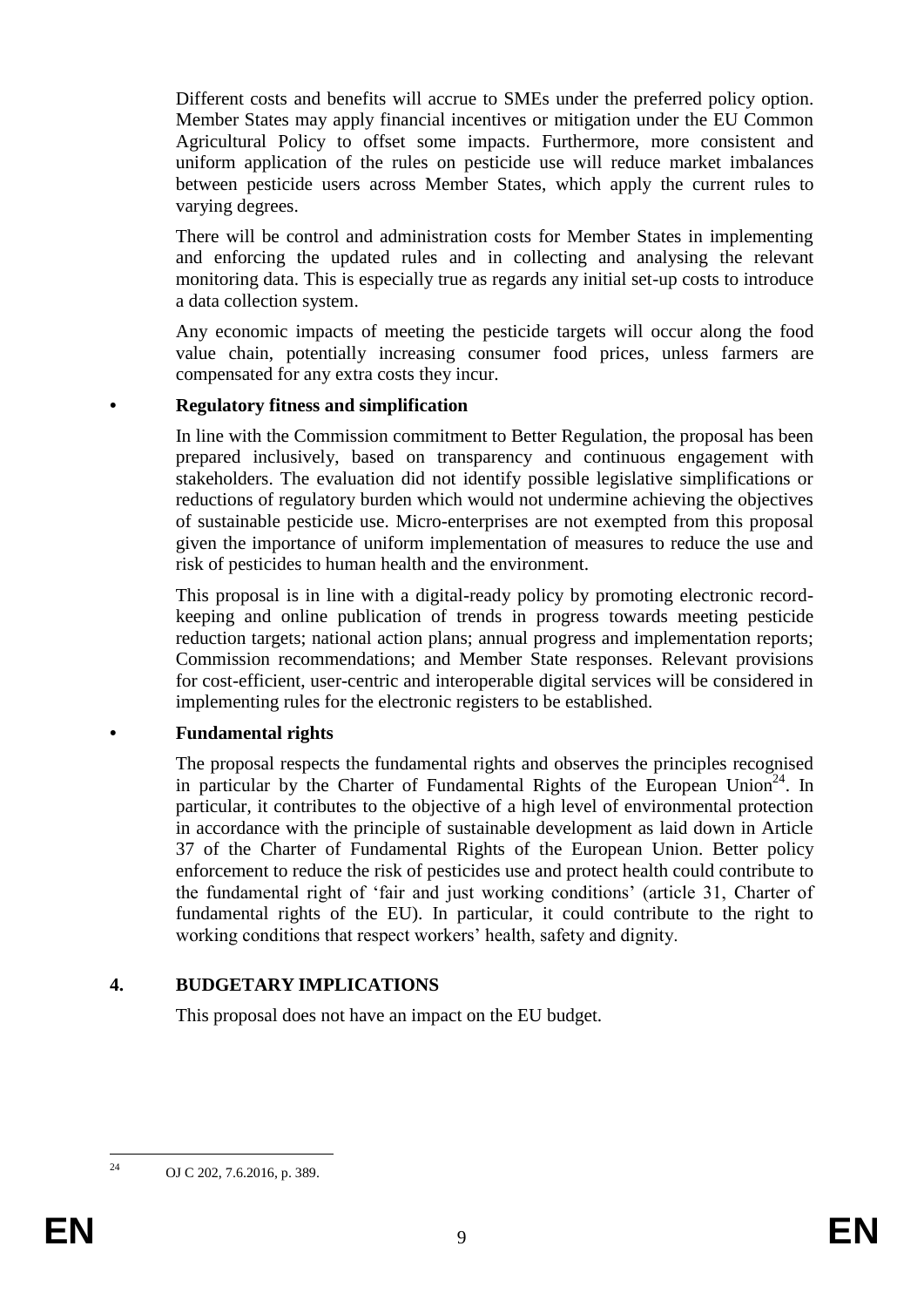Different costs and benefits will accrue to SMEs under the preferred policy option. Member States may apply financial incentives or mitigation under the EU Common Agricultural Policy to offset some impacts. Furthermore, more consistent and uniform application of the rules on pesticide use will reduce market imbalances between pesticide users across Member States, which apply the current rules to varying degrees.

There will be control and administration costs for Member States in implementing and enforcing the updated rules and in collecting and analysing the relevant monitoring data. This is especially true as regards any initial set-up costs to introduce a data collection system.

Any economic impacts of meeting the pesticide targets will occur along the food value chain, potentially increasing consumer food prices, unless farmers are compensated for any extra costs they incur.

#### **• Regulatory fitness and simplification**

In line with the Commission commitment to Better Regulation, the proposal has been prepared inclusively, based on transparency and continuous engagement with stakeholders. The evaluation did not identify possible legislative simplifications or reductions of regulatory burden which would not undermine achieving the objectives of sustainable pesticide use. Micro-enterprises are not exempted from this proposal given the importance of uniform implementation of measures to reduce the use and risk of pesticides to human health and the environment.

This proposal is in line with a digital-ready policy by promoting electronic recordkeeping and online publication of trends in progress towards meeting pesticide reduction targets; national action plans; annual progress and implementation reports; Commission recommendations; and Member State responses. Relevant provisions for cost-efficient, user-centric and interoperable digital services will be considered in implementing rules for the electronic registers to be established.

#### **• Fundamental rights**

The proposal respects the fundamental rights and observes the principles recognised in particular by the Charter of Fundamental Rights of the European Union<sup>24</sup>. In particular, it contributes to the objective of a high level of environmental protection in accordance with the principle of sustainable development as laid down in Article 37 of the Charter of Fundamental Rights of the European Union. Better policy enforcement to reduce the risk of pesticides use and protect health could contribute to the fundamental right of 'fair and just working conditions' (article 31, Charter of fundamental rights of the EU). In particular, it could contribute to the right to working conditions that respect workers' health, safety and dignity.

#### **4. BUDGETARY IMPLICATIONS**

This proposal does not have an impact on the EU budget.

 $24$ 

OJ C 202, 7.6.2016, p. 389.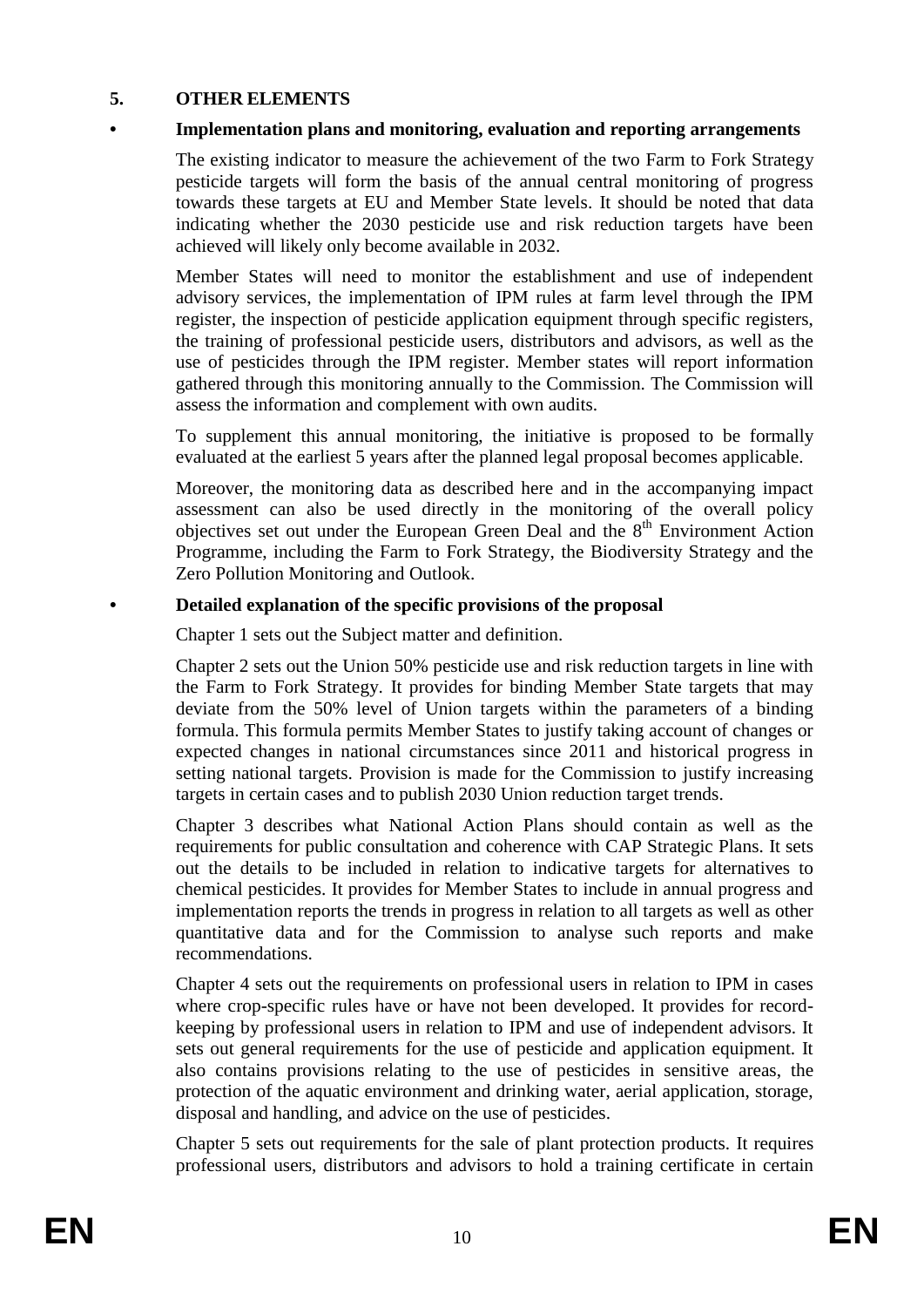### **5. OTHER ELEMENTS**

#### **• Implementation plans and monitoring, evaluation and reporting arrangements**

The existing indicator to measure the achievement of the two Farm to Fork Strategy pesticide targets will form the basis of the annual central monitoring of progress towards these targets at EU and Member State levels. It should be noted that data indicating whether the 2030 pesticide use and risk reduction targets have been achieved will likely only become available in 2032.

Member States will need to monitor the establishment and use of independent advisory services, the implementation of IPM rules at farm level through the IPM register, the inspection of pesticide application equipment through specific registers, the training of professional pesticide users, distributors and advisors, as well as the use of pesticides through the IPM register. Member states will report information gathered through this monitoring annually to the Commission. The Commission will assess the information and complement with own audits.

To supplement this annual monitoring, the initiative is proposed to be formally evaluated at the earliest 5 years after the planned legal proposal becomes applicable.

Moreover, the monitoring data as described here and in the accompanying impact assessment can also be used directly in the monitoring of the overall policy objectives set out under the European Green Deal and the  $8<sup>th</sup>$  Environment Action Programme, including the Farm to Fork Strategy, the Biodiversity Strategy and the Zero Pollution Monitoring and Outlook.

#### **• Detailed explanation of the specific provisions of the proposal**

Chapter 1 sets out the Subject matter and definition.

Chapter 2 sets out the Union 50% pesticide use and risk reduction targets in line with the Farm to Fork Strategy. It provides for binding Member State targets that may deviate from the 50% level of Union targets within the parameters of a binding formula. This formula permits Member States to justify taking account of changes or expected changes in national circumstances since 2011 and historical progress in setting national targets. Provision is made for the Commission to justify increasing targets in certain cases and to publish 2030 Union reduction target trends.

Chapter 3 describes what National Action Plans should contain as well as the requirements for public consultation and coherence with CAP Strategic Plans. It sets out the details to be included in relation to indicative targets for alternatives to chemical pesticides. It provides for Member States to include in annual progress and implementation reports the trends in progress in relation to all targets as well as other quantitative data and for the Commission to analyse such reports and make recommendations.

Chapter 4 sets out the requirements on professional users in relation to IPM in cases where crop-specific rules have or have not been developed. It provides for recordkeeping by professional users in relation to IPM and use of independent advisors. It sets out general requirements for the use of pesticide and application equipment. It also contains provisions relating to the use of pesticides in sensitive areas, the protection of the aquatic environment and drinking water, aerial application, storage, disposal and handling, and advice on the use of pesticides.

Chapter 5 sets out requirements for the sale of plant protection products. It requires professional users, distributors and advisors to hold a training certificate in certain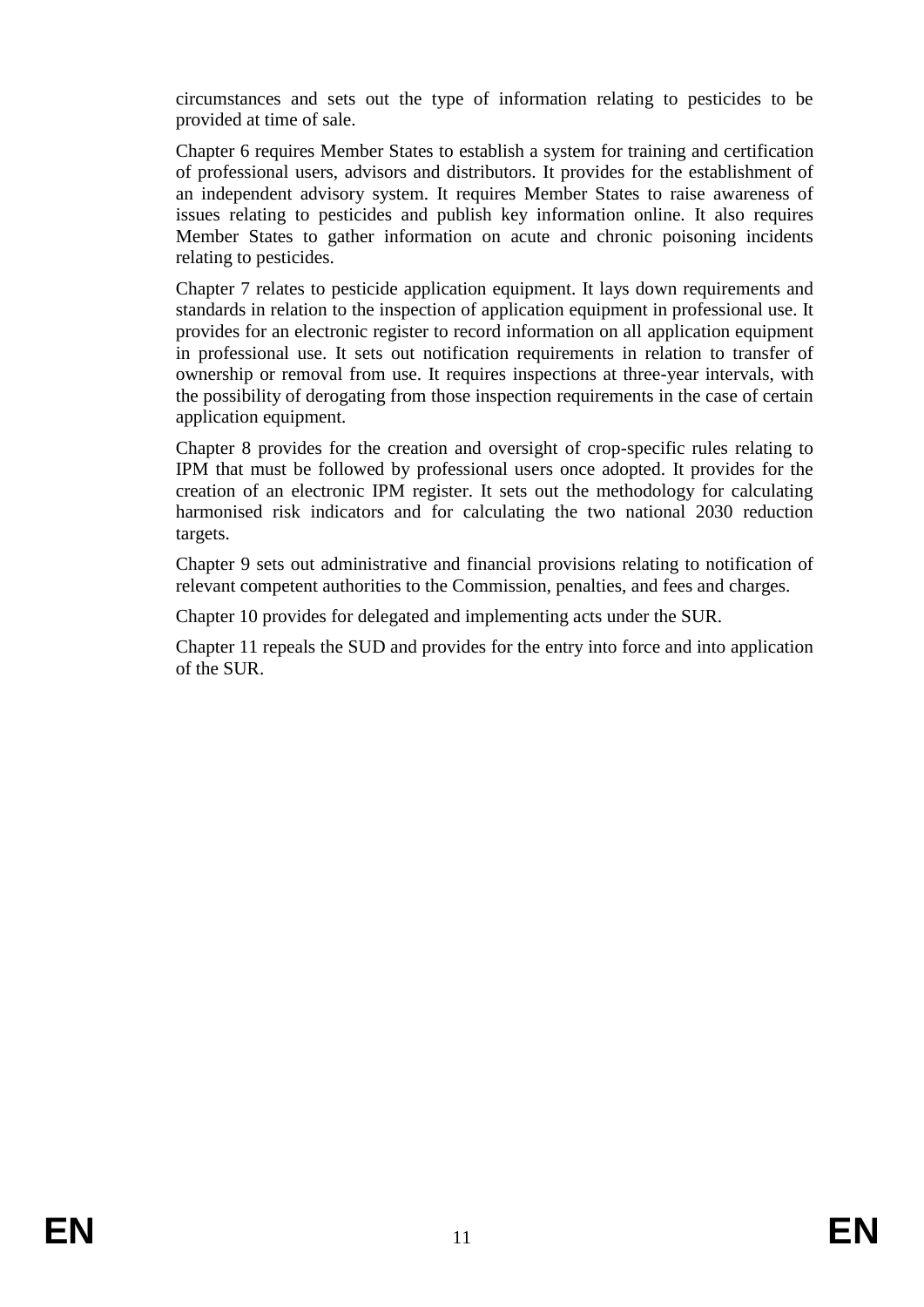circumstances and sets out the type of information relating to pesticides to be provided at time of sale.

Chapter 6 requires Member States to establish a system for training and certification of professional users, advisors and distributors. It provides for the establishment of an independent advisory system. It requires Member States to raise awareness of issues relating to pesticides and publish key information online. It also requires Member States to gather information on acute and chronic poisoning incidents relating to pesticides.

Chapter 7 relates to pesticide application equipment. It lays down requirements and standards in relation to the inspection of application equipment in professional use. It provides for an electronic register to record information on all application equipment in professional use. It sets out notification requirements in relation to transfer of ownership or removal from use. It requires inspections at three-year intervals, with the possibility of derogating from those inspection requirements in the case of certain application equipment.

Chapter 8 provides for the creation and oversight of crop-specific rules relating to IPM that must be followed by professional users once adopted. It provides for the creation of an electronic IPM register. It sets out the methodology for calculating harmonised risk indicators and for calculating the two national 2030 reduction targets.

Chapter 9 sets out administrative and financial provisions relating to notification of relevant competent authorities to the Commission, penalties, and fees and charges.

Chapter 10 provides for delegated and implementing acts under the SUR.

Chapter 11 repeals the SUD and provides for the entry into force and into application of the SUR.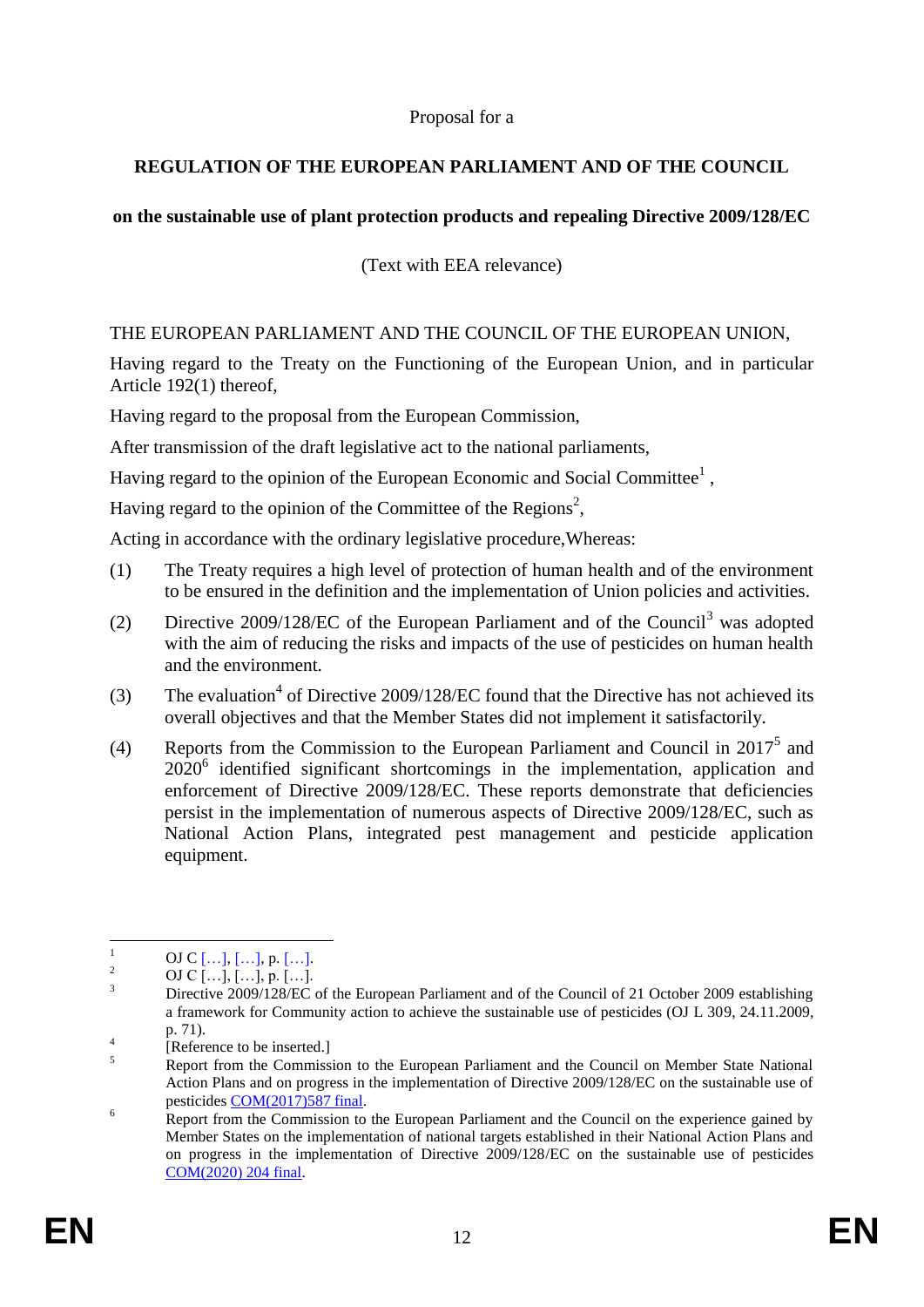### Proposal for a

# **REGULATION OF THE EUROPEAN PARLIAMENT AND OF THE COUNCIL**

# **on the sustainable use of plant protection products and repealing Directive 2009/128/EC**

(Text with EEA relevance)

#### THE EUROPEAN PARLIAMENT AND THE COUNCIL OF THE EUROPEAN UNION,

Having regard to the Treaty on the Functioning of the European Union, and in particular Article 192(1) thereof,

Having regard to the proposal from the European Commission,

After transmission of the draft legislative act to the national parliaments,

Having regard to the opinion of the European Economic and Social Committee<sup>1</sup>,

Having regard to the opinion of the Committee of the Regions<sup>2</sup>,

Acting in accordance with the ordinary legislative procedure,Whereas:

- (1) The Treaty requires a high level of protection of human health and of the environment to be ensured in the definition and the implementation of Union policies and activities.
- (2) Directive 2009/128/EC of the European Parliament and of the Council<sup>3</sup> was adopted with the aim of reducing the risks and impacts of the use of pesticides on human health and the environment.
- (3) The evaluation<sup>4</sup> of Directive 2009/128/EC found that the Directive has not achieved its overall objectives and that the Member States did not implement it satisfactorily.
- (4) Reports from the Commission to the European Parliament and Council in  $2017<sup>5</sup>$  and  $2020<sup>6</sup>$  identified significant shortcomings in the implementation, application and enforcement of Directive 2009/128/EC. These reports demonstrate that deficiencies persist in the implementation of numerous aspects of Directive 2009/128/EC, such as National Action Plans, integrated pest management and pesticide application equipment.

 $\mathbf{1}$  $\frac{1}{2}$  OJ C [...], [...], p. [...].

 $\frac{2}{3}$  OJ C […], […], p. […].

<sup>3</sup> Directive 2009/128/EC of the European Parliament and of the Council of 21 October 2009 establishing a framework for Community action to achieve the sustainable use of pesticides (OJ L 309, 24.11.2009, p. 71).

<sup>4</sup> [Reference to be inserted.]

<sup>&</sup>lt;sup>5</sup><br>Report from the Commission to the European Parliament and the Council on Member State National Action Plans and on progress in the implementation of Directive 2009/128/EC on the sustainable use of pesticides COM(2017)587 final.

<sup>&</sup>lt;sup>6</sup> Report from the Commission to the European Parliament and the Council on the experience gained by Member States on the implementation of national targets established in their National Action Plans and on progress in the implementation of Directive 2009/128/EC on the sustainable use of pesticides COM(2020) 204 final.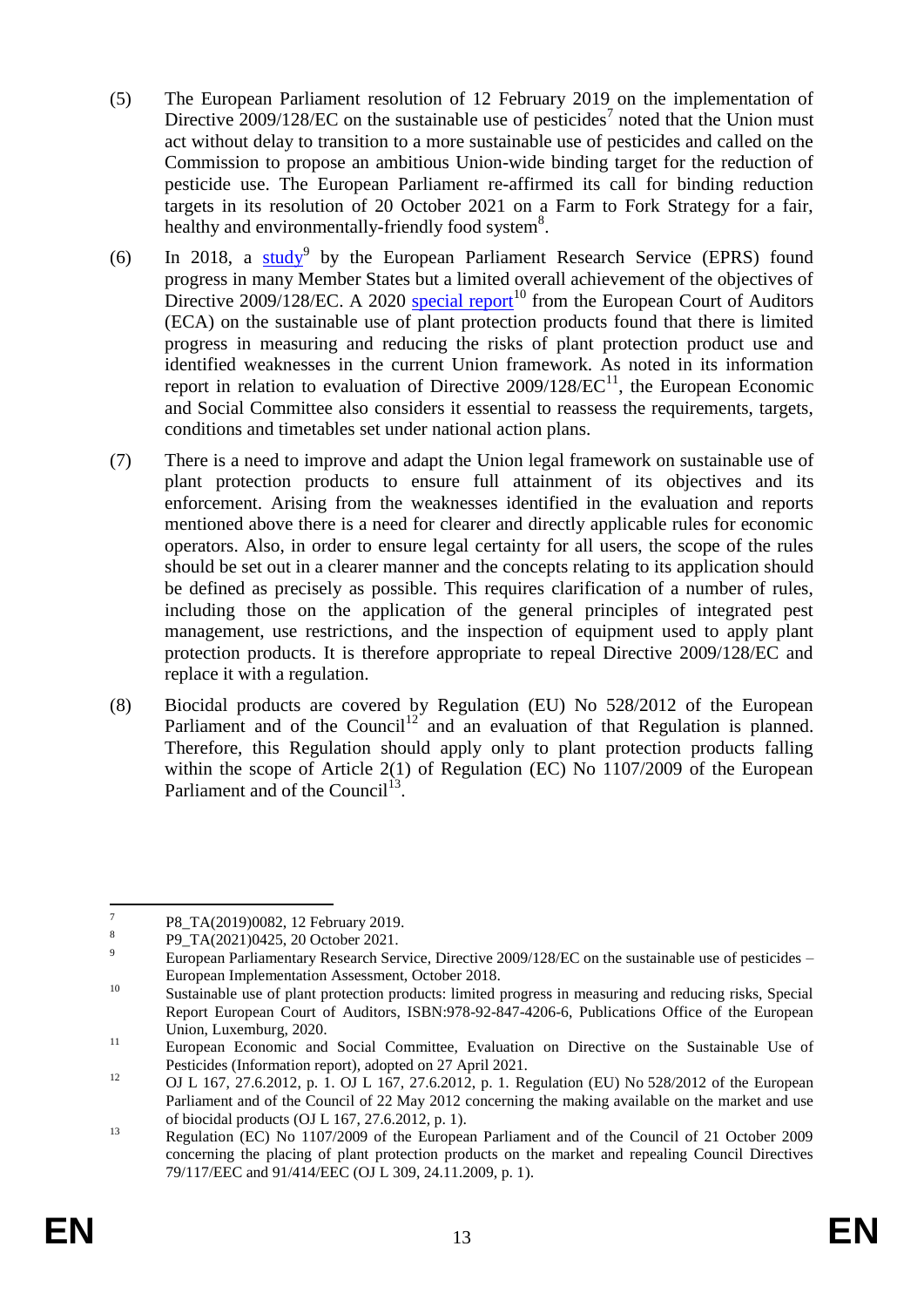- (5) The European Parliament resolution of 12 February 2019 on the implementation of Directive  $2009/128$ /EC on the sustainable use of pesticides<sup>7</sup> noted that the Union must act without delay to transition to a more sustainable use of pesticides and called on the Commission to propose an ambitious Union-wide binding target for the reduction of pesticide use. The European Parliament re-affirmed its call for binding reduction targets in its resolution of 20 October 2021 on a Farm to Fork Strategy for a fair, healthy and environmentally-friendly food system<sup>8</sup>.
- (6) In 2018, a  $\frac{\text{study}}{9}$  by the European Parliament Research Service (EPRS) found progress in many Member States but a limited overall achievement of the objectives of Directive 2009/128/EC. A 2020 special report<sup>10</sup> from the European Court of Auditors (ECA) on the sustainable use of plant protection products found that there is limited progress in measuring and reducing the risks of plant protection product use and identified weaknesses in the current Union framework. As noted in its information report in relation to evaluation of Directive  $2009/128/EC^{11}$ , the European Economic and Social Committee also considers it essential to reassess the requirements, targets, conditions and timetables set under national action plans.
- (7) There is a need to improve and adapt the Union legal framework on sustainable use of plant protection products to ensure full attainment of its objectives and its enforcement. Arising from the weaknesses identified in the evaluation and reports mentioned above there is a need for clearer and directly applicable rules for economic operators. Also, in order to ensure legal certainty for all users, the scope of the rules should be set out in a clearer manner and the concepts relating to its application should be defined as precisely as possible. This requires clarification of a number of rules, including those on the application of the general principles of integrated pest management, use restrictions, and the inspection of equipment used to apply plant protection products. It is therefore appropriate to repeal Directive 2009/128/EC and replace it with a regulation.
- (8) Biocidal products are covered by Regulation (EU) No 528/2012 of the European Parliament and of the Council<sup>12</sup> and an evaluation of that Regulation is planned. Therefore, this Regulation should apply only to plant protection products falling within the scope of Article 2(1) of Regulation (EC) No 1107/2009 of the European Parliament and of the Council<sup>13</sup>.

<sup>—&</sup>lt;br>7 P8\_TA(2019)0082, 12 February 2019.

<sup>8</sup> P9\_TA(2021)0425, 20 October 2021.

<sup>&</sup>lt;sup>9</sup> European Parliamentary Research Service, Directive 2009/128/EC on the sustainable use of pesticides – European Implementation Assessment, October 2018.

<sup>&</sup>lt;sup>10</sup> Sustainable use of plant protection products: limited progress in measuring and reducing risks, Special Report European Court of Auditors, ISBN:978-92-847-4206-6, Publications Office of the European Union, Luxemburg, 2020.

<sup>&</sup>lt;sup>11</sup> European Economic and Social Committee, Evaluation on Directive on the Sustainable Use of Pesticides (Information report), adopted on 27 April 2021.

<sup>12</sup> OJ L 167, 27.6.2012, p. 1. OJ L 167, 27.6.2012, p. 1. Regulation (EU) No 528/2012 of the European Parliament and of the Council of 22 May 2012 concerning the making available on the market and use of biocidal products (OJ L 167, 27.6.2012, p. 1).

<sup>&</sup>lt;sup>13</sup> Regulation (EC) No 1107/2009 of the European Parliament and of the Council of 21 October 2009 concerning the placing of plant protection products on the market and repealing Council Directives 79/117/EEC and 91/414/EEC (OJ L 309, 24.11.2009, p. 1).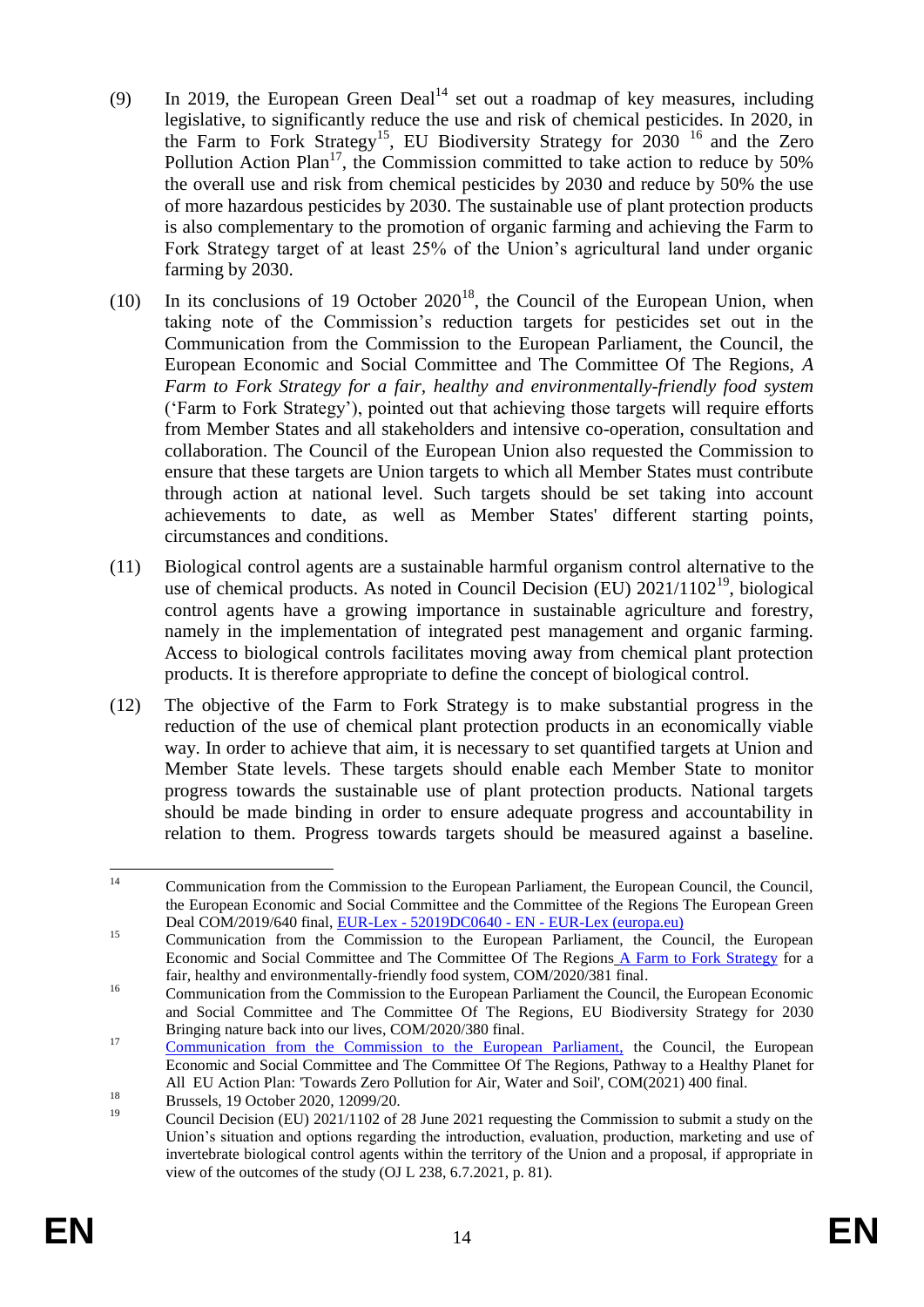- (9) In 2019, the European Green Deal $14$  set out a roadmap of key measures, including legislative, to significantly reduce the use and risk of chemical pesticides. In 2020, in the Farm to Fork Strategy<sup>15</sup>, EU Biodiversity Strategy for  $2030^{-16}$  and the Zero Pollution Action Plan<sup>17</sup>, the Commission committed to take action to reduce by  $50\%$ the overall use and risk from chemical pesticides by 2030 and reduce by 50% the use of more hazardous pesticides by 2030. The sustainable use of plant protection products is also complementary to the promotion of organic farming and achieving the Farm to Fork Strategy target of at least 25% of the Union's agricultural land under organic farming by 2030.
- (10) In its conclusions of 19 October  $2020^{18}$ , the Council of the European Union, when taking note of the Commission's reduction targets for pesticides set out in the Communication from the Commission to the European Parliament, the Council, the European Economic and Social Committee and The Committee Of The Regions, *A Farm to Fork Strategy for a fair, healthy and environmentally-friendly food system* ('Farm to Fork Strategy'), pointed out that achieving those targets will require efforts from Member States and all stakeholders and intensive co-operation, consultation and collaboration. The Council of the European Union also requested the Commission to ensure that these targets are Union targets to which all Member States must contribute through action at national level. Such targets should be set taking into account achievements to date, as well as Member States' different starting points, circumstances and conditions.
- (11) Biological control agents are a sustainable harmful organism control alternative to the use of chemical products. As noted in Council Decision (EU)  $2021/1102^{19}$ , biological control agents have a growing importance in sustainable agriculture and forestry, namely in the implementation of integrated pest management and organic farming. Access to biological controls facilitates moving away from chemical plant protection products. It is therefore appropriate to define the concept of biological control.
- (12) The objective of the Farm to Fork Strategy is to make substantial progress in the reduction of the use of chemical plant protection products in an economically viable way. In order to achieve that aim, it is necessary to set quantified targets at Union and Member State levels. These targets should enable each Member State to monitor progress towards the sustainable use of plant protection products. National targets should be made binding in order to ensure adequate progress and accountability in relation to them. Progress towards targets should be measured against a baseline.

 $14$ <sup>14</sup> Communication from the Commission to the European Parliament, the European Council, the Council, the European Economic and Social Committee and the Committee of the Regions The European Green Deal COM/2019/640 final, EUR-Lex - 52019DC0640 - EN - EUR-Lex (europa.eu)

<sup>&</sup>lt;sup>15</sup> Communication from the Commission to the European Parliament, the Council, the European Economic and Social Committee and The Committee Of The Regions A Farm to Fork Strategy for a fair, healthy and environmentally-friendly food system, COM/2020/381 final.

<sup>&</sup>lt;sup>16</sup> Communication from the Commission to the European Parliament the Council, the European Economic and Social Committee and The Committee Of The Regions, EU Biodiversity Strategy for 2030 Bringing nature back into our lives, COM/2020/380 final.

<sup>&</sup>lt;sup>17</sup> Communication from the Commission to the European Parliament, the Council, the European Economic and Social Committee and The Committee Of The Regions, Pathway to a Healthy Planet for All EU Action Plan: 'Towards Zero Pollution for Air, Water and Soil', COM(2021) 400 final.

 $18$  Brussels, 19 October 2020, 1209/20.<br>  $19$  October 2020, 12099/20.

<sup>19</sup> Council Decision (EU) 2021/1102 of 28 June 2021 requesting the Commission to submit a study on the Union's situation and options regarding the introduction, evaluation, production, marketing and use of invertebrate biological control agents within the territory of the Union and a proposal, if appropriate in view of the outcomes of the study (OJ L 238, 6.7.2021, p. 81).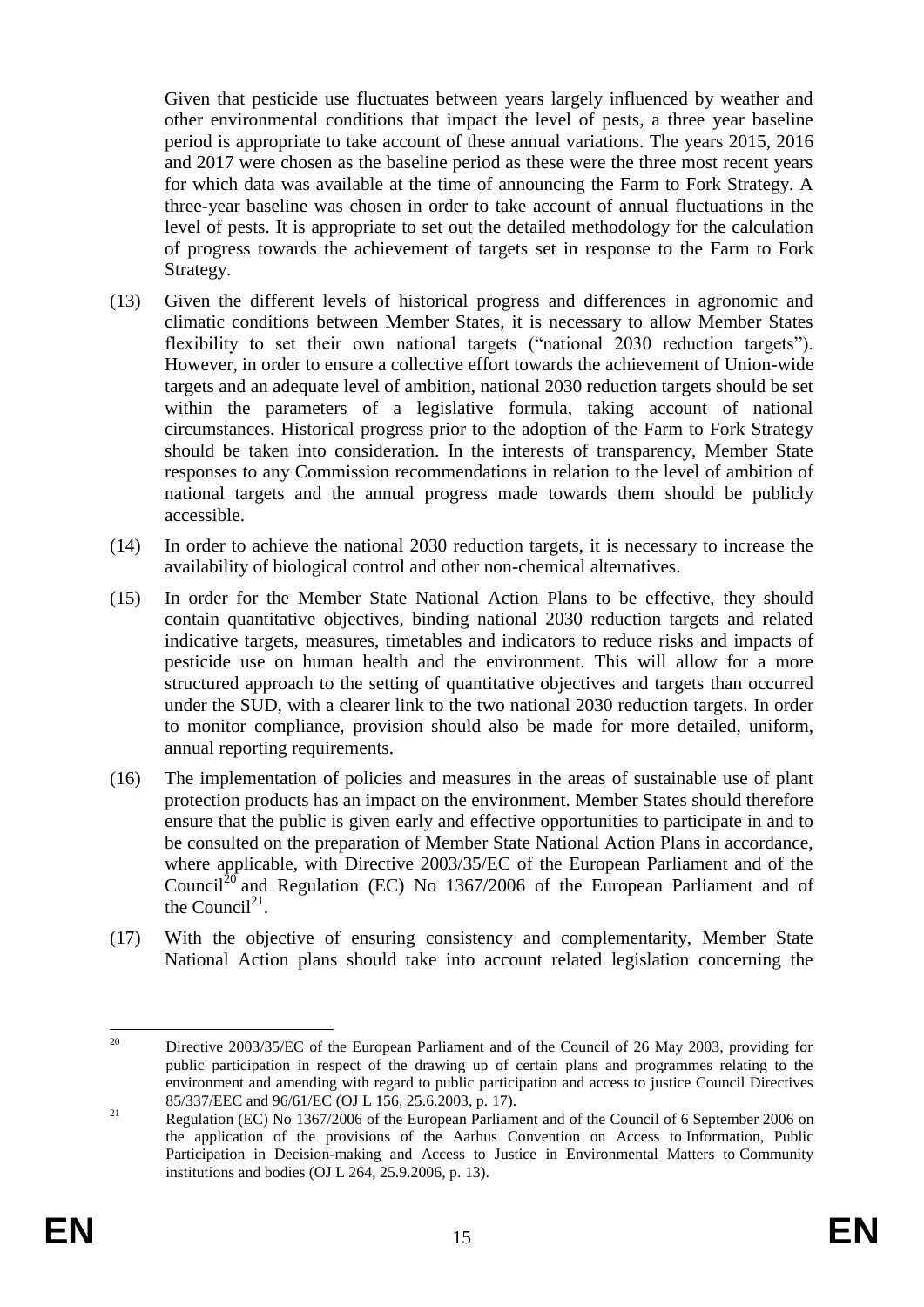Given that pesticide use fluctuates between years largely influenced by weather and other environmental conditions that impact the level of pests, a three year baseline period is appropriate to take account of these annual variations. The years 2015, 2016 and 2017 were chosen as the baseline period as these were the three most recent years for which data was available at the time of announcing the Farm to Fork Strategy. A three-year baseline was chosen in order to take account of annual fluctuations in the level of pests. It is appropriate to set out the detailed methodology for the calculation of progress towards the achievement of targets set in response to the Farm to Fork Strategy.

- (13) Given the different levels of historical progress and differences in agronomic and climatic conditions between Member States, it is necessary to allow Member States flexibility to set their own national targets ("national 2030 reduction targets"). However, in order to ensure a collective effort towards the achievement of Union-wide targets and an adequate level of ambition, national 2030 reduction targets should be set within the parameters of a legislative formula, taking account of national circumstances. Historical progress prior to the adoption of the Farm to Fork Strategy should be taken into consideration. In the interests of transparency, Member State responses to any Commission recommendations in relation to the level of ambition of national targets and the annual progress made towards them should be publicly accessible.
- (14) In order to achieve the national 2030 reduction targets, it is necessary to increase the availability of biological control and other non-chemical alternatives.
- (15) In order for the Member State National Action Plans to be effective, they should contain quantitative objectives, binding national 2030 reduction targets and related indicative targets, measures, timetables and indicators to reduce risks and impacts of pesticide use on human health and the environment. This will allow for a more structured approach to the setting of quantitative objectives and targets than occurred under the SUD, with a clearer link to the two national 2030 reduction targets. In order to monitor compliance, provision should also be made for more detailed, uniform, annual reporting requirements.
- (16) The implementation of policies and measures in the areas of sustainable use of plant protection products has an impact on the environment. Member States should therefore ensure that the public is given early and effective opportunities to participate in and to be consulted on the preparation of Member State National Action Plans in accordance, where applicable, with Directive 2003/35/EC of the European Parliament and of the Council<sup>20</sup> and Regulation (EC) No 1367/2006 of the European Parliament and of the Council<sup>21</sup>.
- (17) With the objective of ensuring consistency and complementarity, Member State National Action plans should take into account related legislation concerning the

<sup>20</sup> <sup>20</sup> Directive 2003/35/EC of the European Parliament and of the Council of 26 May 2003, providing for public participation in respect of the drawing up of certain plans and programmes relating to the environment and amending with regard to public participation and access to justice Council Directives 85/337/EEC and 96/61/EC (OJ L 156, 25.6.2003, p. 17).

<sup>&</sup>lt;sup>21</sup> Regulation (EC) No 1367/2006 of the European Parliament and of the Council of 6 September 2006 on the application of the provisions of the Aarhus Convention on Access to Information, Public Participation in Decision-making and Access to Justice in Environmental Matters to Community institutions and bodies (OJ L 264, 25.9.2006, p. 13).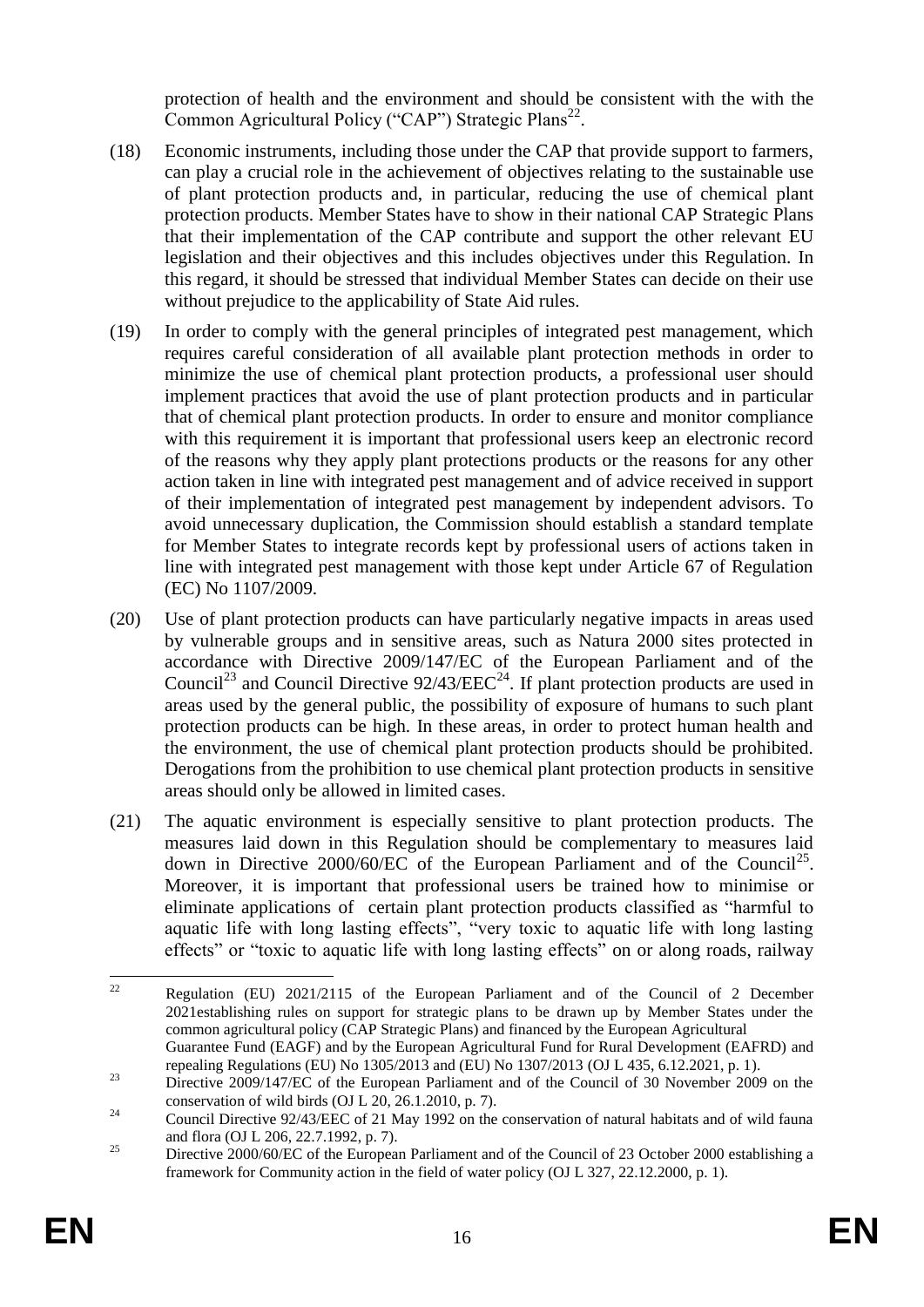protection of health and the environment and should be consistent with the with the Common Agricultural Policy ("CAP") Strategic Plans<sup>22</sup>.

- (18) Economic instruments, including those under the CAP that provide support to farmers, can play a crucial role in the achievement of objectives relating to the sustainable use of plant protection products and, in particular, reducing the use of chemical plant protection products. Member States have to show in their national CAP Strategic Plans that their implementation of the CAP contribute and support the other relevant EU legislation and their objectives and this includes objectives under this Regulation. In this regard, it should be stressed that individual Member States can decide on their use without prejudice to the applicability of State Aid rules.
- (19) In order to comply with the general principles of integrated pest management, which requires careful consideration of all available plant protection methods in order to minimize the use of chemical plant protection products, a professional user should implement practices that avoid the use of plant protection products and in particular that of chemical plant protection products. In order to ensure and monitor compliance with this requirement it is important that professional users keep an electronic record of the reasons why they apply plant protections products or the reasons for any other action taken in line with integrated pest management and of advice received in support of their implementation of integrated pest management by independent advisors. To avoid unnecessary duplication, the Commission should establish a standard template for Member States to integrate records kept by professional users of actions taken in line with integrated pest management with those kept under Article 67 of Regulation (EC) No 1107/2009.
- (20) Use of plant protection products can have particularly negative impacts in areas used by vulnerable groups and in sensitive areas, such as Natura 2000 sites protected in accordance with Directive 2009/147/EC of the European Parliament and of the Council<sup>23</sup> and Council Directive  $92/43/EEC<sup>24</sup>$ . If plant protection products are used in areas used by the general public, the possibility of exposure of humans to such plant protection products can be high. In these areas, in order to protect human health and the environment, the use of chemical plant protection products should be prohibited. Derogations from the prohibition to use chemical plant protection products in sensitive areas should only be allowed in limited cases.
- (21) The aquatic environment is especially sensitive to plant protection products. The measures laid down in this Regulation should be complementary to measures laid down in Directive 2000/60/EC of the European Parliament and of the Council<sup>25</sup>. Moreover, it is important that professional users be trained how to minimise or eliminate applications of certain plant protection products classified as "harmful to aquatic life with long lasting effects", "very toxic to aquatic life with long lasting effects" or "toxic to aquatic life with long lasting effects" on or along roads, railway

 $22$ <sup>22</sup> Regulation (EU) 2021/2115 of the European Parliament and of the Council of 2 December 2021establishing rules on support for strategic plans to be drawn up by Member States under the common agricultural policy (CAP Strategic Plans) and financed by the European Agricultural Guarantee Fund (EAGF) and by the European Agricultural Fund for Rural Development (EAFRD) and repealing Regulations (EU) No 1305/2013 and (EU) No 1307/2013 (OJ L 435, 6.12.2021, p. 1).

<sup>&</sup>lt;sup>23</sup> Directive 2009/147/EC of the European Parliament and of the Council of 30 November 2009 on the conservation of wild birds (OJ L 20, 26.1.2010, p. 7).

<sup>&</sup>lt;sup>24</sup> Council Directive 92/43/EEC of 21 May 1992 on the conservation of natural habitats and of wild fauna and flora (OJ L 206, 22.7.1992, p. 7).

<sup>&</sup>lt;sup>25</sup> Directive 2000/60/EC of the European Parliament and of the Council of 23 October 2000 establishing a framework for Community action in the field of water policy (OJ L 327, 22.12.2000, p. 1).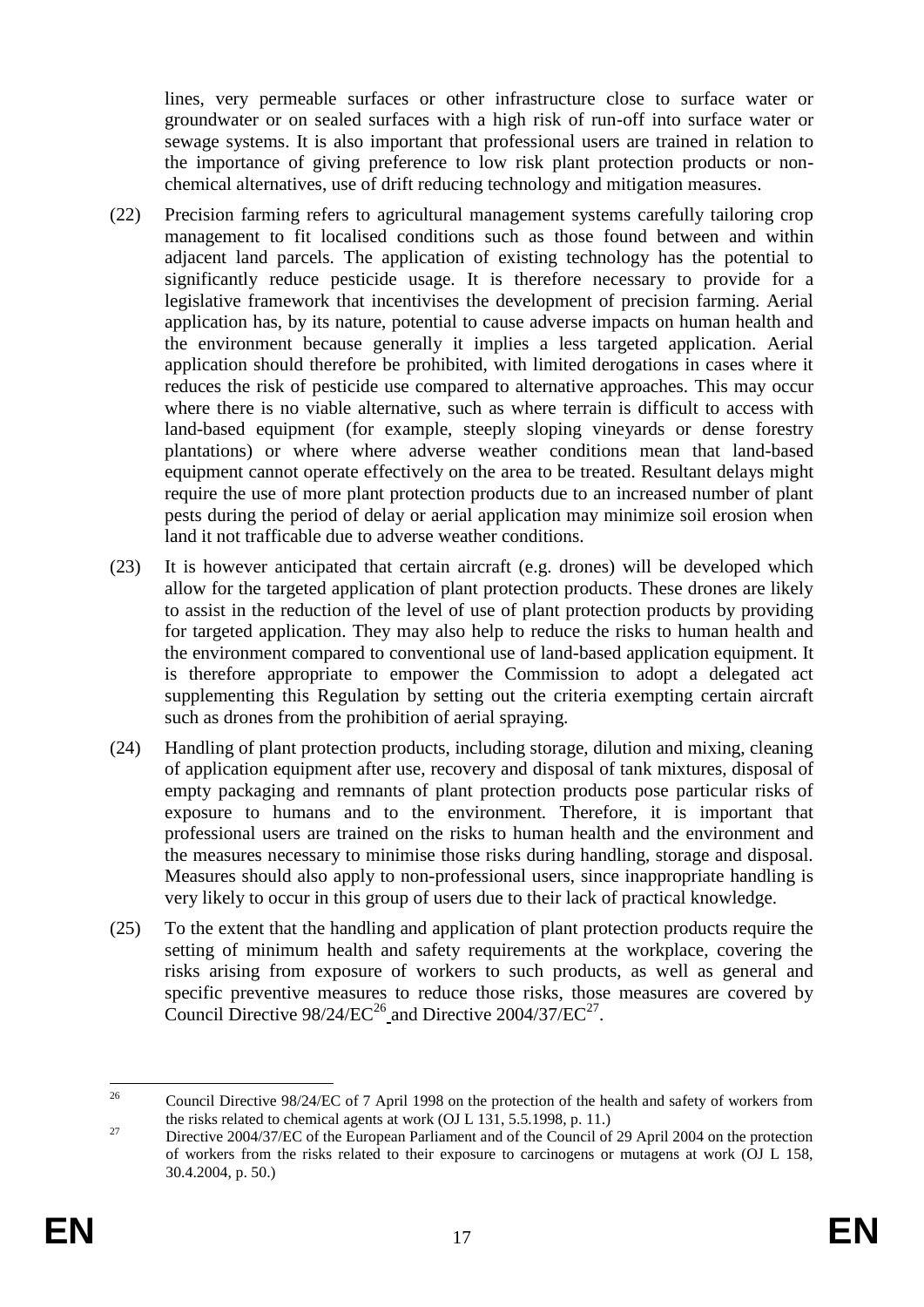lines, very permeable surfaces or other infrastructure close to surface water or groundwater or on sealed surfaces with a high risk of run-off into surface water or sewage systems. It is also important that professional users are trained in relation to the importance of giving preference to low risk plant protection products or nonchemical alternatives, use of drift reducing technology and mitigation measures.

- (22) Precision farming refers to agricultural management systems carefully tailoring crop management to fit localised conditions such as those found between and within adjacent land parcels. The application of existing technology has the potential to significantly reduce pesticide usage. It is therefore necessary to provide for a legislative framework that incentivises the development of precision farming. Aerial application has, by its nature, potential to cause adverse impacts on human health and the environment because generally it implies a less targeted application. Aerial application should therefore be prohibited, with limited derogations in cases where it reduces the risk of pesticide use compared to alternative approaches. This may occur where there is no viable alternative, such as where terrain is difficult to access with land-based equipment (for example, steeply sloping vineyards or dense forestry plantations) or where where adverse weather conditions mean that land-based equipment cannot operate effectively on the area to be treated. Resultant delays might require the use of more plant protection products due to an increased number of plant pests during the period of delay or aerial application may minimize soil erosion when land it not trafficable due to adverse weather conditions.
- (23) It is however anticipated that certain aircraft (e.g. drones) will be developed which allow for the targeted application of plant protection products. These drones are likely to assist in the reduction of the level of use of plant protection products by providing for targeted application. They may also help to reduce the risks to human health and the environment compared to conventional use of land-based application equipment. It is therefore appropriate to empower the Commission to adopt a delegated act supplementing this Regulation by setting out the criteria exempting certain aircraft such as drones from the prohibition of aerial spraying.
- (24) Handling of plant protection products, including storage, dilution and mixing, cleaning of application equipment after use, recovery and disposal of tank mixtures, disposal of empty packaging and remnants of plant protection products pose particular risks of exposure to humans and to the environment. Therefore, it is important that professional users are trained on the risks to human health and the environment and the measures necessary to minimise those risks during handling, storage and disposal. Measures should also apply to non-professional users, since inappropriate handling is very likely to occur in this group of users due to their lack of practical knowledge.
- (25) To the extent that the handling and application of plant protection products require the setting of minimum health and safety requirements at the workplace, covering the risks arising from exposure of workers to such products, as well as general and specific preventive measures to reduce those risks, those measures are covered by Council Directive  $98/24/EC^{26}$  and Directive  $2004/37/EC^{27}$ .

 $26\overline{)}$ <sup>26</sup> Council Directive 98/24/EC of 7 April 1998 on the protection of the health and safety of workers from the risks related to chemical agents at work (OJ L 131, 5.5.1998, p. 11.)

<sup>&</sup>lt;sup>27</sup> Directive 2004/37/EC of the European Parliament and of the Council of 29 April 2004 on the protection of workers from the risks related to their exposure to carcinogens or mutagens at work (OJ L 158, 30.4.2004, p. 50.)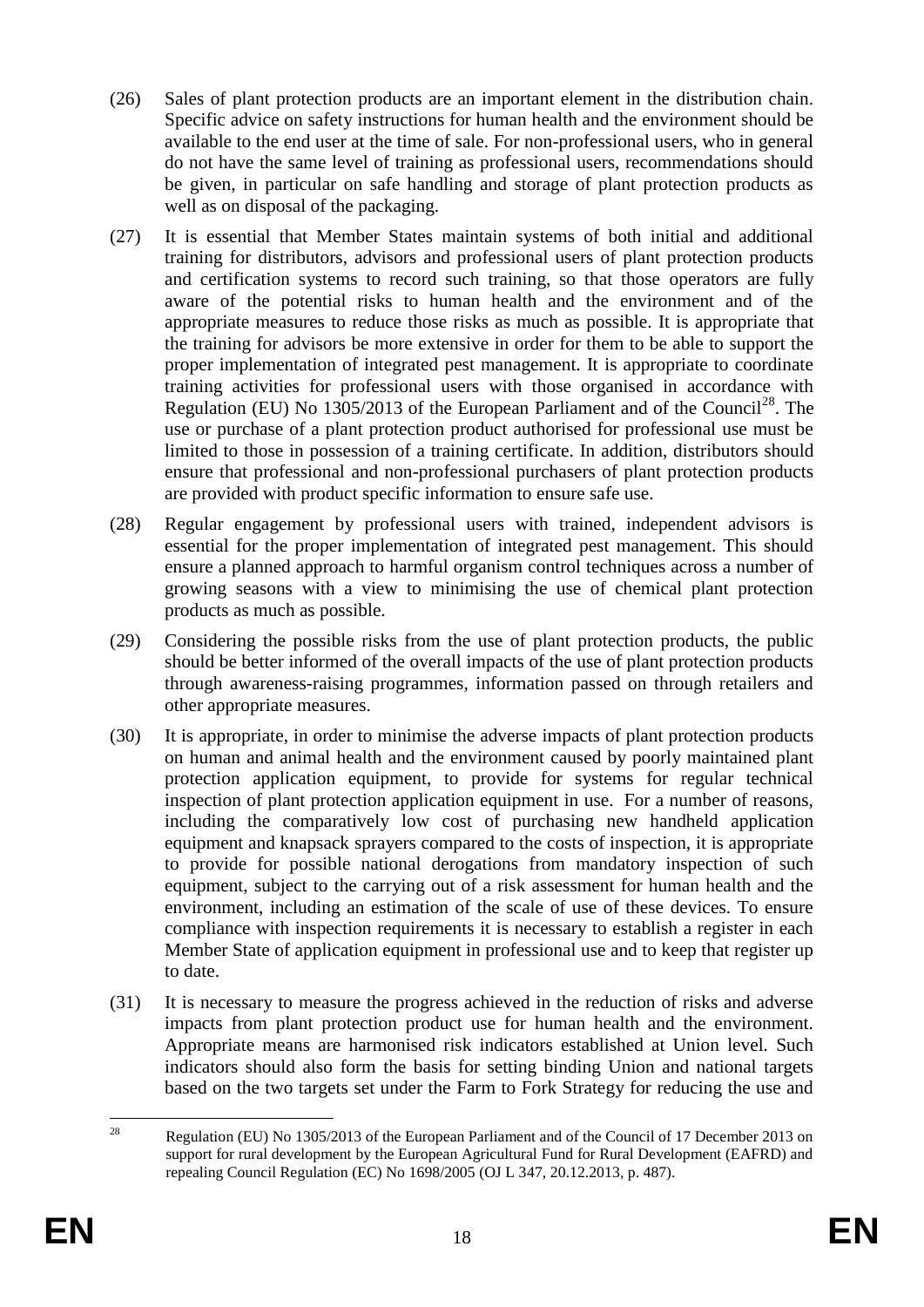- (26) Sales of plant protection products are an important element in the distribution chain. Specific advice on safety instructions for human health and the environment should be available to the end user at the time of sale. For non-professional users, who in general do not have the same level of training as professional users, recommendations should be given, in particular on safe handling and storage of plant protection products as well as on disposal of the packaging.
- (27) It is essential that Member States maintain systems of both initial and additional training for distributors, advisors and professional users of plant protection products and certification systems to record such training, so that those operators are fully aware of the potential risks to human health and the environment and of the appropriate measures to reduce those risks as much as possible. It is appropriate that the training for advisors be more extensive in order for them to be able to support the proper implementation of integrated pest management. It is appropriate to coordinate training activities for professional users with those organised in accordance with Regulation (EU) No  $1305/2013$  of the European Parliament and of the Council<sup>28</sup>. The use or purchase of a plant protection product authorised for professional use must be limited to those in possession of a training certificate. In addition, distributors should ensure that professional and non-professional purchasers of plant protection products are provided with product specific information to ensure safe use.
- (28) Regular engagement by professional users with trained, independent advisors is essential for the proper implementation of integrated pest management. This should ensure a planned approach to harmful organism control techniques across a number of growing seasons with a view to minimising the use of chemical plant protection products as much as possible.
- (29) Considering the possible risks from the use of plant protection products, the public should be better informed of the overall impacts of the use of plant protection products through awareness-raising programmes, information passed on through retailers and other appropriate measures.
- (30) It is appropriate, in order to minimise the adverse impacts of plant protection products on human and animal health and the environment caused by poorly maintained plant protection application equipment, to provide for systems for regular technical inspection of plant protection application equipment in use. For a number of reasons, including the comparatively low cost of purchasing new handheld application equipment and knapsack sprayers compared to the costs of inspection, it is appropriate to provide for possible national derogations from mandatory inspection of such equipment, subject to the carrying out of a risk assessment for human health and the environment, including an estimation of the scale of use of these devices. To ensure compliance with inspection requirements it is necessary to establish a register in each Member State of application equipment in professional use and to keep that register up to date.
- (31) It is necessary to measure the progress achieved in the reduction of risks and adverse impacts from plant protection product use for human health and the environment. Appropriate means are harmonised risk indicators established at Union level. Such indicators should also form the basis for setting binding Union and national targets based on the two targets set under the Farm to Fork Strategy for reducing the use and

 $28$ Regulation (EU) No 1305/2013 of the European Parliament and of the Council of 17 December 2013 on support for rural development by the European Agricultural Fund for Rural Development (EAFRD) and repealing Council Regulation (EC) No 1698/2005 (OJ L 347, 20.12.2013, p. 487).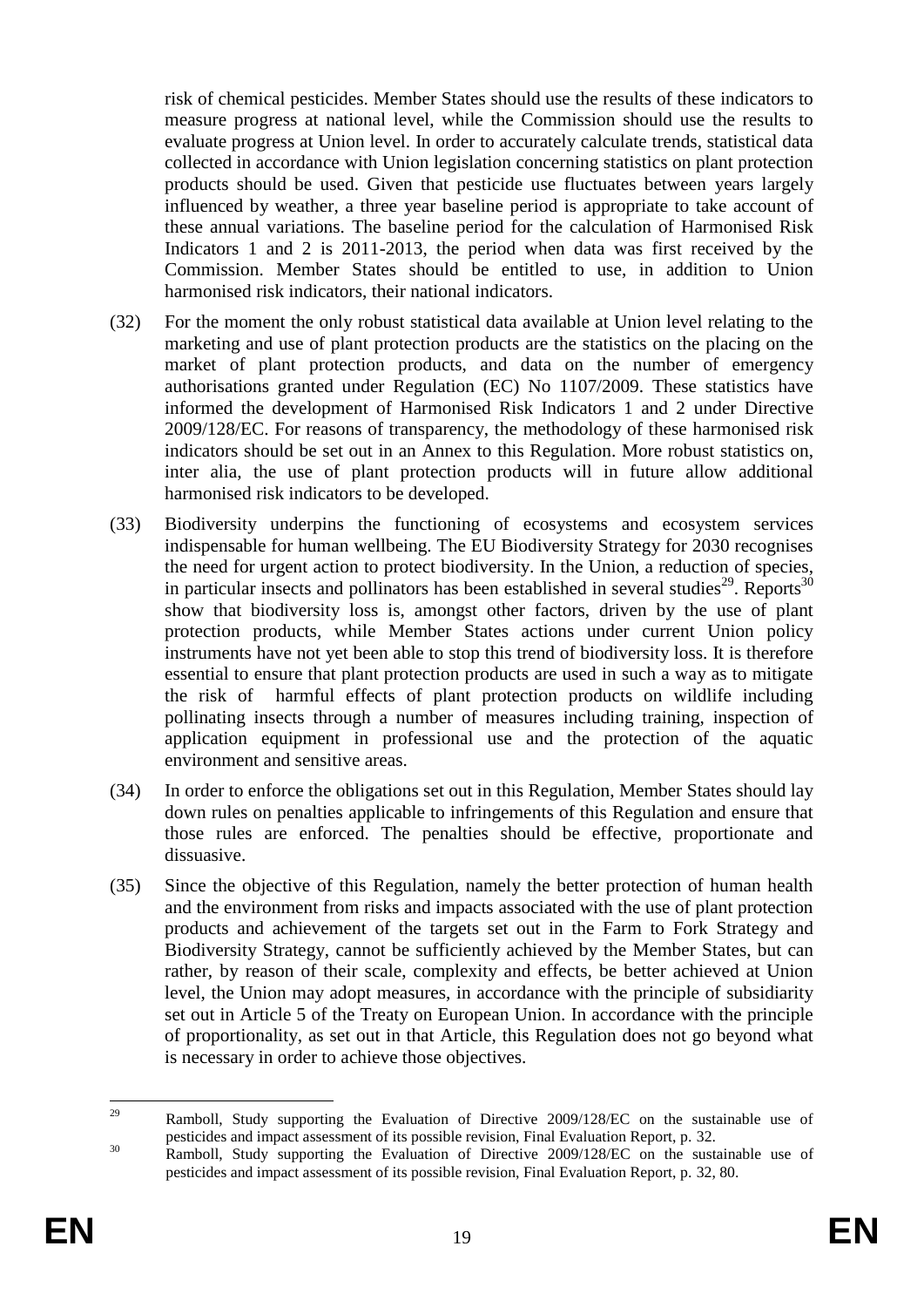risk of chemical pesticides. Member States should use the results of these indicators to measure progress at national level, while the Commission should use the results to evaluate progress at Union level. In order to accurately calculate trends, statistical data collected in accordance with Union legislation concerning statistics on plant protection products should be used. Given that pesticide use fluctuates between years largely influenced by weather, a three year baseline period is appropriate to take account of these annual variations. The baseline period for the calculation of Harmonised Risk Indicators 1 and 2 is 2011-2013, the period when data was first received by the Commission. Member States should be entitled to use, in addition to Union harmonised risk indicators, their national indicators.

- (32) For the moment the only robust statistical data available at Union level relating to the marketing and use of plant protection products are the statistics on the placing on the market of plant protection products, and data on the number of emergency authorisations granted under Regulation (EC) No 1107/2009. These statistics have informed the development of Harmonised Risk Indicators 1 and 2 under Directive 2009/128/EC. For reasons of transparency, the methodology of these harmonised risk indicators should be set out in an Annex to this Regulation. More robust statistics on, inter alia, the use of plant protection products will in future allow additional harmonised risk indicators to be developed.
- (33) Biodiversity underpins the functioning of ecosystems and ecosystem services indispensable for human wellbeing. The EU Biodiversity Strategy for 2030 recognises the need for urgent action to protect biodiversity. In the Union, a reduction of species, in particular insects and pollinators has been established in several studies<sup>29</sup>. Reports<sup>30</sup> show that biodiversity loss is, amongst other factors, driven by the use of plant protection products, while Member States actions under current Union policy instruments have not yet been able to stop this trend of biodiversity loss. It is therefore essential to ensure that plant protection products are used in such a way as to mitigate the risk of harmful effects of plant protection products on wildlife including pollinating insects through a number of measures including training, inspection of application equipment in professional use and the protection of the aquatic environment and sensitive areas.
- (34) In order to enforce the obligations set out in this Regulation, Member States should lay down rules on penalties applicable to infringements of this Regulation and ensure that those rules are enforced. The penalties should be effective, proportionate and dissuasive.
- (35) Since the objective of this Regulation, namely the better protection of human health and the environment from risks and impacts associated with the use of plant protection products and achievement of the targets set out in the Farm to Fork Strategy and Biodiversity Strategy, cannot be sufficiently achieved by the Member States, but can rather, by reason of their scale, complexity and effects, be better achieved at Union level, the Union may adopt measures, in accordance with the principle of subsidiarity set out in Article 5 of the Treaty on European Union. In accordance with the principle of proportionality, as set out in that Article, this Regulation does not go beyond what is necessary in order to achieve those objectives.

<sup>29</sup> Ramboll, Study supporting the Evaluation of Directive 2009/128/EC on the sustainable use of pesticides and impact assessment of its possible revision, Final Evaluation Report, p. 32.

<sup>&</sup>lt;sup>30</sup> Ramboll, Study supporting the Evaluation of Directive 2009/128/EC on the sustainable use of pesticides and impact assessment of its possible revision, Final Evaluation Report, p. 32, 80.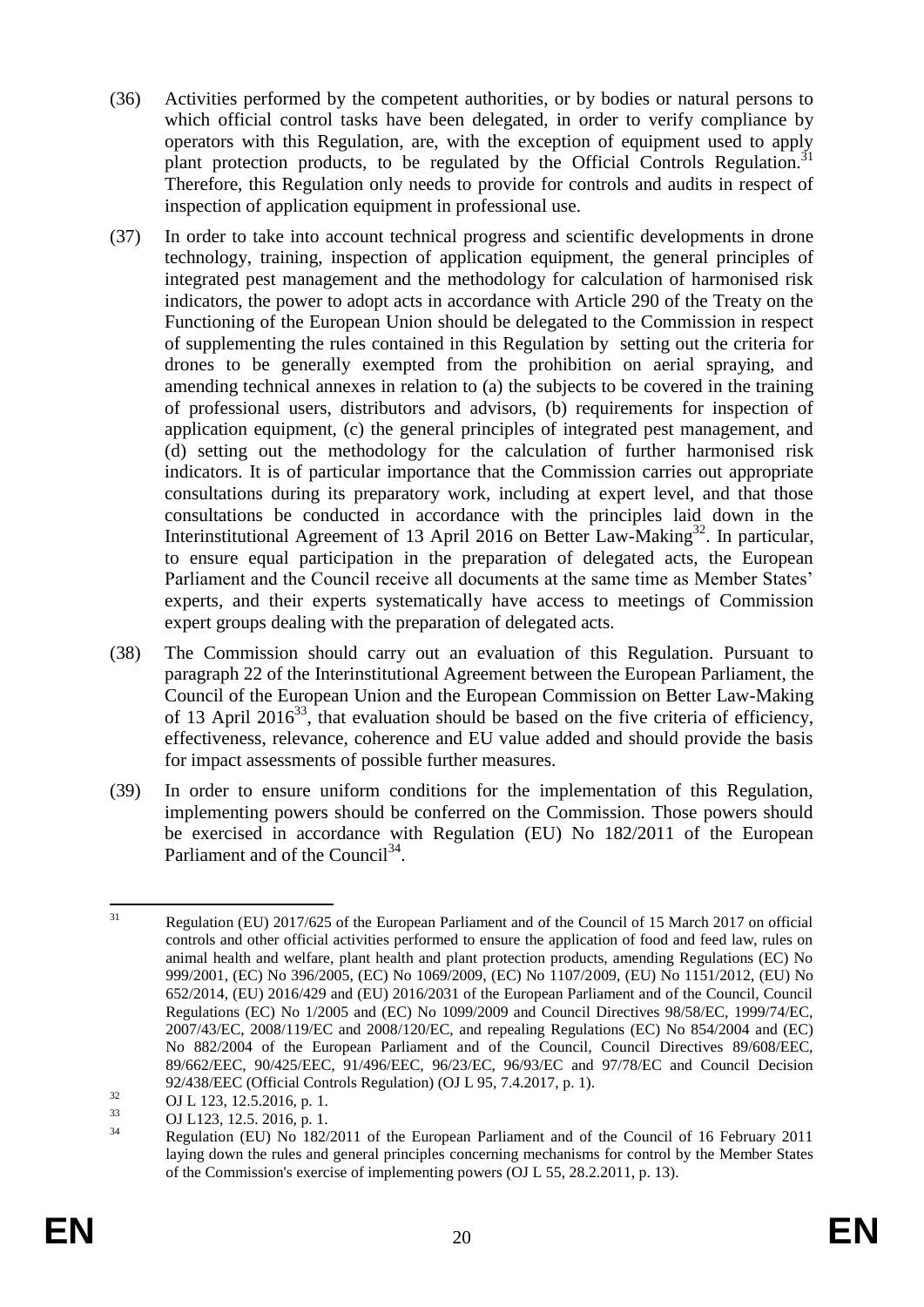- (36) Activities performed by the competent authorities, or by bodies or natural persons to which official control tasks have been delegated, in order to verify compliance by operators with this Regulation, are, with the exception of equipment used to apply plant protection products, to be regulated by the Official Controls Regulation.<sup>31</sup> Therefore, this Regulation only needs to provide for controls and audits in respect of inspection of application equipment in professional use.
- (37) In order to take into account technical progress and scientific developments in drone technology, training, inspection of application equipment, the general principles of integrated pest management and the methodology for calculation of harmonised risk indicators, the power to adopt acts in accordance with Article 290 of the Treaty on the Functioning of the European Union should be delegated to the Commission in respect of supplementing the rules contained in this Regulation by setting out the criteria for drones to be generally exempted from the prohibition on aerial spraying, and amending technical annexes in relation to (a) the subjects to be covered in the training of professional users, distributors and advisors, (b) requirements for inspection of application equipment, (c) the general principles of integrated pest management, and (d) setting out the methodology for the calculation of further harmonised risk indicators. It is of particular importance that the Commission carries out appropriate consultations during its preparatory work, including at expert level, and that those consultations be conducted in accordance with the principles laid down in the Interinstitutional Agreement of 13 April 2016 on Better Law-Making<sup>32</sup>. In particular, to ensure equal participation in the preparation of delegated acts, the European Parliament and the Council receive all documents at the same time as Member States' experts, and their experts systematically have access to meetings of Commission expert groups dealing with the preparation of delegated acts.
- (38) The Commission should carry out an evaluation of this Regulation. Pursuant to paragraph 22 of the Interinstitutional Agreement between the European Parliament, the Council of the European Union and the European Commission on Better Law-Making of 13 April 2016<sup>33</sup>, that evaluation should be based on the five criteria of efficiency, effectiveness, relevance, coherence and EU value added and should provide the basis for impact assessments of possible further measures.
- (39) In order to ensure uniform conditions for the implementation of this Regulation, implementing powers should be conferred on the Commission. Those powers should be exercised in accordance with Regulation (EU) No 182/2011 of the European Parliament and of the Council<sup>34</sup>.

 $31$ Regulation (EU) 2017/625 of the European Parliament and of the Council of 15 March 2017 on official controls and other official activities performed to ensure the application of food and feed law, rules on animal health and welfare, plant health and plant protection products, amending Regulations (EC) No 999/2001, (EC) No 396/2005, (EC) No 1069/2009, (EC) No 1107/2009, (EU) No 1151/2012, (EU) No 652/2014, (EU) 2016/429 and (EU) 2016/2031 of the European Parliament and of the Council, Council Regulations (EC) No 1/2005 and (EC) No 1099/2009 and Council Directives 98/58/EC, 1999/74/EC, 2007/43/EC, 2008/119/EC and 2008/120/EC, and repealing Regulations (EC) No 854/2004 and (EC) No 882/2004 of the European Parliament and of the Council, Council Directives 89/608/EEC, 89/662/EEC, 90/425/EEC, 91/496/EEC, 96/23/EC, 96/93/EC and 97/78/EC and Council Decision 92/438/EEC (Official Controls Regulation) (OJ L 95, 7.4.2017, p. 1).

 $\overline{O}$  OJ L 123, 12.5.2016, p. 1.<br>  $\overline{O}$  OJ L 123, 12.5.2016, p. 1.

 $\frac{33}{34}$  OJ L123, 12.5. 2016, p. 1.<br>Reculsion (EU) No. 1820

<sup>34</sup> Regulation (EU) No 182/2011 of the European Parliament and of the Council of 16 February 2011 laying down the rules and general principles concerning mechanisms for control by the Member States of the Commission's exercise of implementing powers (OJ L 55, 28.2.2011, p. 13).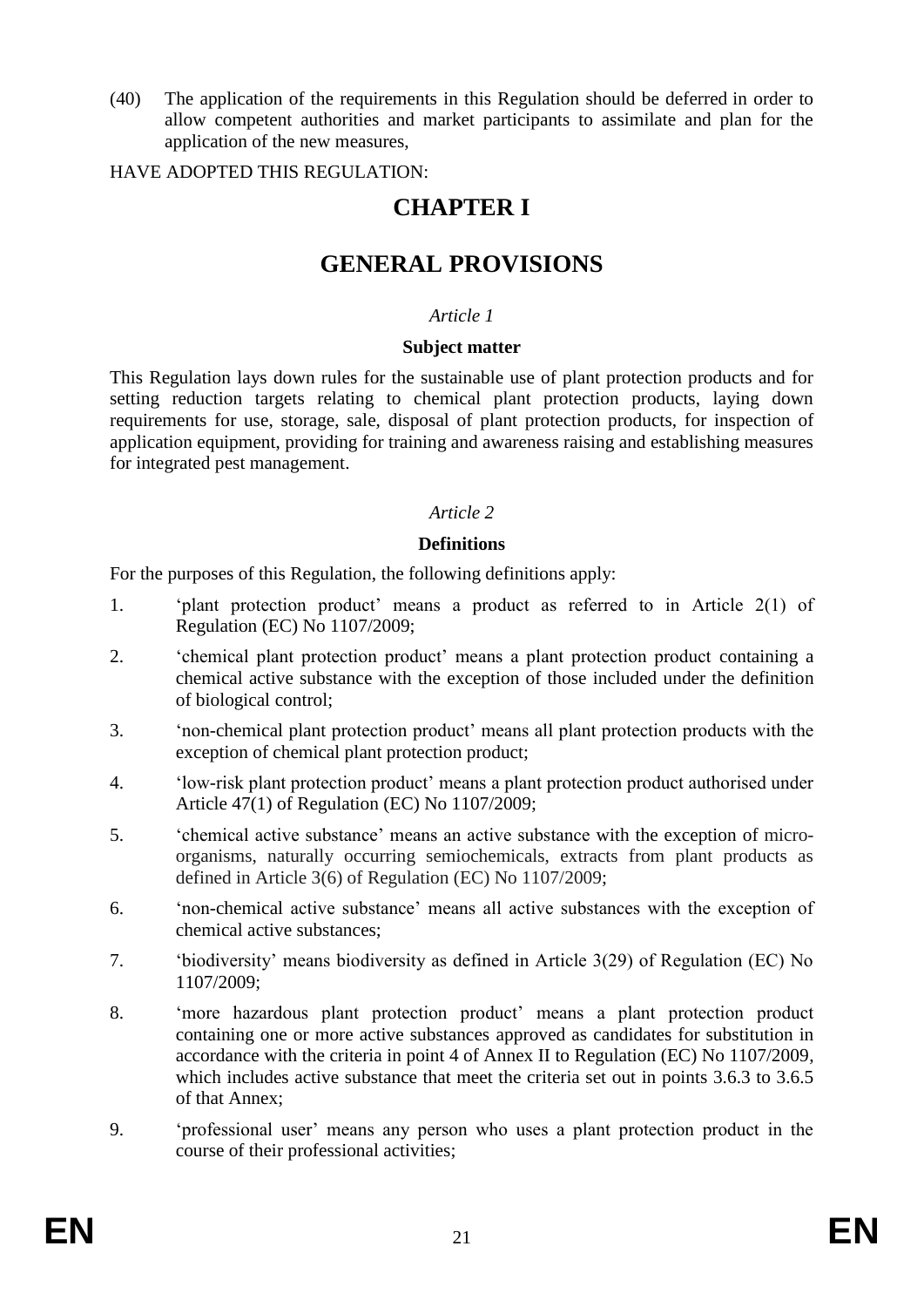(40) The application of the requirements in this Regulation should be deferred in order to allow competent authorities and market participants to assimilate and plan for the application of the new measures,

HAVE ADOPTED THIS REGULATION:

# **CHAPTER I**

# **GENERAL PROVISIONS**

#### *Article 1*

#### **Subject matter**

This Regulation lays down rules for the sustainable use of plant protection products and for setting reduction targets relating to chemical plant protection products, laying down requirements for use, storage, sale, disposal of plant protection products, for inspection of application equipment, providing for training and awareness raising and establishing measures for integrated pest management.

#### *Article 2*

#### **Definitions**

For the purposes of this Regulation, the following definitions apply:

- 1. 'plant protection product' means a product as referred to in Article 2(1) of Regulation (EC) No 1107/2009;
- 2. 'chemical plant protection product' means a plant protection product containing a chemical active substance with the exception of those included under the definition of biological control;
- 3. 'non-chemical plant protection product' means all plant protection products with the exception of chemical plant protection product;
- 4. 'low-risk plant protection product' means a plant protection product authorised under Article 47(1) of Regulation (EC) No 1107/2009;
- 5. 'chemical active substance' means an active substance with the exception of microorganisms, naturally occurring semiochemicals, extracts from plant products as defined in Article 3(6) of Regulation (EC) No 1107/2009;
- 6. 'non-chemical active substance' means all active substances with the exception of chemical active substances;
- 7. 'biodiversity' means biodiversity as defined in Article 3(29) of Regulation (EC) No 1107/2009;
- 8. 'more hazardous plant protection product' means a plant protection product containing one or more active substances approved as candidates for substitution in accordance with the criteria in point 4 of Annex II to Regulation (EC) No 1107/2009, which includes active substance that meet the criteria set out in points 3.6.3 to 3.6.5 of that Annex;
- 9. 'professional user' means any person who uses a plant protection product in the course of their professional activities;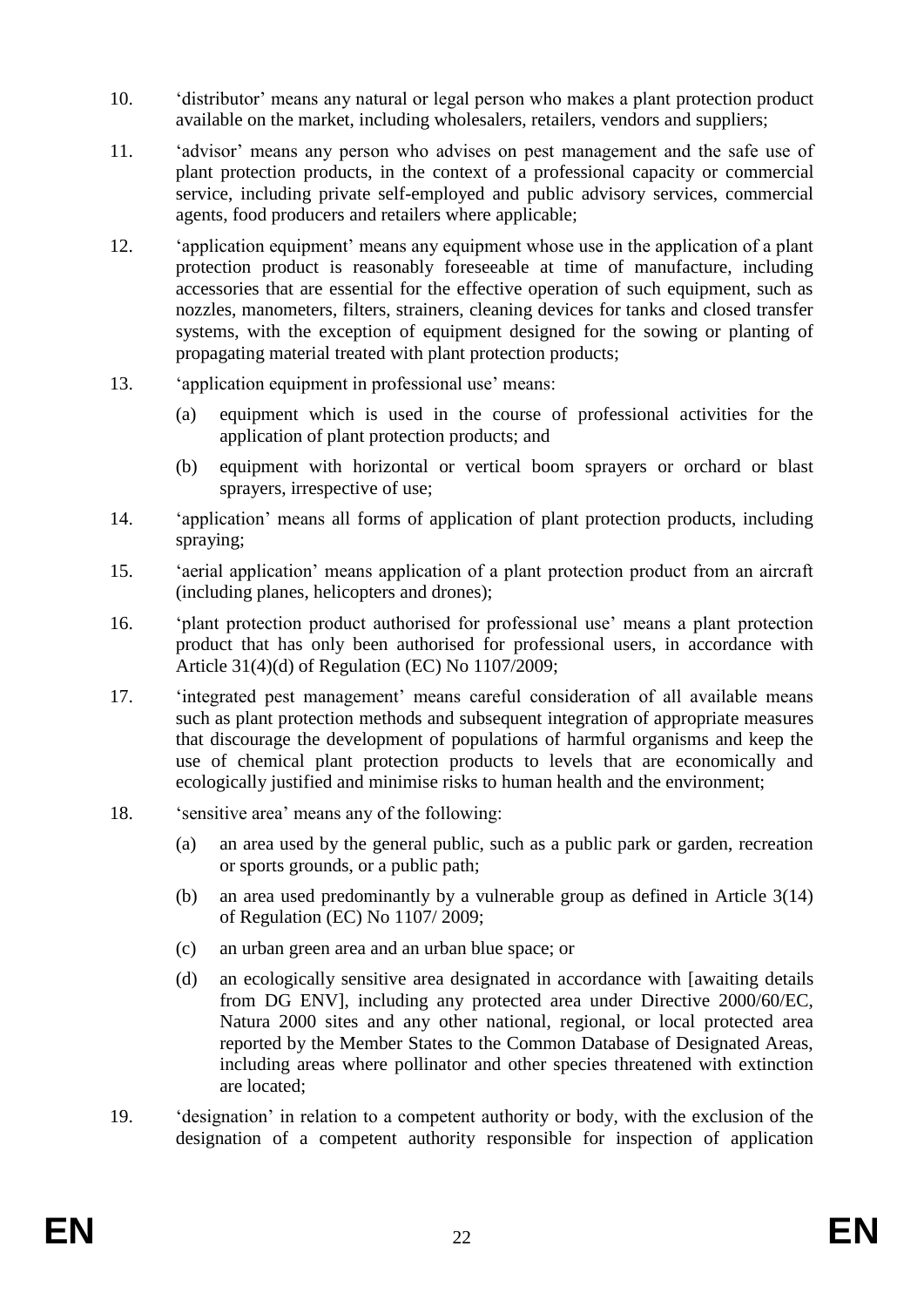- 10. 'distributor' means any natural or legal person who makes a plant protection product available on the market, including wholesalers, retailers, vendors and suppliers;
- 11. 'advisor' means any person who advises on pest management and the safe use of plant protection products, in the context of a professional capacity or commercial service, including private self-employed and public advisory services, commercial agents, food producers and retailers where applicable;
- 12. 'application equipment' means any equipment whose use in the application of a plant protection product is reasonably foreseeable at time of manufacture, including accessories that are essential for the effective operation of such equipment, such as nozzles, manometers, filters, strainers, cleaning devices for tanks and closed transfer systems, with the exception of equipment designed for the sowing or planting of propagating material treated with plant protection products;
- 13. 'application equipment in professional use' means:
	- (a) equipment which is used in the course of professional activities for the application of plant protection products; and
	- (b) equipment with horizontal or vertical boom sprayers or orchard or blast sprayers, irrespective of use;
- 14. 'application' means all forms of application of plant protection products, including spraying;
- 15. 'aerial application' means application of a plant protection product from an aircraft (including planes, helicopters and drones);
- 16. 'plant protection product authorised for professional use' means a plant protection product that has only been authorised for professional users, in accordance with Article 31(4)(d) of Regulation (EC) No 1107/2009;
- 17. 'integrated pest management' means careful consideration of all available means such as plant protection methods and subsequent integration of appropriate measures that discourage the development of populations of harmful organisms and keep the use of chemical plant protection products to levels that are economically and ecologically justified and minimise risks to human health and the environment;
- 18. 'sensitive area' means any of the following:
	- (a) an area used by the general public, such as a public park or garden, recreation or sports grounds, or a public path;
	- (b) an area used predominantly by a vulnerable group as defined in Article 3(14) of Regulation (EC) No 1107/ 2009;
	- (c) an urban green area and an urban blue space; or
	- (d) an ecologically sensitive area designated in accordance with [awaiting details from DG ENV], including any protected area under Directive 2000/60/EC, Natura 2000 sites and any other national, regional, or local protected area reported by the Member States to the Common Database of Designated Areas, including areas where pollinator and other species threatened with extinction are located;
- 19. 'designation' in relation to a competent authority or body, with the exclusion of the designation of a competent authority responsible for inspection of application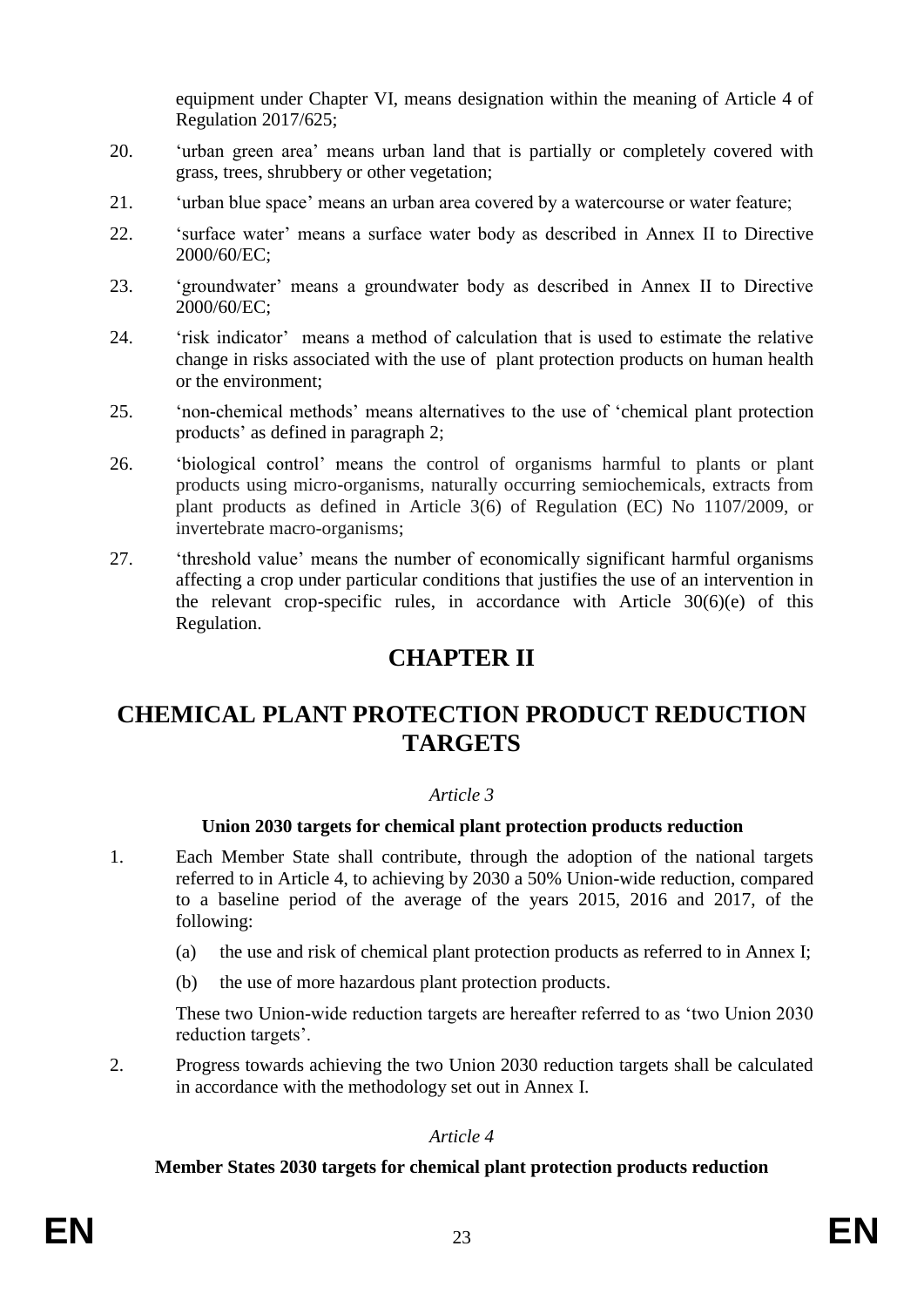equipment under Chapter VI, means designation within the meaning of Article 4 of Regulation 2017/625;

- 20. 'urban green area' means urban land that is partially or completely covered with grass, trees, shrubbery or other vegetation;
- 21. 'urban blue space' means an urban area covered by a watercourse or water feature;
- 22. 'surface water' means a surface water body as described in Annex II to Directive 2000/60/EC;
- 23. 'groundwater' means a groundwater body as described in Annex II to Directive  $2000/60/EC$
- 24. 'risk indicator' means a method of calculation that is used to estimate the relative change in risks associated with the use of plant protection products on human health or the environment;
- 25. 'non-chemical methods' means alternatives to the use of 'chemical plant protection products' as defined in paragraph 2;
- 26. 'biological control' means the control of organisms harmful to plants or plant products using micro-organisms, naturally occurring semiochemicals, extracts from plant products as defined in Article 3(6) of Regulation (EC) No 1107/2009, or invertebrate macro-organisms;
- 27. 'threshold value' means the number of economically significant harmful organisms affecting a crop under particular conditions that justifies the use of an intervention in the relevant crop-specific rules, in accordance with Article  $30(6)(e)$  of this Regulation.

# **CHAPTER II**

# **CHEMICAL PLANT PROTECTION PRODUCT REDUCTION TARGETS**

# *Article 3*

# **Union 2030 targets for chemical plant protection products reduction**

- 1. Each Member State shall contribute, through the adoption of the national targets referred to in Article 4, to achieving by 2030 a 50% Union-wide reduction, compared to a baseline period of the average of the years 2015, 2016 and 2017, of the following:
	- (a) the use and risk of chemical plant protection products as referred to in Annex I;
	- (b) the use of more hazardous plant protection products.

These two Union-wide reduction targets are hereafter referred to as 'two Union 2030 reduction targets'.

2. Progress towards achieving the two Union 2030 reduction targets shall be calculated in accordance with the methodology set out in Annex I.

# *Article 4*

# **Member States 2030 targets for chemical plant protection products reduction**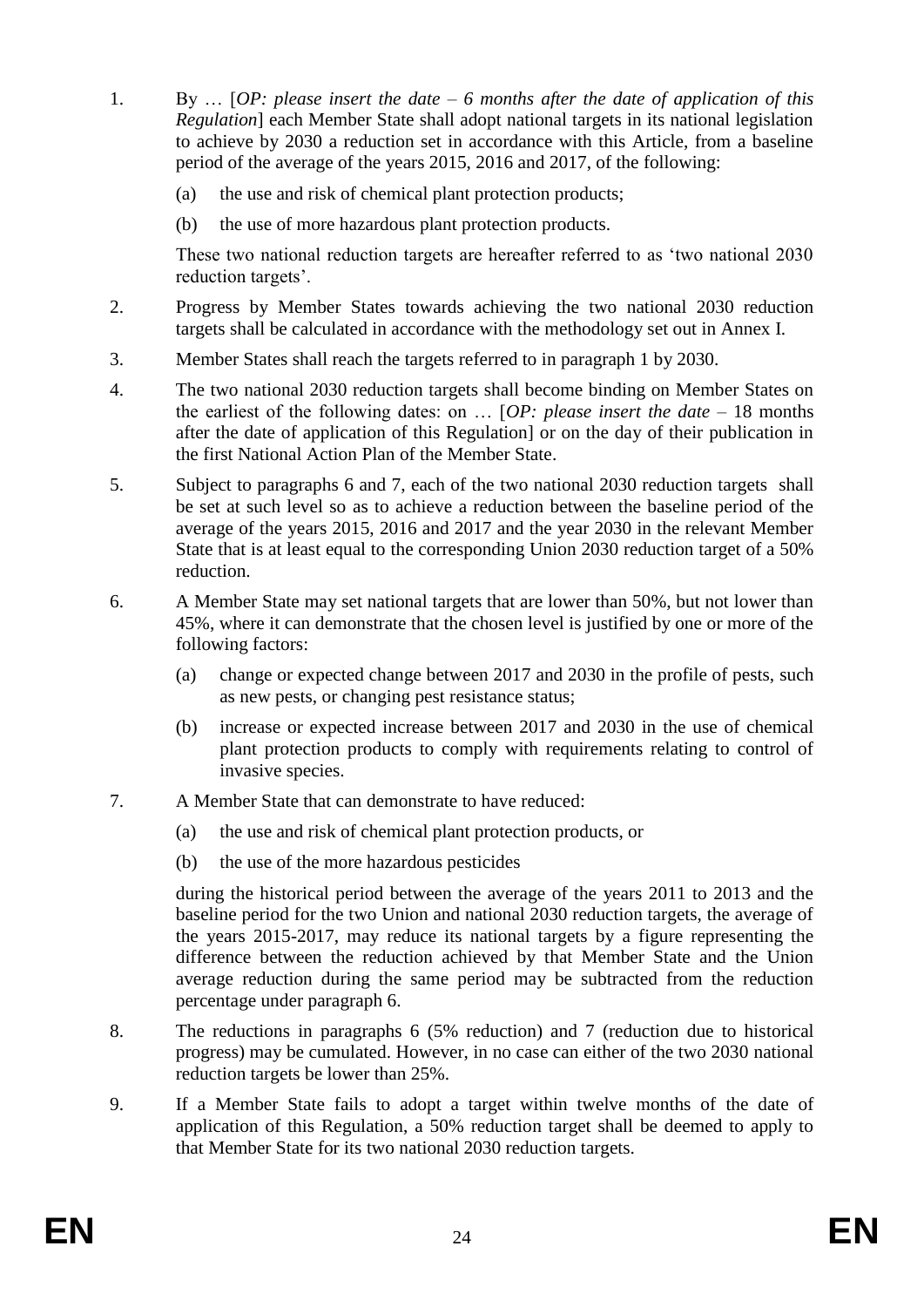- 1. By … [*OP: please insert the date – 6 months after the date of application of this Regulation*] each Member State shall adopt national targets in its national legislation to achieve by 2030 a reduction set in accordance with this Article, from a baseline period of the average of the years 2015, 2016 and 2017, of the following:
	- (a) the use and risk of chemical plant protection products;
	- (b) the use of more hazardous plant protection products.

These two national reduction targets are hereafter referred to as 'two national 2030 reduction targets'.

- 2. Progress by Member States towards achieving the two national 2030 reduction targets shall be calculated in accordance with the methodology set out in Annex I.
- 3. Member States shall reach the targets referred to in paragraph 1 by 2030.
- 4. The two national 2030 reduction targets shall become binding on Member States on the earliest of the following dates: on … [*OP: please insert the date –* 18 months after the date of application of this Regulation] or on the day of their publication in the first National Action Plan of the Member State.
- 5. Subject to paragraphs 6 and 7, each of the two national 2030 reduction targets shall be set at such level so as to achieve a reduction between the baseline period of the average of the years 2015, 2016 and 2017 and the year 2030 in the relevant Member State that is at least equal to the corresponding Union 2030 reduction target of a 50% reduction.
- 6. A Member State may set national targets that are lower than 50%, but not lower than 45%, where it can demonstrate that the chosen level is justified by one or more of the following factors:
	- (a) change or expected change between 2017 and 2030 in the profile of pests, such as new pests, or changing pest resistance status;
	- (b) increase or expected increase between 2017 and 2030 in the use of chemical plant protection products to comply with requirements relating to control of invasive species.
- 7. A Member State that can demonstrate to have reduced:
	- (a) the use and risk of chemical plant protection products, or
	- (b) the use of the more hazardous pesticides

during the historical period between the average of the years 2011 to 2013 and the baseline period for the two Union and national 2030 reduction targets, the average of the years 2015-2017, may reduce its national targets by a figure representing the difference between the reduction achieved by that Member State and the Union average reduction during the same period may be subtracted from the reduction percentage under paragraph 6.

- 8. The reductions in paragraphs 6 (5% reduction) and 7 (reduction due to historical progress) may be cumulated. However, in no case can either of the two 2030 national reduction targets be lower than 25%.
- 9. If a Member State fails to adopt a target within twelve months of the date of application of this Regulation, a 50% reduction target shall be deemed to apply to that Member State for its two national 2030 reduction targets.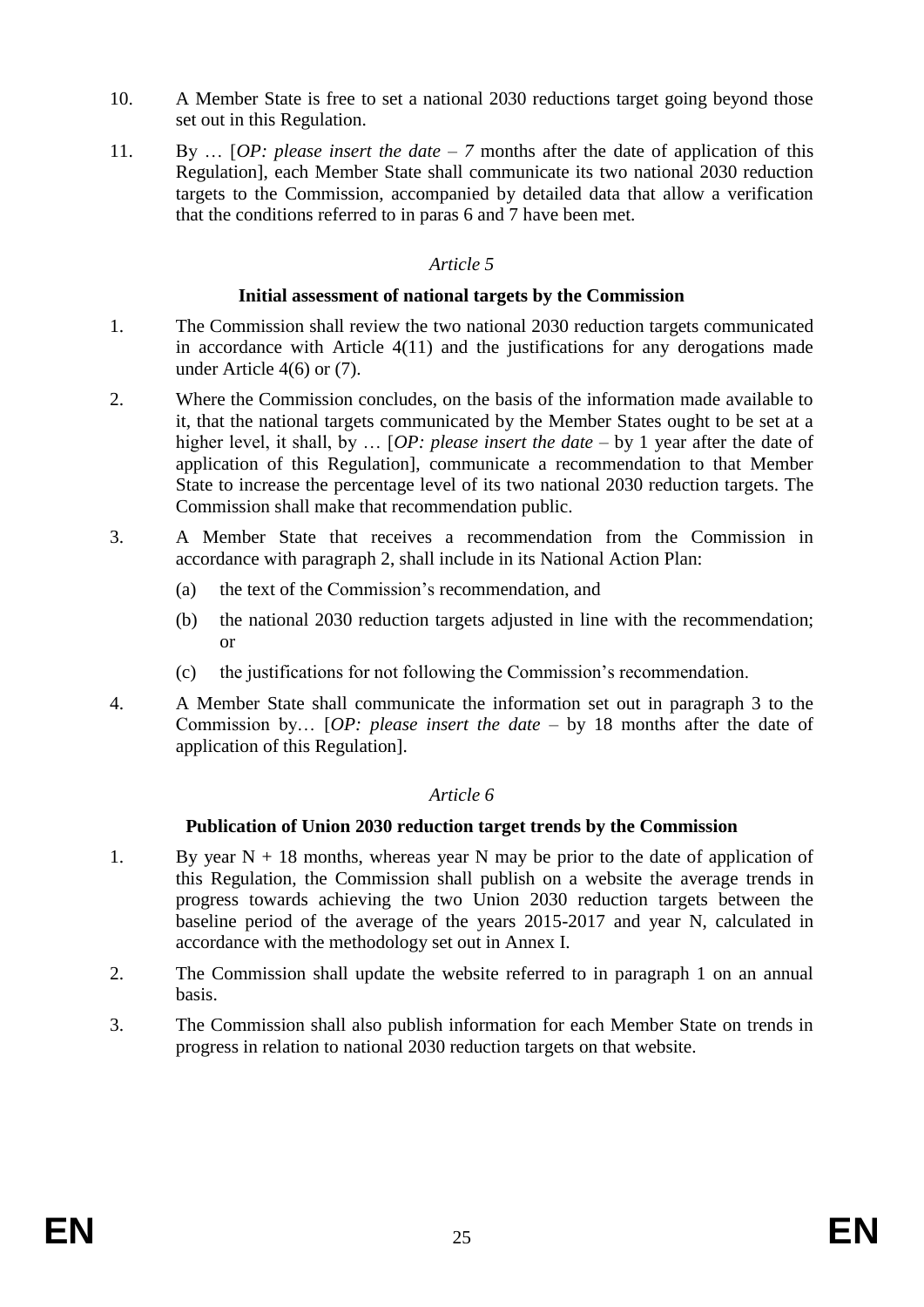- 10. A Member State is free to set a national 2030 reductions target going beyond those set out in this Regulation.
- 11. By … [*OP: please insert the date – 7* months after the date of application of this Regulation], each Member State shall communicate its two national 2030 reduction targets to the Commission, accompanied by detailed data that allow a verification that the conditions referred to in paras 6 and 7 have been met.

#### **Initial assessment of national targets by the Commission**

- 1. The Commission shall review the two national 2030 reduction targets communicated in accordance with Article 4(11) and the justifications for any derogations made under Article 4(6) or (7).
- 2. Where the Commission concludes, on the basis of the information made available to it, that the national targets communicated by the Member States ought to be set at a higher level, it shall, by ... [*OP: please insert the date –* by 1 year after the date of application of this Regulation], communicate a recommendation to that Member State to increase the percentage level of its two national 2030 reduction targets. The Commission shall make that recommendation public.
- 3. A Member State that receives a recommendation from the Commission in accordance with paragraph 2, shall include in its National Action Plan:
	- (a) the text of the Commission's recommendation, and
	- (b) the national 2030 reduction targets adjusted in line with the recommendation; or
	- (c) the justifications for not following the Commission's recommendation.
- 4. A Member State shall communicate the information set out in paragraph 3 to the Commission by… [*OP: please insert the date –* by 18 months after the date of application of this Regulation].

# *Article 6*

# **Publication of Union 2030 reduction target trends by the Commission**

- 1. By year  $N + 18$  months, whereas year N may be prior to the date of application of this Regulation, the Commission shall publish on a website the average trends in progress towards achieving the two Union 2030 reduction targets between the baseline period of the average of the years 2015-2017 and year N, calculated in accordance with the methodology set out in Annex I.
- 2. The Commission shall update the website referred to in paragraph 1 on an annual basis.
- 3. The Commission shall also publish information for each Member State on trends in progress in relation to national 2030 reduction targets on that website.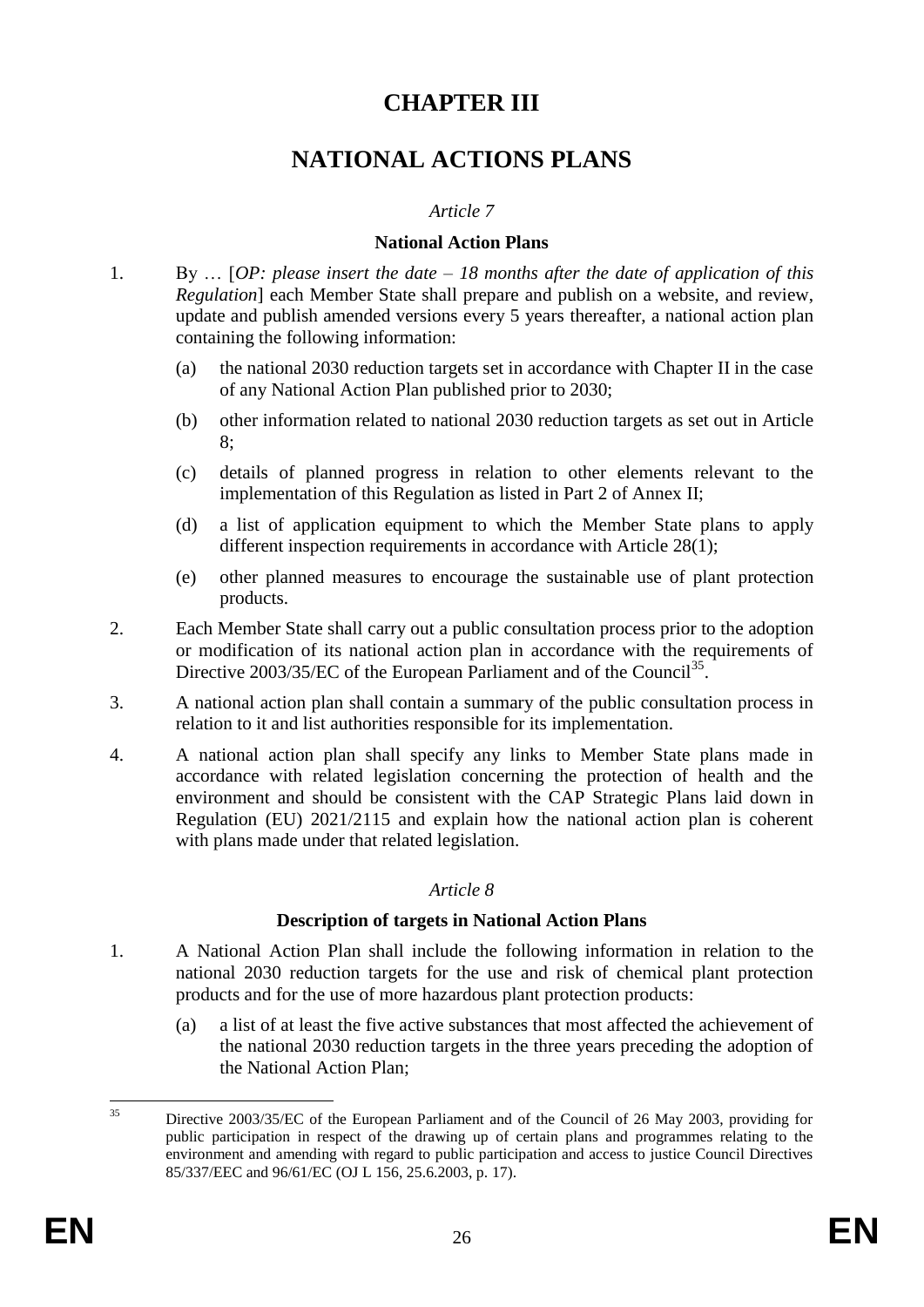# **CHAPTER III**

# **NATIONAL ACTIONS PLANS**

### *Article 7*

#### **National Action Plans**

- 1. By … [*OP: please insert the date – 18 months after the date of application of this Regulation*] each Member State shall prepare and publish on a website, and review, update and publish amended versions every 5 years thereafter, a national action plan containing the following information:
	- (a) the national 2030 reduction targets set in accordance with Chapter II in the case of any National Action Plan published prior to 2030;
	- (b) other information related to national 2030 reduction targets as set out in Article 8;
	- (c) details of planned progress in relation to other elements relevant to the implementation of this Regulation as listed in Part 2 of Annex II;
	- (d) a list of application equipment to which the Member State plans to apply different inspection requirements in accordance with Article 28(1);
	- (e) other planned measures to encourage the sustainable use of plant protection products.
- 2. Each Member State shall carry out a public consultation process prior to the adoption or modification of its national action plan in accordance with the requirements of Directive 2003/35/EC of the European Parliament and of the Council<sup>35</sup>.
- 3. A national action plan shall contain a summary of the public consultation process in relation to it and list authorities responsible for its implementation.
- 4. A national action plan shall specify any links to Member State plans made in accordance with related legislation concerning the protection of health and the environment and should be consistent with the CAP Strategic Plans laid down in Regulation (EU) 2021/2115 and explain how the national action plan is coherent with plans made under that related legislation.

# *Article 8*

#### **Description of targets in National Action Plans**

- 1. A National Action Plan shall include the following information in relation to the national 2030 reduction targets for the use and risk of chemical plant protection products and for the use of more hazardous plant protection products:
	- (a) a list of at least the five active substances that most affected the achievement of the national 2030 reduction targets in the three years preceding the adoption of the National Action Plan;

 $35$ <sup>35</sup> Directive 2003/35/EC of the European Parliament and of the Council of 26 May 2003, providing for public participation in respect of the drawing up of certain plans and programmes relating to the environment and amending with regard to public participation and access to justice Council Directives 85/337/EEC and 96/61/EC (OJ L 156, 25.6.2003, p. 17).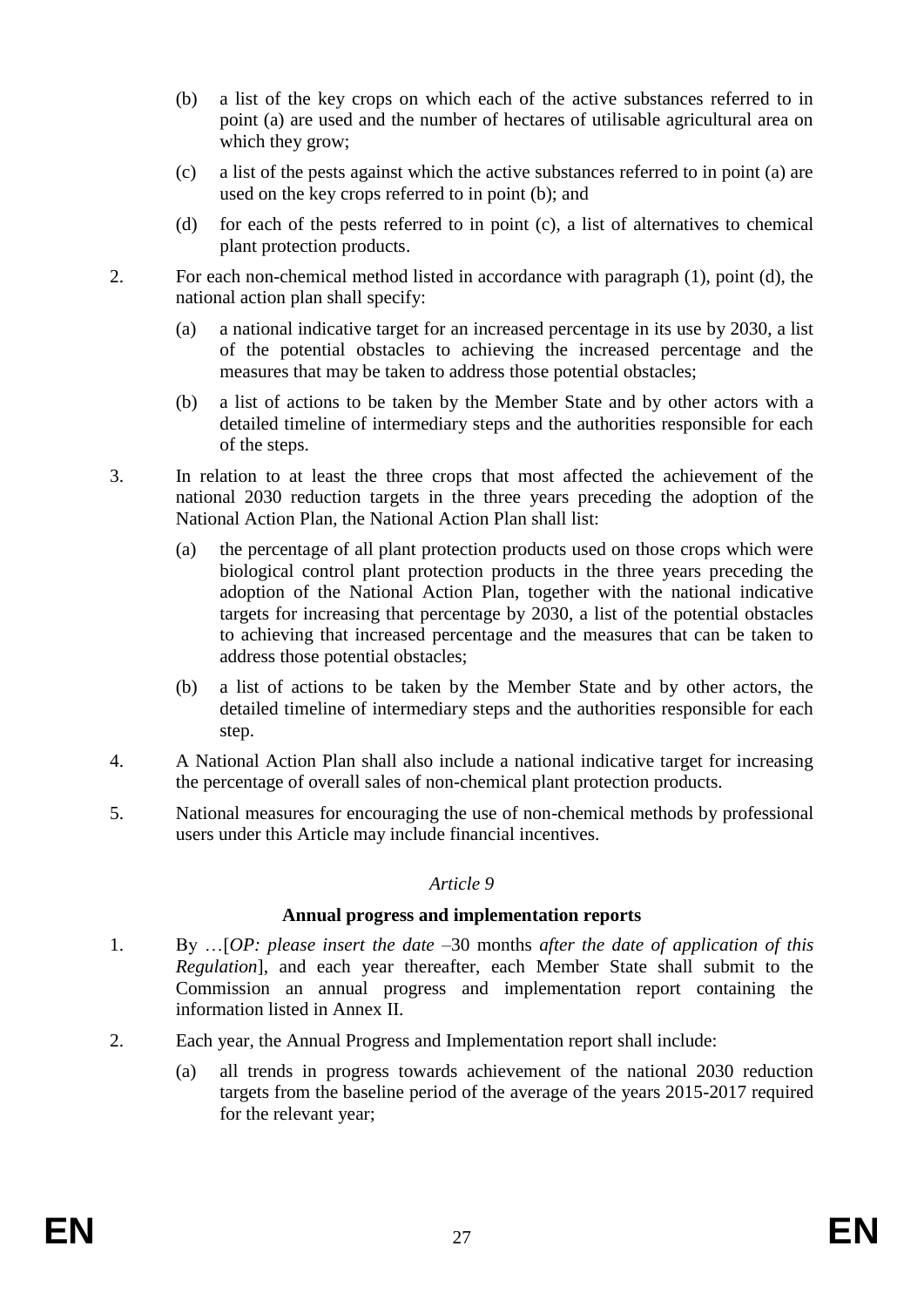- (b) a list of the key crops on which each of the active substances referred to in point (a) are used and the number of hectares of utilisable agricultural area on which they grow;
- (c) a list of the pests against which the active substances referred to in point (a) are used on the key crops referred to in point (b); and
- (d) for each of the pests referred to in point (c), a list of alternatives to chemical plant protection products.
- 2. For each non-chemical method listed in accordance with paragraph (1), point (d), the national action plan shall specify:
	- (a) a national indicative target for an increased percentage in its use by 2030, a list of the potential obstacles to achieving the increased percentage and the measures that may be taken to address those potential obstacles;
	- (b) a list of actions to be taken by the Member State and by other actors with a detailed timeline of intermediary steps and the authorities responsible for each of the steps.
- 3. In relation to at least the three crops that most affected the achievement of the national 2030 reduction targets in the three years preceding the adoption of the National Action Plan, the National Action Plan shall list:
	- (a) the percentage of all plant protection products used on those crops which were biological control plant protection products in the three years preceding the adoption of the National Action Plan, together with the national indicative targets for increasing that percentage by 2030, a list of the potential obstacles to achieving that increased percentage and the measures that can be taken to address those potential obstacles;
	- (b) a list of actions to be taken by the Member State and by other actors, the detailed timeline of intermediary steps and the authorities responsible for each step.
- 4. A National Action Plan shall also include a national indicative target for increasing the percentage of overall sales of non-chemical plant protection products.
- 5. National measures for encouraging the use of non-chemical methods by professional users under this Article may include financial incentives.

#### **Annual progress and implementation reports**

- 1. By …[*OP: please insert the date –*30 months *after the date of application of this Regulation*], and each year thereafter, each Member State shall submit to the Commission an annual progress and implementation report containing the information listed in Annex II.
- 2. Each year, the Annual Progress and Implementation report shall include:
	- (a) all trends in progress towards achievement of the national 2030 reduction targets from the baseline period of the average of the years 2015-2017 required for the relevant year;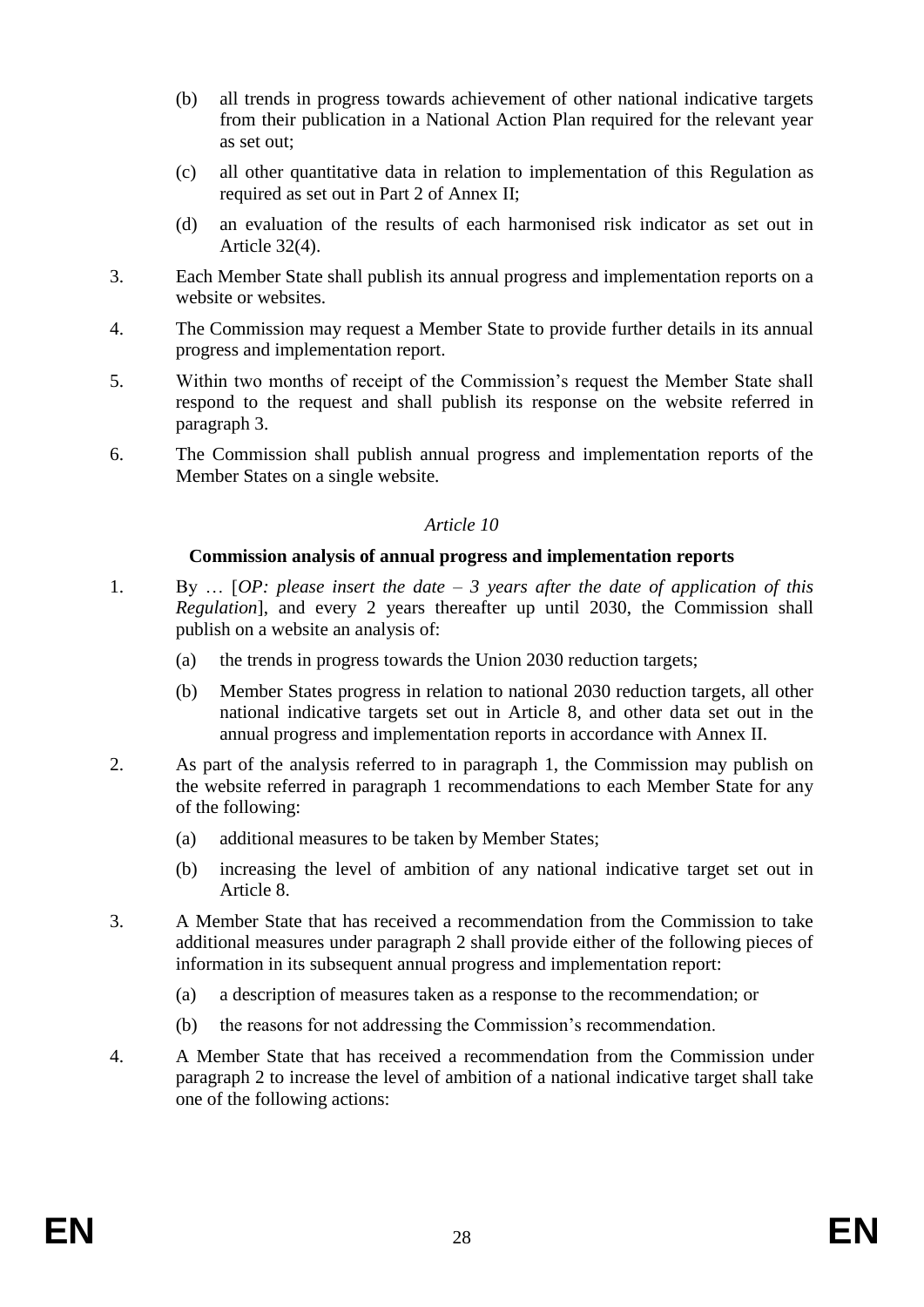- (b) all trends in progress towards achievement of other national indicative targets from their publication in a National Action Plan required for the relevant year as set out;
- (c) all other quantitative data in relation to implementation of this Regulation as required as set out in Part 2 of Annex II;
- (d) an evaluation of the results of each harmonised risk indicator as set out in Article 32(4).
- 3. Each Member State shall publish its annual progress and implementation reports on a website or websites.
- 4. The Commission may request a Member State to provide further details in its annual progress and implementation report.
- 5. Within two months of receipt of the Commission's request the Member State shall respond to the request and shall publish its response on the website referred in paragraph 3.
- 6. The Commission shall publish annual progress and implementation reports of the Member States on a single website.

#### **Commission analysis of annual progress and implementation reports**

- 1. By … [*OP: please insert the date – 3 years after the date of application of this Regulation*], and every 2 years thereafter up until 2030, the Commission shall publish on a website an analysis of:
	- (a) the trends in progress towards the Union 2030 reduction targets;
	- (b) Member States progress in relation to national 2030 reduction targets, all other national indicative targets set out in Article 8, and other data set out in the annual progress and implementation reports in accordance with Annex II.
- 2. As part of the analysis referred to in paragraph 1, the Commission may publish on the website referred in paragraph 1 recommendations to each Member State for any of the following:
	- (a) additional measures to be taken by Member States;
	- (b) increasing the level of ambition of any national indicative target set out in Article 8.
- 3. A Member State that has received a recommendation from the Commission to take additional measures under paragraph 2 shall provide either of the following pieces of information in its subsequent annual progress and implementation report:
	- (a) a description of measures taken as a response to the recommendation; or
	- (b) the reasons for not addressing the Commission's recommendation.
- 4. A Member State that has received a recommendation from the Commission under paragraph 2 to increase the level of ambition of a national indicative target shall take one of the following actions: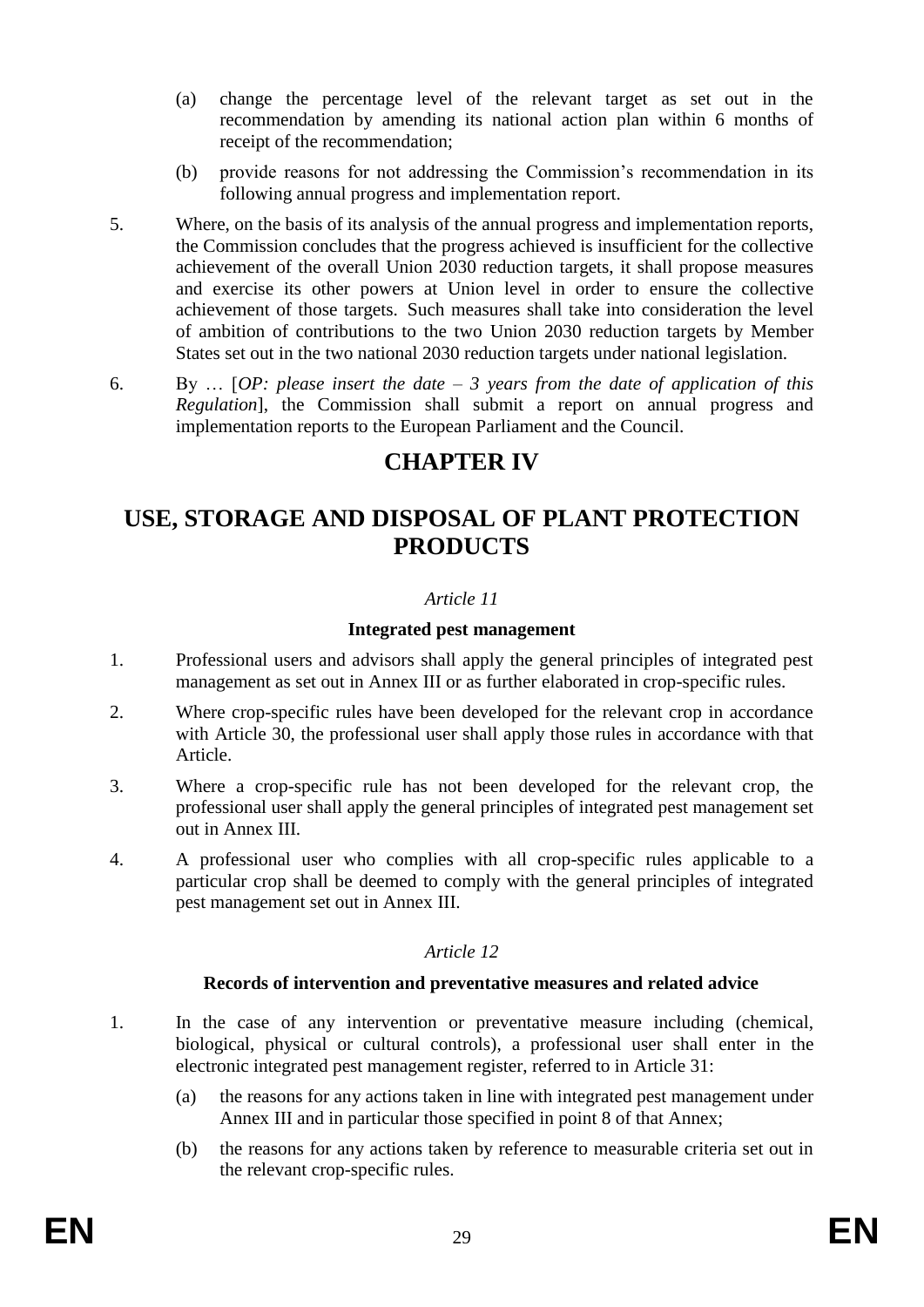- (a) change the percentage level of the relevant target as set out in the recommendation by amending its national action plan within 6 months of receipt of the recommendation;
- (b) provide reasons for not addressing the Commission's recommendation in its following annual progress and implementation report.
- 5. Where, on the basis of its analysis of the annual progress and implementation reports, the Commission concludes that the progress achieved is insufficient for the collective achievement of the overall Union 2030 reduction targets, it shall propose measures and exercise its other powers at Union level in order to ensure the collective achievement of those targets. Such measures shall take into consideration the level of ambition of contributions to the two Union 2030 reduction targets by Member States set out in the two national 2030 reduction targets under national legislation.
- 6. By … [*OP: please insert the date – 3 years from the date of application of this Regulation*], the Commission shall submit a report on annual progress and implementation reports to the European Parliament and the Council.

# **CHAPTER IV**

# **USE, STORAGE AND DISPOSAL OF PLANT PROTECTION PRODUCTS**

# *Article 11*

# **Integrated pest management**

- 1. Professional users and advisors shall apply the general principles of integrated pest management as set out in Annex III or as further elaborated in crop-specific rules.
- 2. Where crop-specific rules have been developed for the relevant crop in accordance with Article 30, the professional user shall apply those rules in accordance with that Article.
- 3. Where a crop-specific rule has not been developed for the relevant crop, the professional user shall apply the general principles of integrated pest management set out in Annex III.
- 4. A professional user who complies with all crop-specific rules applicable to a particular crop shall be deemed to comply with the general principles of integrated pest management set out in Annex III.

# *Article 12*

# **Records of intervention and preventative measures and related advice**

- 1. In the case of any intervention or preventative measure including (chemical, biological, physical or cultural controls), a professional user shall enter in the electronic integrated pest management register, referred to in Article 31:
	- (a) the reasons for any actions taken in line with integrated pest management under Annex III and in particular those specified in point 8 of that Annex;
	- (b) the reasons for any actions taken by reference to measurable criteria set out in the relevant crop-specific rules.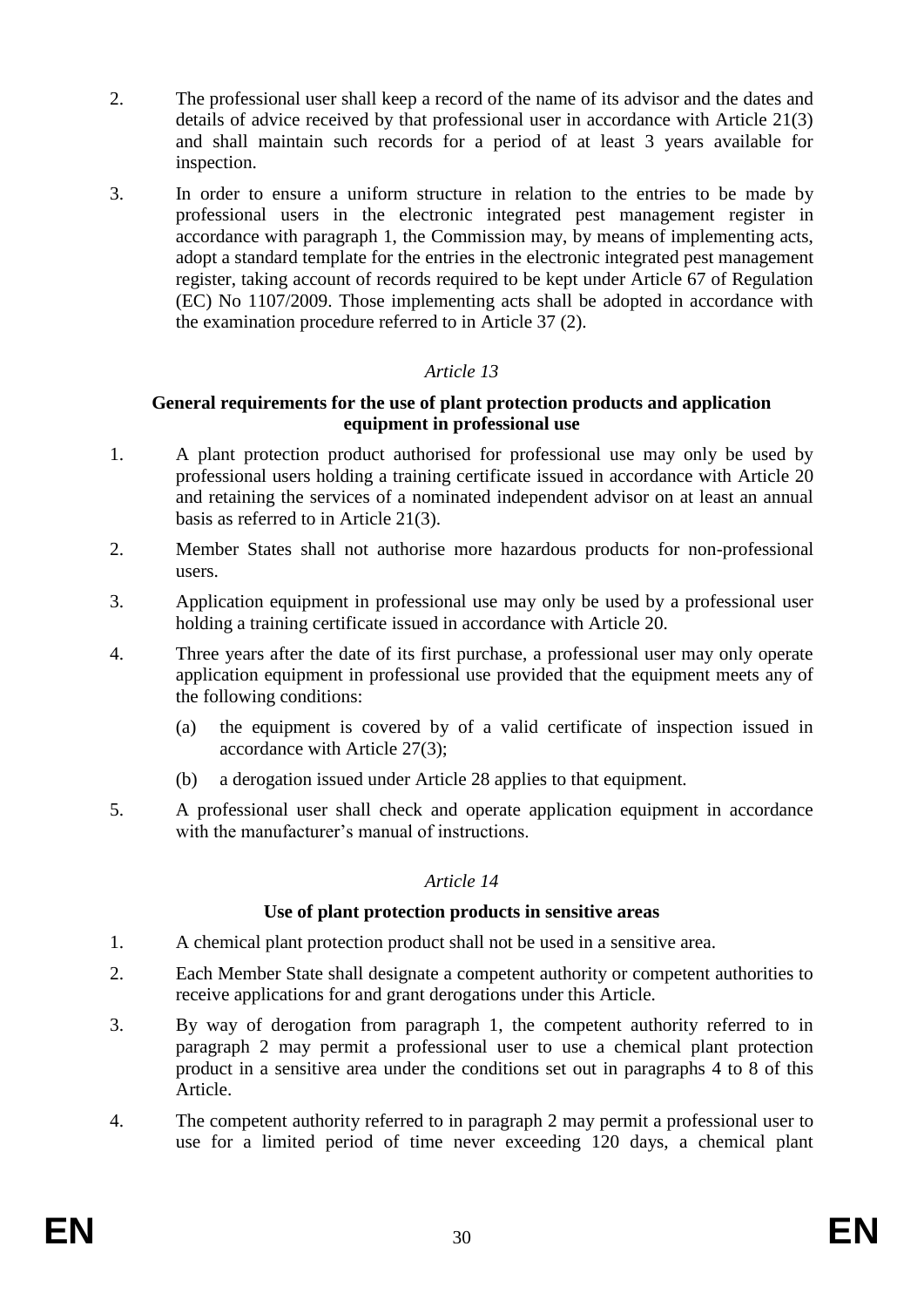- 2. The professional user shall keep a record of the name of its advisor and the dates and details of advice received by that professional user in accordance with Article 21(3) and shall maintain such records for a period of at least 3 years available for inspection.
- 3. In order to ensure a uniform structure in relation to the entries to be made by professional users in the electronic integrated pest management register in accordance with paragraph 1, the Commission may, by means of implementing acts, adopt a standard template for the entries in the electronic integrated pest management register, taking account of records required to be kept under Article 67 of Regulation (EC) No 1107/2009. Those implementing acts shall be adopted in accordance with the examination procedure referred to in Article 37 (2).

### **General requirements for the use of plant protection products and application equipment in professional use**

- 1. A plant protection product authorised for professional use may only be used by professional users holding a training certificate issued in accordance with Article 20 and retaining the services of a nominated independent advisor on at least an annual basis as referred to in Article 21(3).
- 2. Member States shall not authorise more hazardous products for non-professional users.
- 3. Application equipment in professional use may only be used by a professional user holding a training certificate issued in accordance with Article 20.
- 4. Three years after the date of its first purchase, a professional user may only operate application equipment in professional use provided that the equipment meets any of the following conditions:
	- (a) the equipment is covered by of a valid certificate of inspection issued in accordance with Article 27(3);
	- (b) a derogation issued under Article 28 applies to that equipment.
- 5. A professional user shall check and operate application equipment in accordance with the manufacturer's manual of instructions.

#### *Article 14*

# **Use of plant protection products in sensitive areas**

- 1. A chemical plant protection product shall not be used in a sensitive area.
- 2. Each Member State shall designate a competent authority or competent authorities to receive applications for and grant derogations under this Article.
- 3. By way of derogation from paragraph 1, the competent authority referred to in paragraph 2 may permit a professional user to use a chemical plant protection product in a sensitive area under the conditions set out in paragraphs 4 to 8 of this Article.
- 4. The competent authority referred to in paragraph 2 may permit a professional user to use for a limited period of time never exceeding 120 days, a chemical plant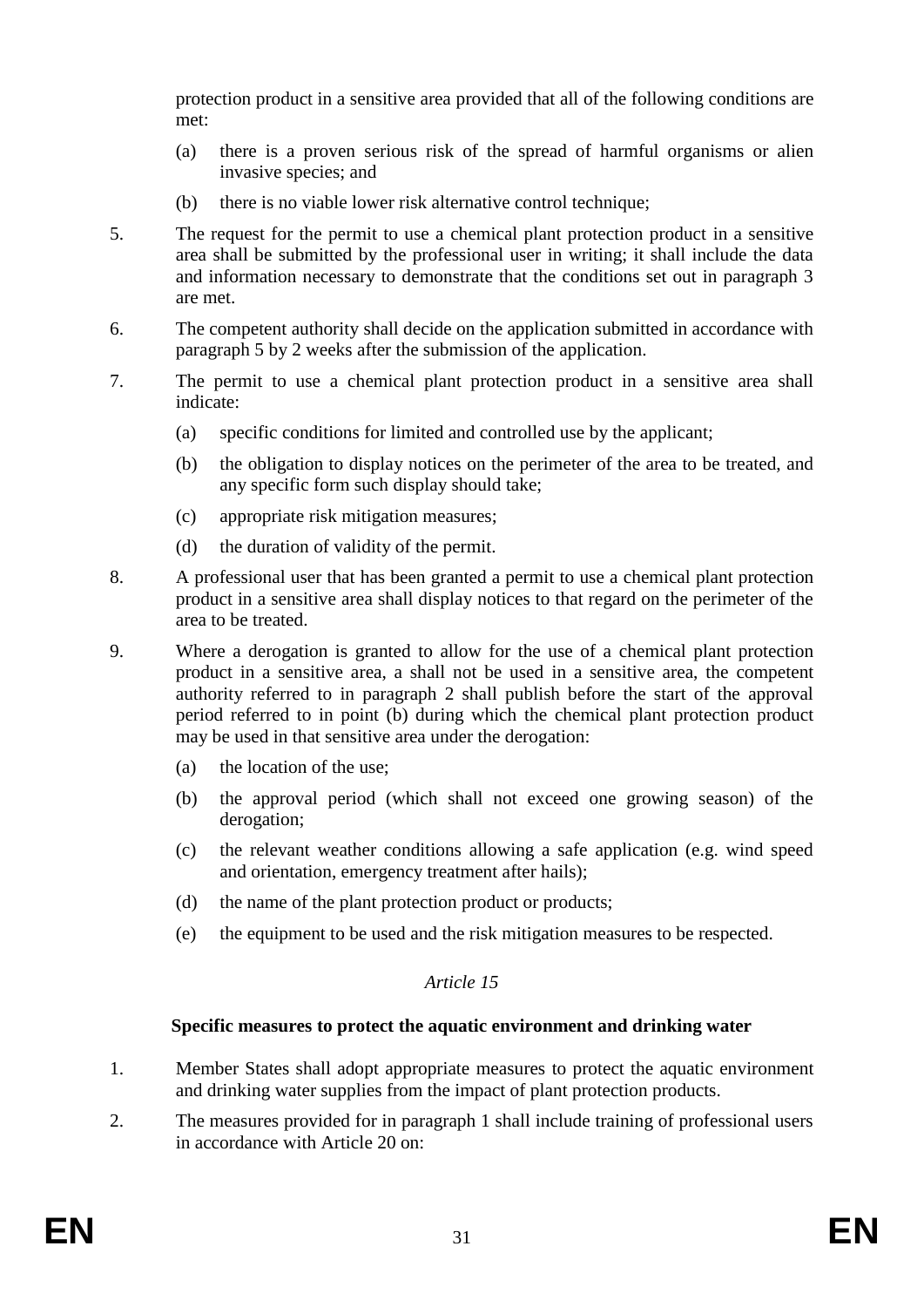protection product in a sensitive area provided that all of the following conditions are met:

- (a) there is a proven serious risk of the spread of harmful organisms or alien invasive species; and
- (b) there is no viable lower risk alternative control technique;
- 5. The request for the permit to use a chemical plant protection product in a sensitive area shall be submitted by the professional user in writing; it shall include the data and information necessary to demonstrate that the conditions set out in paragraph 3 are met.
- 6. The competent authority shall decide on the application submitted in accordance with paragraph 5 by 2 weeks after the submission of the application.
- 7. The permit to use a chemical plant protection product in a sensitive area shall indicate:
	- (a) specific conditions for limited and controlled use by the applicant;
	- (b) the obligation to display notices on the perimeter of the area to be treated, and any specific form such display should take;
	- (c) appropriate risk mitigation measures;
	- (d) the duration of validity of the permit.
- 8. A professional user that has been granted a permit to use a chemical plant protection product in a sensitive area shall display notices to that regard on the perimeter of the area to be treated.
- 9. Where a derogation is granted to allow for the use of a chemical plant protection product in a sensitive area, a shall not be used in a sensitive area, the competent authority referred to in paragraph 2 shall publish before the start of the approval period referred to in point (b) during which the chemical plant protection product may be used in that sensitive area under the derogation:
	- (a) the location of the use;
	- (b) the approval period (which shall not exceed one growing season) of the derogation;
	- (c) the relevant weather conditions allowing a safe application (e.g. wind speed and orientation, emergency treatment after hails);
	- (d) the name of the plant protection product or products;
	- (e) the equipment to be used and the risk mitigation measures to be respected.

# *Article 15*

# **Specific measures to protect the aquatic environment and drinking water**

- 1. Member States shall adopt appropriate measures to protect the aquatic environment and drinking water supplies from the impact of plant protection products.
- 2. The measures provided for in paragraph 1 shall include training of professional users in accordance with Article 20 on: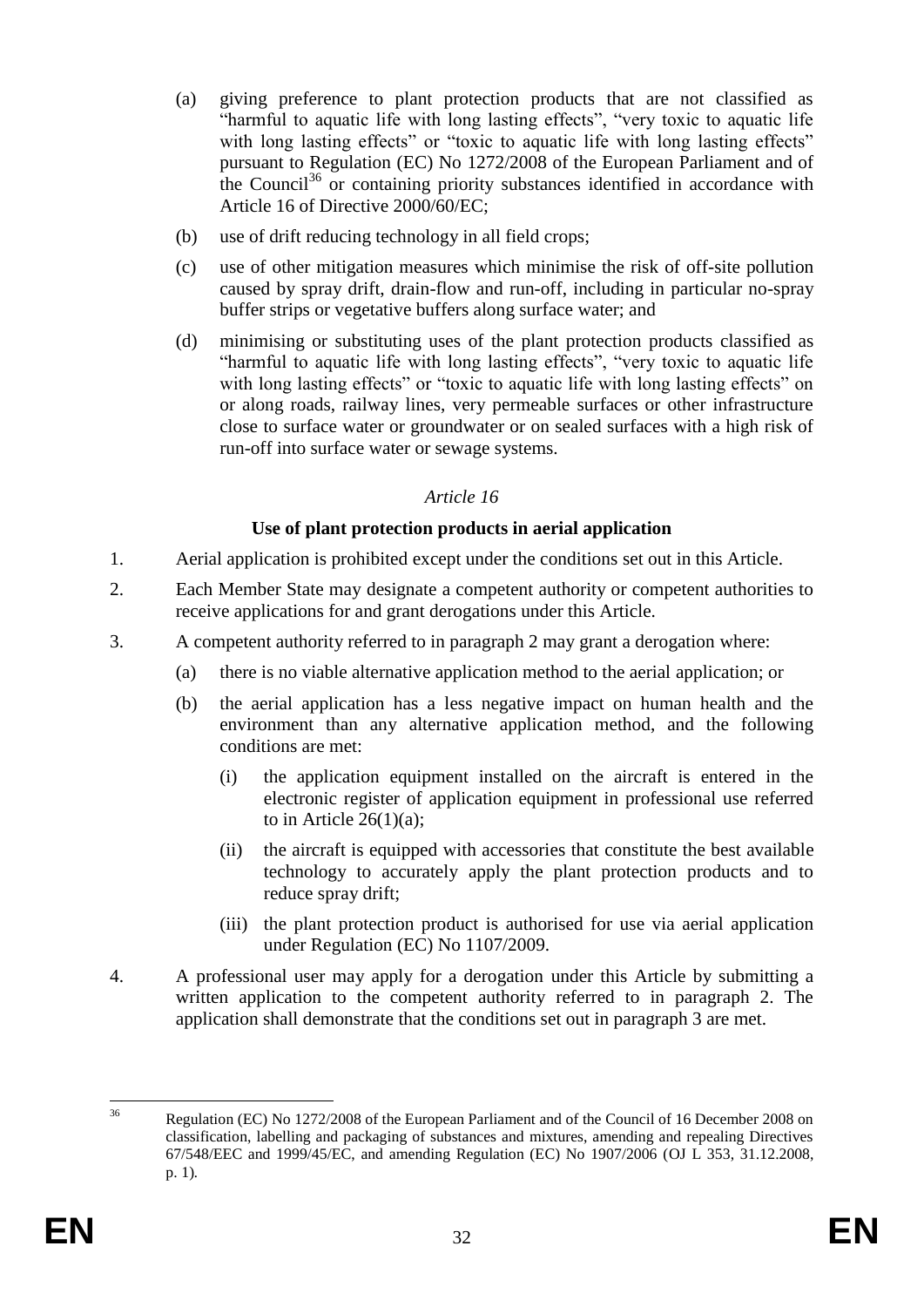- (a) giving preference to plant protection products that are not classified as "harmful to aquatic life with long lasting effects", "very toxic to aquatic life with long lasting effects" or "toxic to aquatic life with long lasting effects" pursuant to Regulation (EC) No 1272/2008 of the European Parliament and of the Council<sup>36</sup> or containing priority substances identified in accordance with Article 16 of Directive 2000/60/EC:
- (b) use of drift reducing technology in all field crops;
- (c) use of other mitigation measures which minimise the risk of off-site pollution caused by spray drift, drain-flow and run-off, including in particular no-spray buffer strips or vegetative buffers along surface water; and
- (d) minimising or substituting uses of the plant protection products classified as "harmful to aquatic life with long lasting effects", "very toxic to aquatic life with long lasting effects" or "toxic to aquatic life with long lasting effects" on or along roads, railway lines, very permeable surfaces or other infrastructure close to surface water or groundwater or on sealed surfaces with a high risk of run-off into surface water or sewage systems.

### **Use of plant protection products in aerial application**

- 1. Aerial application is prohibited except under the conditions set out in this Article.
- 2. Each Member State may designate a competent authority or competent authorities to receive applications for and grant derogations under this Article.
- 3. A competent authority referred to in paragraph 2 may grant a derogation where:
	- (a) there is no viable alternative application method to the aerial application; or
	- (b) the aerial application has a less negative impact on human health and the environment than any alternative application method, and the following conditions are met:
		- (i) the application equipment installed on the aircraft is entered in the electronic register of application equipment in professional use referred to in Article  $26(1)(a)$ :
		- (ii) the aircraft is equipped with accessories that constitute the best available technology to accurately apply the plant protection products and to reduce spray drift;
		- (iii) the plant protection product is authorised for use via aerial application under Regulation (EC) No 1107/2009.
- 4. A professional user may apply for a derogation under this Article by submitting a written application to the competent authority referred to in paragraph 2. The application shall demonstrate that the conditions set out in paragraph 3 are met.

 $36$ <sup>36</sup> Regulation (EC) No 1272/2008 of the European Parliament and of the Council of 16 December 2008 on classification, labelling and packaging of substances and mixtures, amending and repealing Directives 67/548/EEC and 1999/45/EC, and amending Regulation (EC) No 1907/2006 (OJ L 353, 31.12.2008, p. 1)*.*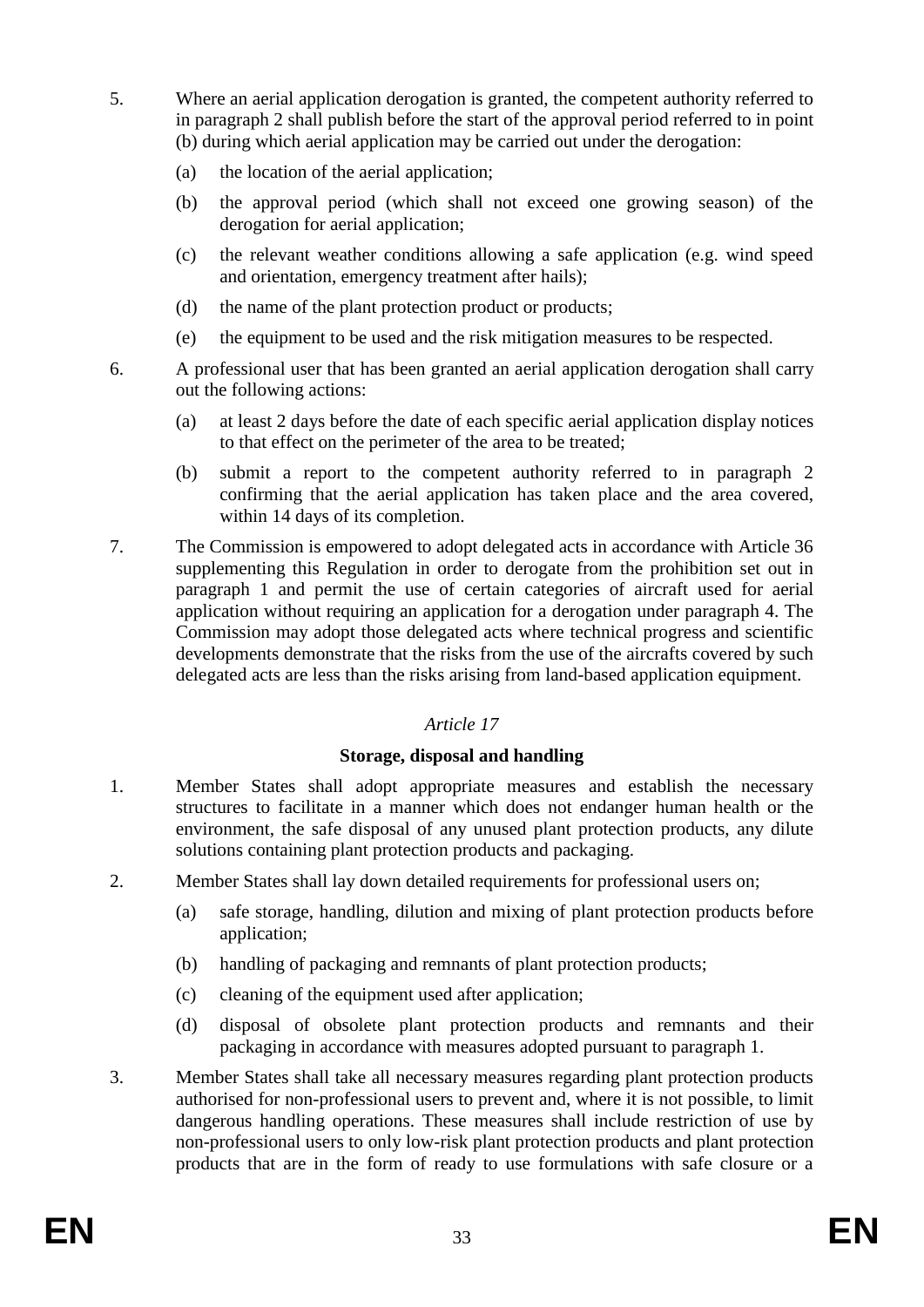- 5. Where an aerial application derogation is granted, the competent authority referred to in paragraph 2 shall publish before the start of the approval period referred to in point (b) during which aerial application may be carried out under the derogation:
	- (a) the location of the aerial application;
	- (b) the approval period (which shall not exceed one growing season) of the derogation for aerial application;
	- (c) the relevant weather conditions allowing a safe application (e.g. wind speed and orientation, emergency treatment after hails);
	- (d) the name of the plant protection product or products;
	- (e) the equipment to be used and the risk mitigation measures to be respected.
- 6. A professional user that has been granted an aerial application derogation shall carry out the following actions:
	- (a) at least 2 days before the date of each specific aerial application display notices to that effect on the perimeter of the area to be treated;
	- (b) submit a report to the competent authority referred to in paragraph 2 confirming that the aerial application has taken place and the area covered, within 14 days of its completion.
- 7. The Commission is empowered to adopt delegated acts in accordance with Article 36 supplementing this Regulation in order to derogate from the prohibition set out in paragraph 1 and permit the use of certain categories of aircraft used for aerial application without requiring an application for a derogation under paragraph 4. The Commission may adopt those delegated acts where technical progress and scientific developments demonstrate that the risks from the use of the aircrafts covered by such delegated acts are less than the risks arising from land-based application equipment.

# **Storage, disposal and handling**

- 1. Member States shall adopt appropriate measures and establish the necessary structures to facilitate in a manner which does not endanger human health or the environment, the safe disposal of any unused plant protection products, any dilute solutions containing plant protection products and packaging.
- 2. Member States shall lay down detailed requirements for professional users on;
	- (a) safe storage, handling, dilution and mixing of plant protection products before application;
	- (b) handling of packaging and remnants of plant protection products;
	- (c) cleaning of the equipment used after application;
	- (d) disposal of obsolete plant protection products and remnants and their packaging in accordance with measures adopted pursuant to paragraph 1.
- 3. Member States shall take all necessary measures regarding plant protection products authorised for non-professional users to prevent and, where it is not possible, to limit dangerous handling operations. These measures shall include restriction of use by non-professional users to only low-risk plant protection products and plant protection products that are in the form of ready to use formulations with safe closure or a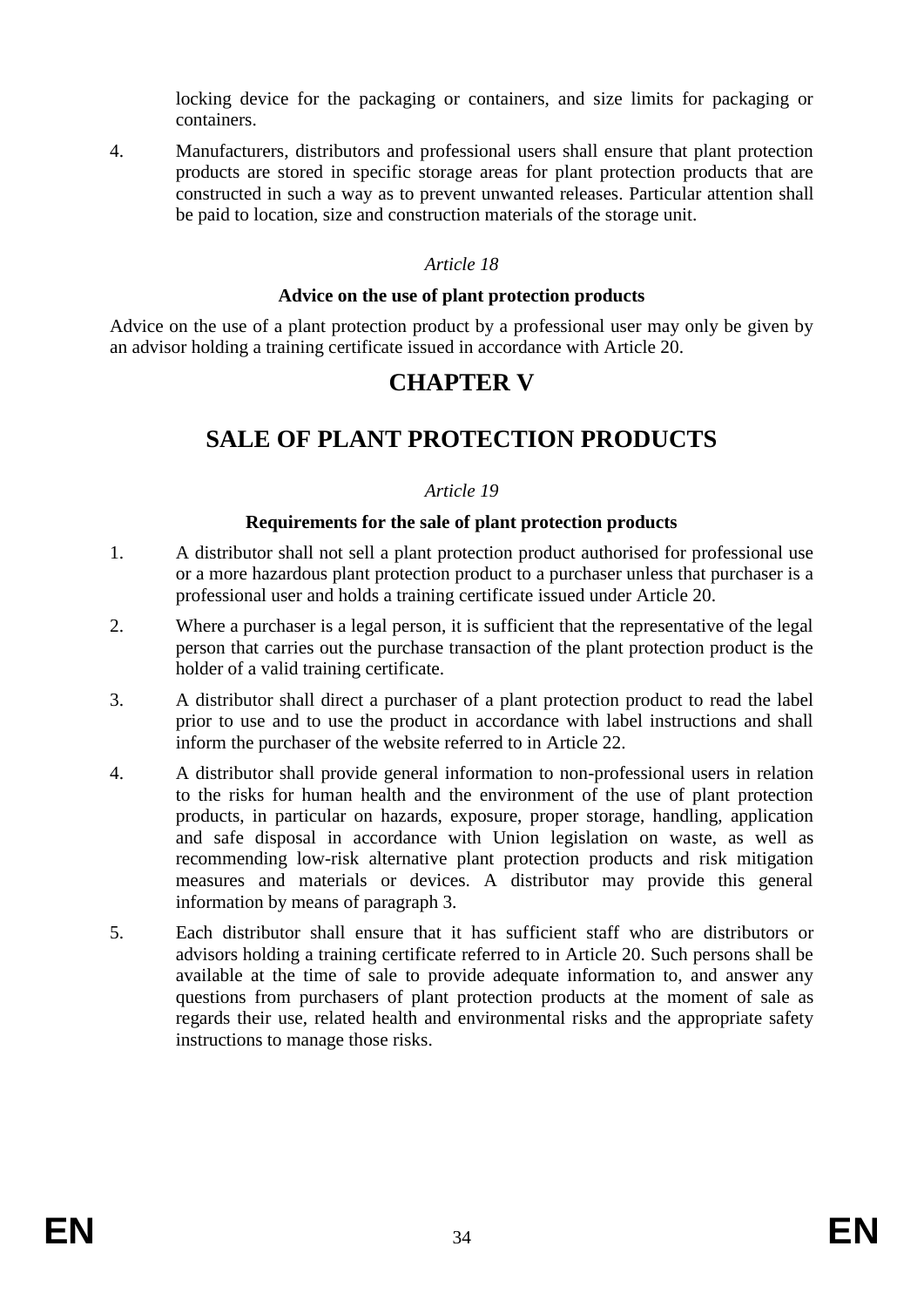locking device for the packaging or containers, and size limits for packaging or containers.

4. Manufacturers, distributors and professional users shall ensure that plant protection products are stored in specific storage areas for plant protection products that are constructed in such a way as to prevent unwanted releases. Particular attention shall be paid to location, size and construction materials of the storage unit.

# *Article 18*

#### **Advice on the use of plant protection products**

Advice on the use of a plant protection product by a professional user may only be given by an advisor holding a training certificate issued in accordance with Article 20.

# **CHAPTER V**

# **SALE OF PLANT PROTECTION PRODUCTS**

#### *Article 19*

### **Requirements for the sale of plant protection products**

- 1. A distributor shall not sell a plant protection product authorised for professional use or a more hazardous plant protection product to a purchaser unless that purchaser is a professional user and holds a training certificate issued under Article 20.
- 2. Where a purchaser is a legal person, it is sufficient that the representative of the legal person that carries out the purchase transaction of the plant protection product is the holder of a valid training certificate.
- 3. A distributor shall direct a purchaser of a plant protection product to read the label prior to use and to use the product in accordance with label instructions and shall inform the purchaser of the website referred to in Article 22.
- 4. A distributor shall provide general information to non-professional users in relation to the risks for human health and the environment of the use of plant protection products, in particular on hazards, exposure, proper storage, handling, application and safe disposal in accordance with Union legislation on waste, as well as recommending low-risk alternative plant protection products and risk mitigation measures and materials or devices. A distributor may provide this general information by means of paragraph 3.
- 5. Each distributor shall ensure that it has sufficient staff who are distributors or advisors holding a training certificate referred to in Article 20. Such persons shall be available at the time of sale to provide adequate information to, and answer any questions from purchasers of plant protection products at the moment of sale as regards their use, related health and environmental risks and the appropriate safety instructions to manage those risks.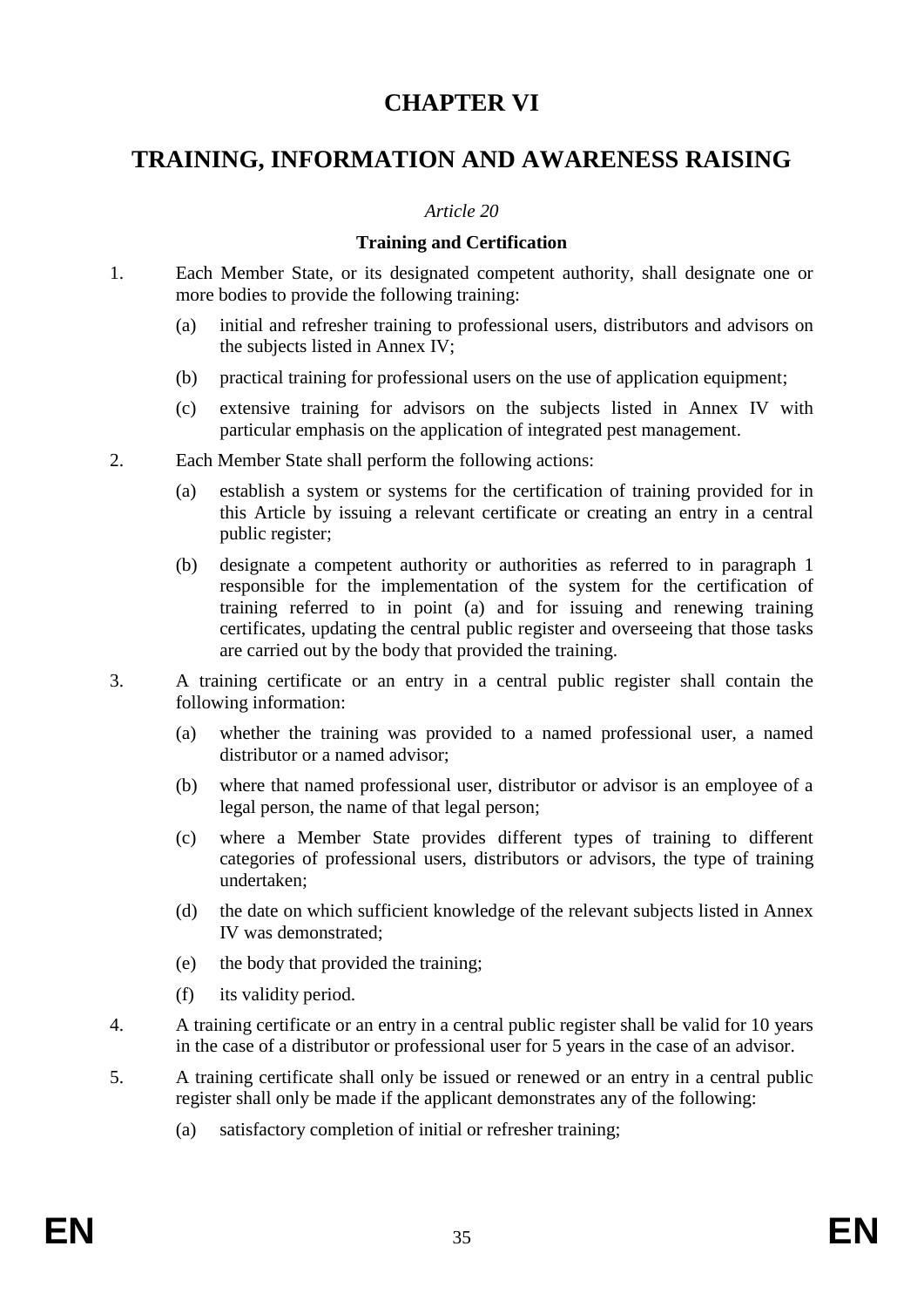# **CHAPTER VI**

# **TRAINING, INFORMATION AND AWARENESS RAISING**

#### *Article 20*

### **Training and Certification**

- 1. Each Member State, or its designated competent authority, shall designate one or more bodies to provide the following training:
	- (a) initial and refresher training to professional users, distributors and advisors on the subjects listed in Annex IV;
	- (b) practical training for professional users on the use of application equipment;
	- (c) extensive training for advisors on the subjects listed in Annex IV with particular emphasis on the application of integrated pest management.
- 2. Each Member State shall perform the following actions:
	- (a) establish a system or systems for the certification of training provided for in this Article by issuing a relevant certificate or creating an entry in a central public register;
	- (b) designate a competent authority or authorities as referred to in paragraph 1 responsible for the implementation of the system for the certification of training referred to in point (a) and for issuing and renewing training certificates, updating the central public register and overseeing that those tasks are carried out by the body that provided the training.
- 3. A training certificate or an entry in a central public register shall contain the following information:
	- (a) whether the training was provided to a named professional user, a named distributor or a named advisor;
	- (b) where that named professional user, distributor or advisor is an employee of a legal person, the name of that legal person;
	- (c) where a Member State provides different types of training to different categories of professional users, distributors or advisors, the type of training undertaken;
	- (d) the date on which sufficient knowledge of the relevant subjects listed in Annex IV was demonstrated;
	- (e) the body that provided the training;
	- (f) its validity period.
- 4. A training certificate or an entry in a central public register shall be valid for 10 years in the case of a distributor or professional user for 5 years in the case of an advisor.
- 5. A training certificate shall only be issued or renewed or an entry in a central public register shall only be made if the applicant demonstrates any of the following:
	- (a) satisfactory completion of initial or refresher training;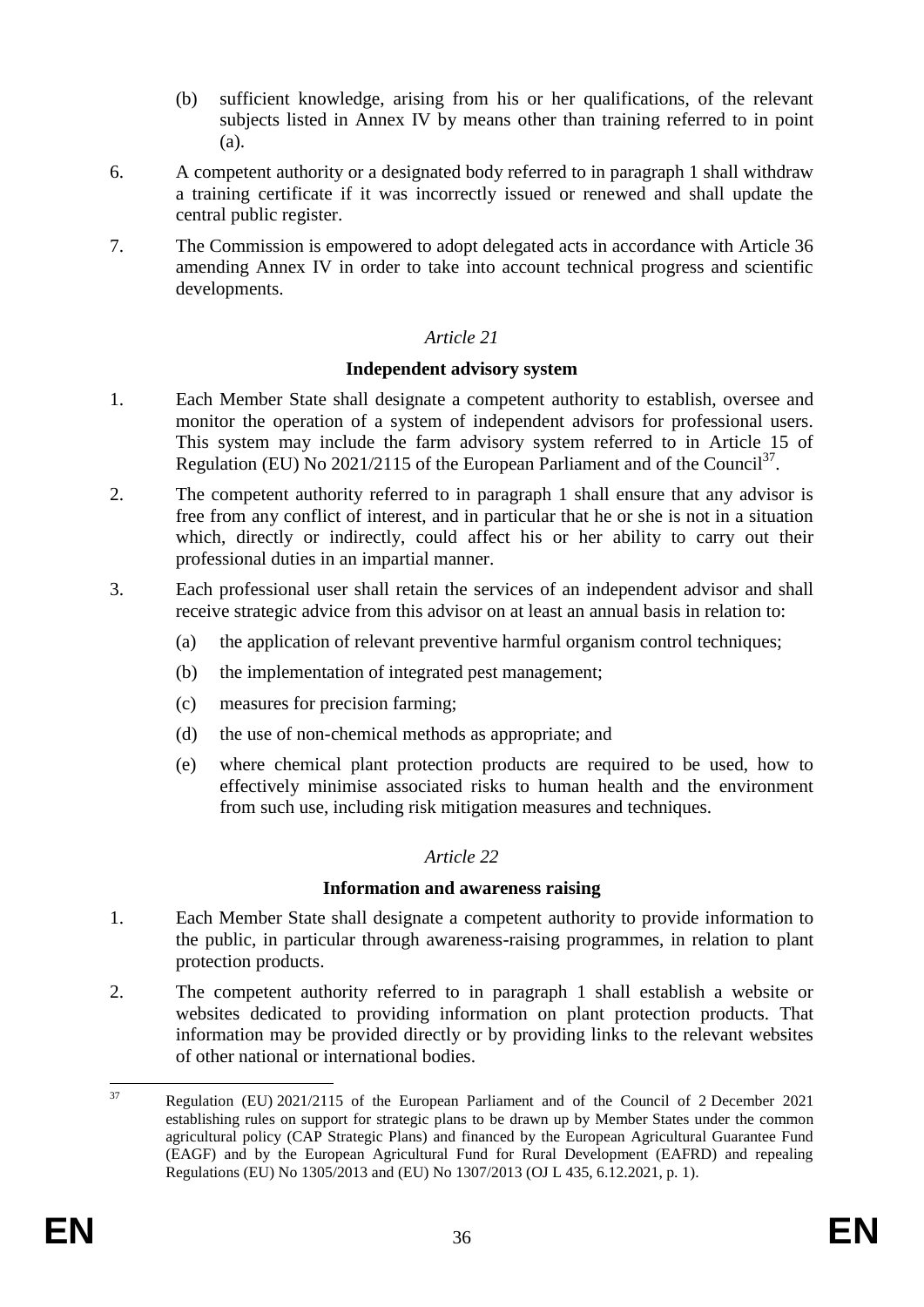- (b) sufficient knowledge, arising from his or her qualifications, of the relevant subjects listed in Annex IV by means other than training referred to in point (a).
- 6. A competent authority or a designated body referred to in paragraph 1 shall withdraw a training certificate if it was incorrectly issued or renewed and shall update the central public register.
- 7. The Commission is empowered to adopt delegated acts in accordance with Article 36 amending Annex IV in order to take into account technical progress and scientific developments.

#### **Independent advisory system**

- 1. Each Member State shall designate a competent authority to establish, oversee and monitor the operation of a system of independent advisors for professional users. This system may include the farm advisory system referred to in Article 15 of Regulation (EU) No 2021/2115 of the European Parliament and of the Council<sup>37</sup>.
- 2. The competent authority referred to in paragraph 1 shall ensure that any advisor is free from any conflict of interest, and in particular that he or she is not in a situation which, directly or indirectly, could affect his or her ability to carry out their professional duties in an impartial manner.
- 3. Each professional user shall retain the services of an independent advisor and shall receive strategic advice from this advisor on at least an annual basis in relation to:
	- (a) the application of relevant preventive harmful organism control techniques;
	- (b) the implementation of integrated pest management;
	- (c) measures for precision farming;
	- (d) the use of non-chemical methods as appropriate; and
	- (e) where chemical plant protection products are required to be used, how to effectively minimise associated risks to human health and the environment from such use, including risk mitigation measures and techniques.

# *Article 22*

#### **Information and awareness raising**

- 1. Each Member State shall designate a competent authority to provide information to the public, in particular through awareness-raising programmes, in relation to plant protection products.
- 2. The competent authority referred to in paragraph 1 shall establish a website or websites dedicated to providing information on plant protection products. That information may be provided directly or by providing links to the relevant websites of other national or international bodies.

 $37$ <sup>37</sup> Regulation (EU) 2021/2115 of the European Parliament and of the Council of 2 December 2021 establishing rules on support for strategic plans to be drawn up by Member States under the common agricultural policy (CAP Strategic Plans) and financed by the European Agricultural Guarantee Fund (EAGF) and by the European Agricultural Fund for Rural Development (EAFRD) and repealing Regulations (EU) No 1305/2013 and (EU) No 1307/2013 (OJ L 435, 6.12.2021, p. 1).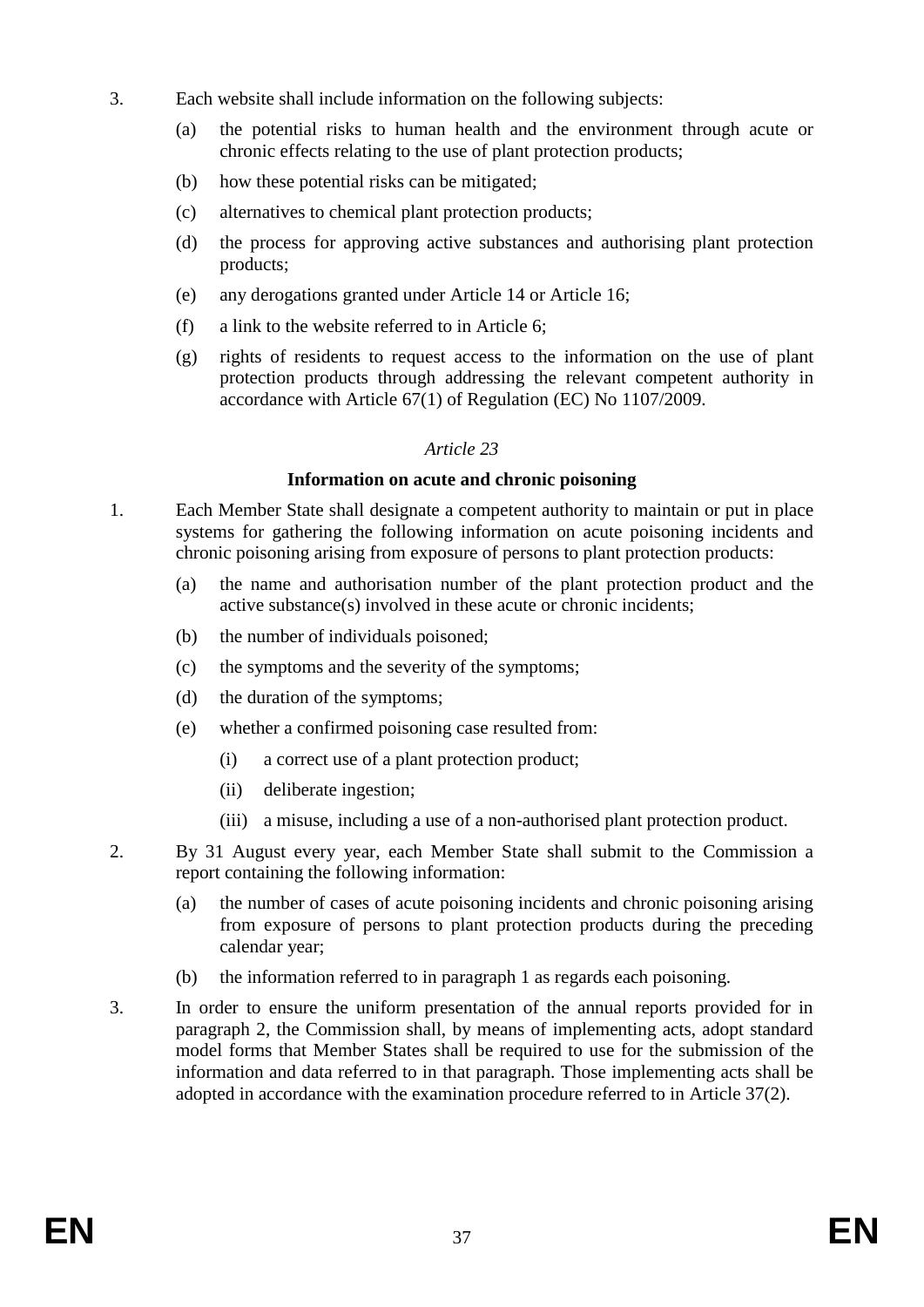- 3. Each website shall include information on the following subjects:
	- (a) the potential risks to human health and the environment through acute or chronic effects relating to the use of plant protection products;
	- (b) how these potential risks can be mitigated;
	- (c) alternatives to chemical plant protection products;
	- (d) the process for approving active substances and authorising plant protection products;
	- (e) any derogations granted under Article 14 or Article 16;
	- (f) a link to the website referred to in Article 6;
	- (g) rights of residents to request access to the information on the use of plant protection products through addressing the relevant competent authority in accordance with Article 67(1) of Regulation (EC) No 1107/2009.

### **Information on acute and chronic poisoning**

- 1. Each Member State shall designate a competent authority to maintain or put in place systems for gathering the following information on acute poisoning incidents and chronic poisoning arising from exposure of persons to plant protection products:
	- (a) the name and authorisation number of the plant protection product and the active substance(s) involved in these acute or chronic incidents;
	- (b) the number of individuals poisoned;
	- (c) the symptoms and the severity of the symptoms;
	- (d) the duration of the symptoms;
	- (e) whether a confirmed poisoning case resulted from:
		- (i) a correct use of a plant protection product;
		- (ii) deliberate ingestion;
		- (iii) a misuse, including a use of a non-authorised plant protection product.
- 2. By 31 August every year, each Member State shall submit to the Commission a report containing the following information:
	- (a) the number of cases of acute poisoning incidents and chronic poisoning arising from exposure of persons to plant protection products during the preceding calendar year;
	- (b) the information referred to in paragraph 1 as regards each poisoning.
- 3. In order to ensure the uniform presentation of the annual reports provided for in paragraph 2, the Commission shall, by means of implementing acts, adopt standard model forms that Member States shall be required to use for the submission of the information and data referred to in that paragraph. Those implementing acts shall be adopted in accordance with the examination procedure referred to in Article 37(2).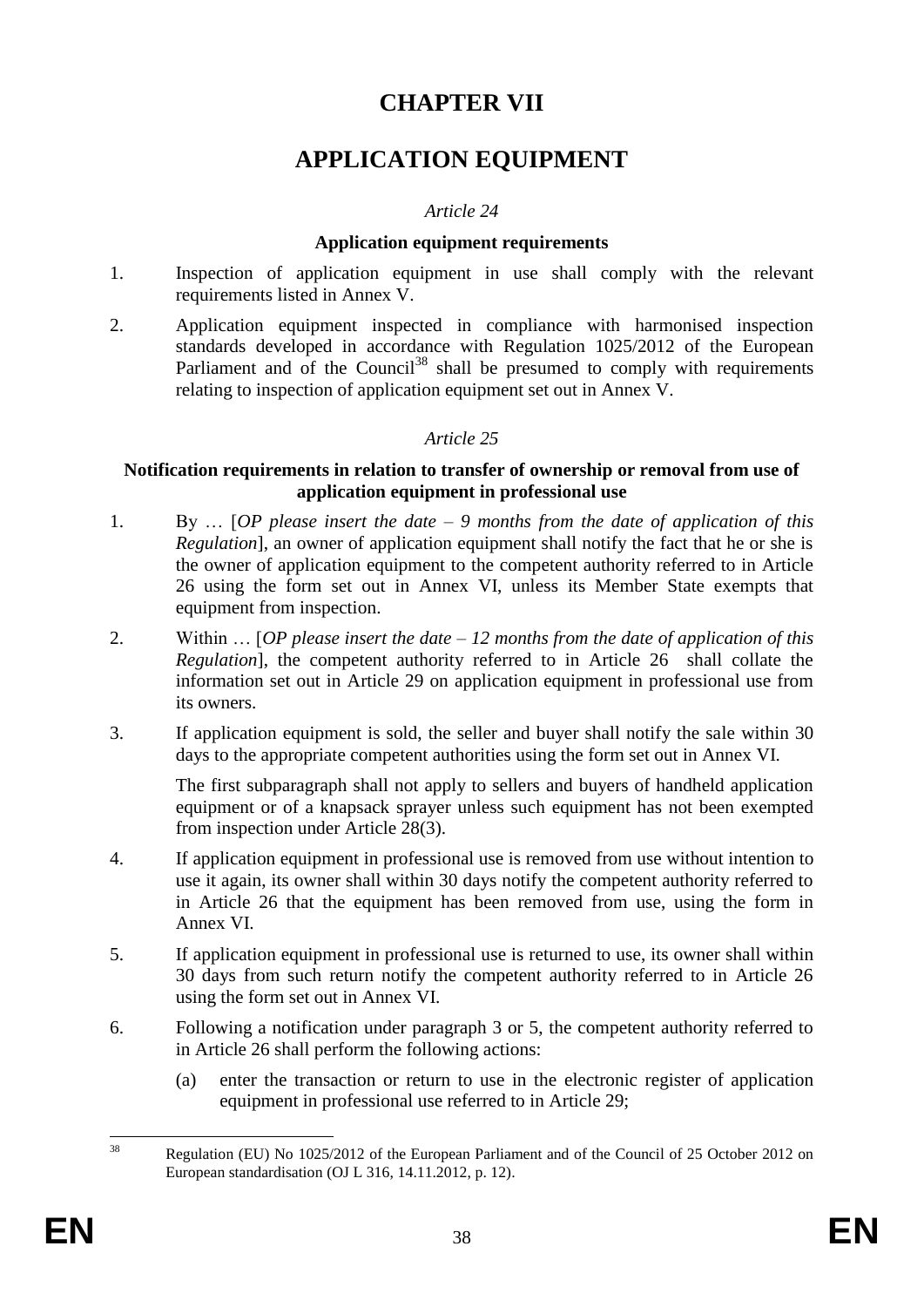# **CHAPTER VII**

# **APPLICATION EQUIPMENT**

### *Article 24*

#### **Application equipment requirements**

- 1. Inspection of application equipment in use shall comply with the relevant requirements listed in Annex V.
- 2. Application equipment inspected in compliance with harmonised inspection standards developed in accordance with Regulation 1025/2012 of the European Parliament and of the Council<sup>38</sup> shall be presumed to comply with requirements relating to inspection of application equipment set out in Annex V.

# *Article 25*

#### **Notification requirements in relation to transfer of ownership or removal from use of application equipment in professional use**

- 1. By … [*OP please insert the date – 9 months from the date of application of this Regulation*], an owner of application equipment shall notify the fact that he or she is the owner of application equipment to the competent authority referred to in Article 26 using the form set out in Annex VI, unless its Member State exempts that equipment from inspection.
- 2. Within … [*OP please insert the date – 12 months from the date of application of this Regulation*], the competent authority referred to in Article 26 shall collate the information set out in Article 29 on application equipment in professional use from its owners.
- 3. If application equipment is sold, the seller and buyer shall notify the sale within 30 days to the appropriate competent authorities using the form set out in Annex VI.

The first subparagraph shall not apply to sellers and buyers of handheld application equipment or of a knapsack sprayer unless such equipment has not been exempted from inspection under Article 28(3).

- 4. If application equipment in professional use is removed from use without intention to use it again, its owner shall within 30 days notify the competent authority referred to in Article 26 that the equipment has been removed from use, using the form in Annex VI.
- 5. If application equipment in professional use is returned to use, its owner shall within 30 days from such return notify the competent authority referred to in Article 26 using the form set out in Annex VI.
- 6. Following a notification under paragraph 3 or 5, the competent authority referred to in Article 26 shall perform the following actions:
	- (a) enter the transaction or return to use in the electronic register of application equipment in professional use referred to in Article 29;

 $38$ Regulation (EU) No 1025/2012 of the European Parliament and of the Council of 25 October 2012 on European standardisation (OJ L 316, 14.11.2012, p. 12).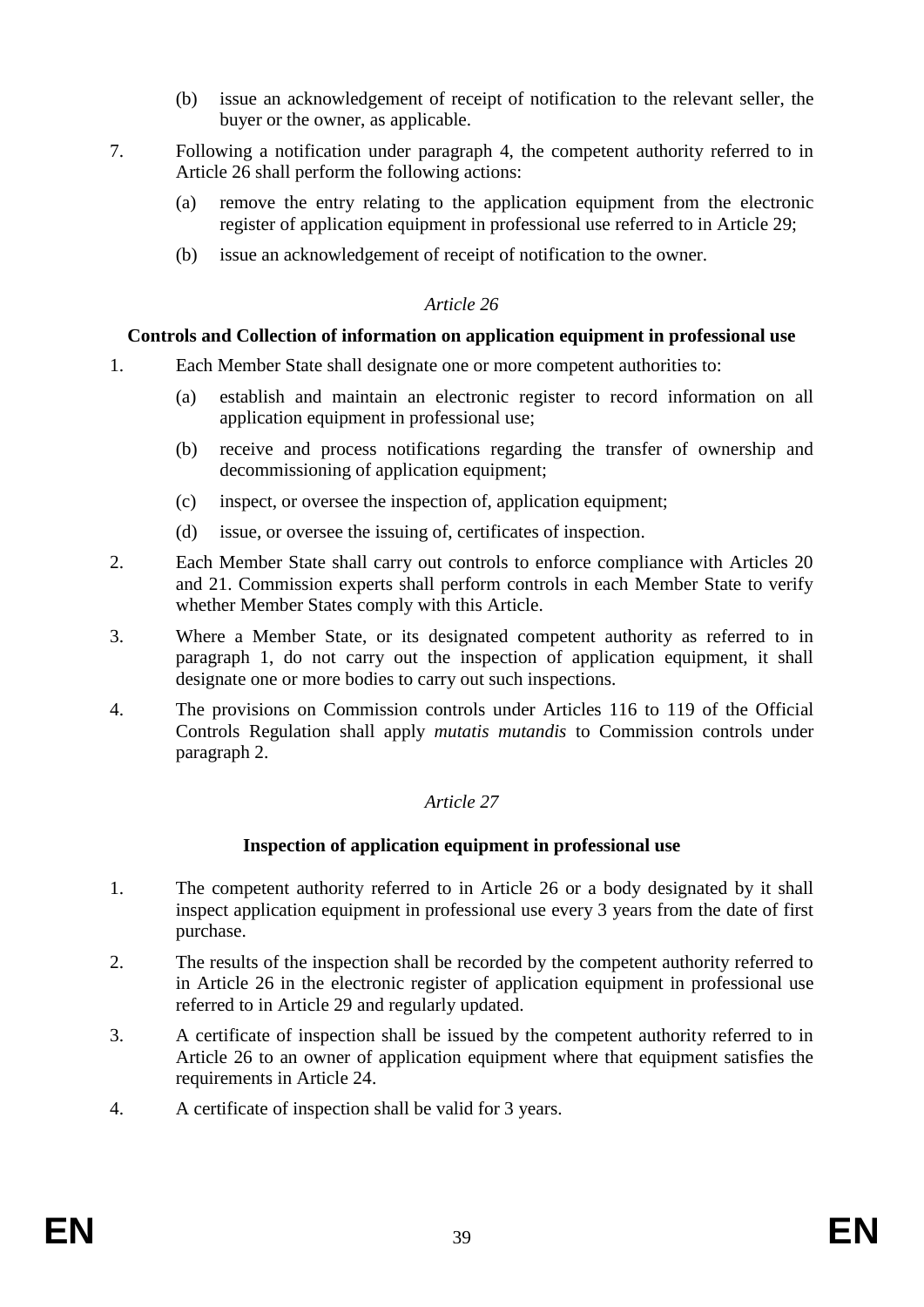- (b) issue an acknowledgement of receipt of notification to the relevant seller, the buyer or the owner, as applicable.
- 7. Following a notification under paragraph 4, the competent authority referred to in Article 26 shall perform the following actions:
	- (a) remove the entry relating to the application equipment from the electronic register of application equipment in professional use referred to in Article 29;
	- (b) issue an acknowledgement of receipt of notification to the owner.

### **Controls and Collection of information on application equipment in professional use**

- 1. Each Member State shall designate one or more competent authorities to:
	- (a) establish and maintain an electronic register to record information on all application equipment in professional use;
	- (b) receive and process notifications regarding the transfer of ownership and decommissioning of application equipment:
	- (c) inspect, or oversee the inspection of, application equipment;
	- (d) issue, or oversee the issuing of, certificates of inspection.
- 2. Each Member State shall carry out controls to enforce compliance with Articles 20 and 21. Commission experts shall perform controls in each Member State to verify whether Member States comply with this Article.
- 3. Where a Member State, or its designated competent authority as referred to in paragraph 1, do not carry out the inspection of application equipment, it shall designate one or more bodies to carry out such inspections.
- 4. The provisions on Commission controls under Articles 116 to 119 of the Official Controls Regulation shall apply *mutatis mutandis* to Commission controls under paragraph 2.

# *Article 27*

# **Inspection of application equipment in professional use**

- 1. The competent authority referred to in Article 26 or a body designated by it shall inspect application equipment in professional use every 3 years from the date of first purchase.
- 2. The results of the inspection shall be recorded by the competent authority referred to in Article 26 in the electronic register of application equipment in professional use referred to in Article 29 and regularly updated.
- 3. A certificate of inspection shall be issued by the competent authority referred to in Article 26 to an owner of application equipment where that equipment satisfies the requirements in Article 24.
- 4. A certificate of inspection shall be valid for 3 years.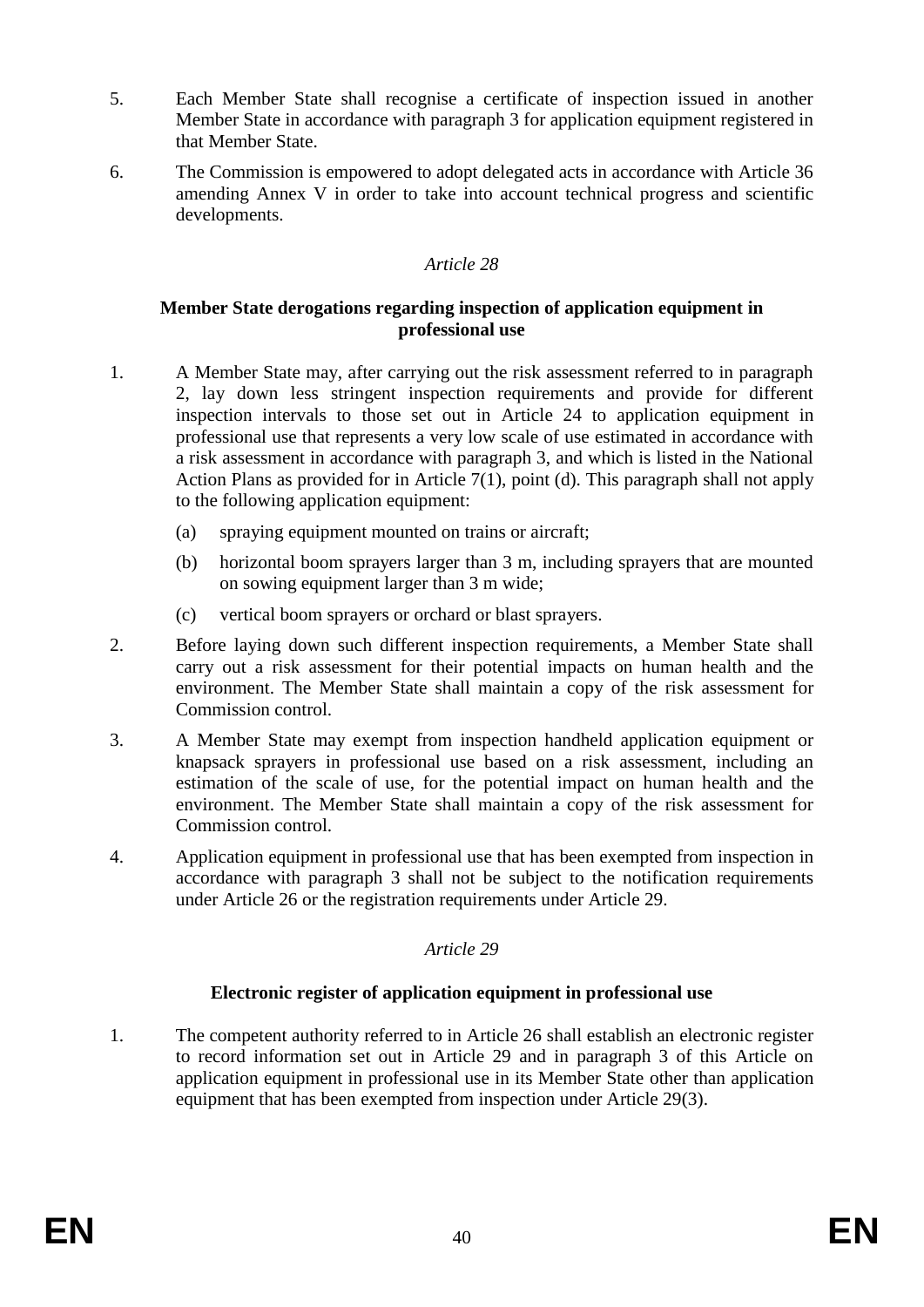- 5. Each Member State shall recognise a certificate of inspection issued in another Member State in accordance with paragraph 3 for application equipment registered in that Member State.
- 6. The Commission is empowered to adopt delegated acts in accordance with Article 36 amending Annex V in order to take into account technical progress and scientific developments.

#### **Member State derogations regarding inspection of application equipment in professional use**

- 1. A Member State may, after carrying out the risk assessment referred to in paragraph 2, lay down less stringent inspection requirements and provide for different inspection intervals to those set out in Article 24 to application equipment in professional use that represents a very low scale of use estimated in accordance with a risk assessment in accordance with paragraph 3, and which is listed in the National Action Plans as provided for in Article 7(1), point (d). This paragraph shall not apply to the following application equipment:
	- (a) spraying equipment mounted on trains or aircraft;
	- (b) horizontal boom sprayers larger than 3 m, including sprayers that are mounted on sowing equipment larger than 3 m wide;
	- (c) vertical boom sprayers or orchard or blast sprayers.
- 2. Before laying down such different inspection requirements, a Member State shall carry out a risk assessment for their potential impacts on human health and the environment. The Member State shall maintain a copy of the risk assessment for Commission control.
- 3. A Member State may exempt from inspection handheld application equipment or knapsack sprayers in professional use based on a risk assessment, including an estimation of the scale of use, for the potential impact on human health and the environment. The Member State shall maintain a copy of the risk assessment for Commission control.
- 4. Application equipment in professional use that has been exempted from inspection in accordance with paragraph 3 shall not be subject to the notification requirements under Article 26 or the registration requirements under Article 29.

# *Article 29*

# **Electronic register of application equipment in professional use**

1. The competent authority referred to in Article 26 shall establish an electronic register to record information set out in Article 29 and in paragraph 3 of this Article on application equipment in professional use in its Member State other than application equipment that has been exempted from inspection under Article 29(3).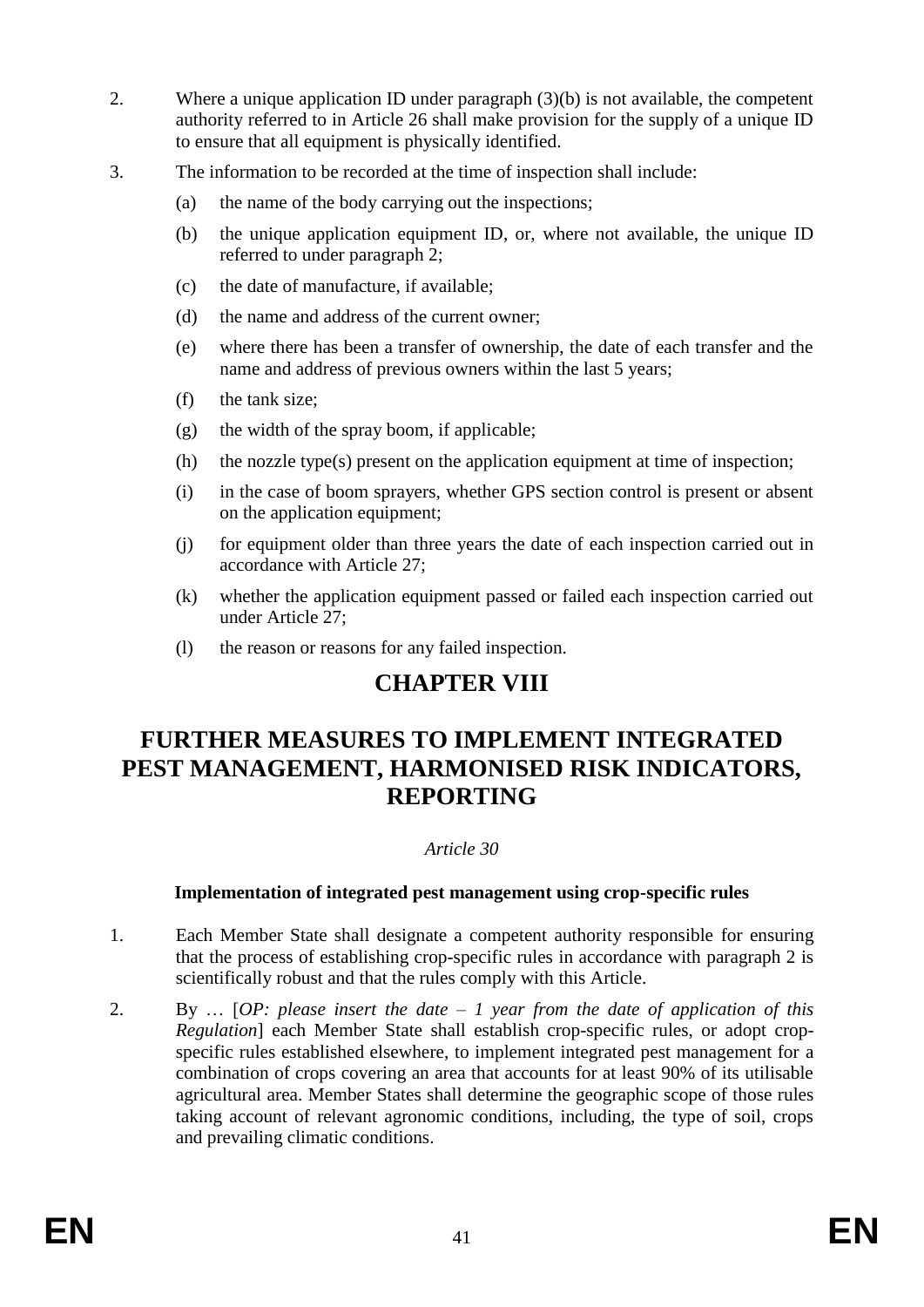- 2. Where a unique application ID under paragraph (3)(b) is not available, the competent authority referred to in Article 26 shall make provision for the supply of a unique ID to ensure that all equipment is physically identified.
- 3. The information to be recorded at the time of inspection shall include:
	- (a) the name of the body carrying out the inspections;
	- (b) the unique application equipment ID, or, where not available, the unique ID referred to under paragraph 2;
	- (c) the date of manufacture, if available;
	- (d) the name and address of the current owner;
	- (e) where there has been a transfer of ownership, the date of each transfer and the name and address of previous owners within the last 5 years;
	- (f) the tank size;
	- (g) the width of the spray boom, if applicable;
	- (h) the nozzle type(s) present on the application equipment at time of inspection;
	- (i) in the case of boom sprayers, whether GPS section control is present or absent on the application equipment;
	- (j) for equipment older than three years the date of each inspection carried out in accordance with Article 27;
	- (k) whether the application equipment passed or failed each inspection carried out under Article 27;
	- (l) the reason or reasons for any failed inspection.

# **CHAPTER VIII**

# **FURTHER MEASURES TO IMPLEMENT INTEGRATED PEST MANAGEMENT, HARMONISED RISK INDICATORS, REPORTING**

# *Article 30*

# **Implementation of integrated pest management using crop-specific rules**

- 1. Each Member State shall designate a competent authority responsible for ensuring that the process of establishing crop-specific rules in accordance with paragraph 2 is scientifically robust and that the rules comply with this Article.
- 2. By … [*OP: please insert the date – 1 year from the date of application of this Regulation*] each Member State shall establish crop-specific rules, or adopt cropspecific rules established elsewhere, to implement integrated pest management for a combination of crops covering an area that accounts for at least 90% of its utilisable agricultural area. Member States shall determine the geographic scope of those rules taking account of relevant agronomic conditions, including, the type of soil, crops and prevailing climatic conditions.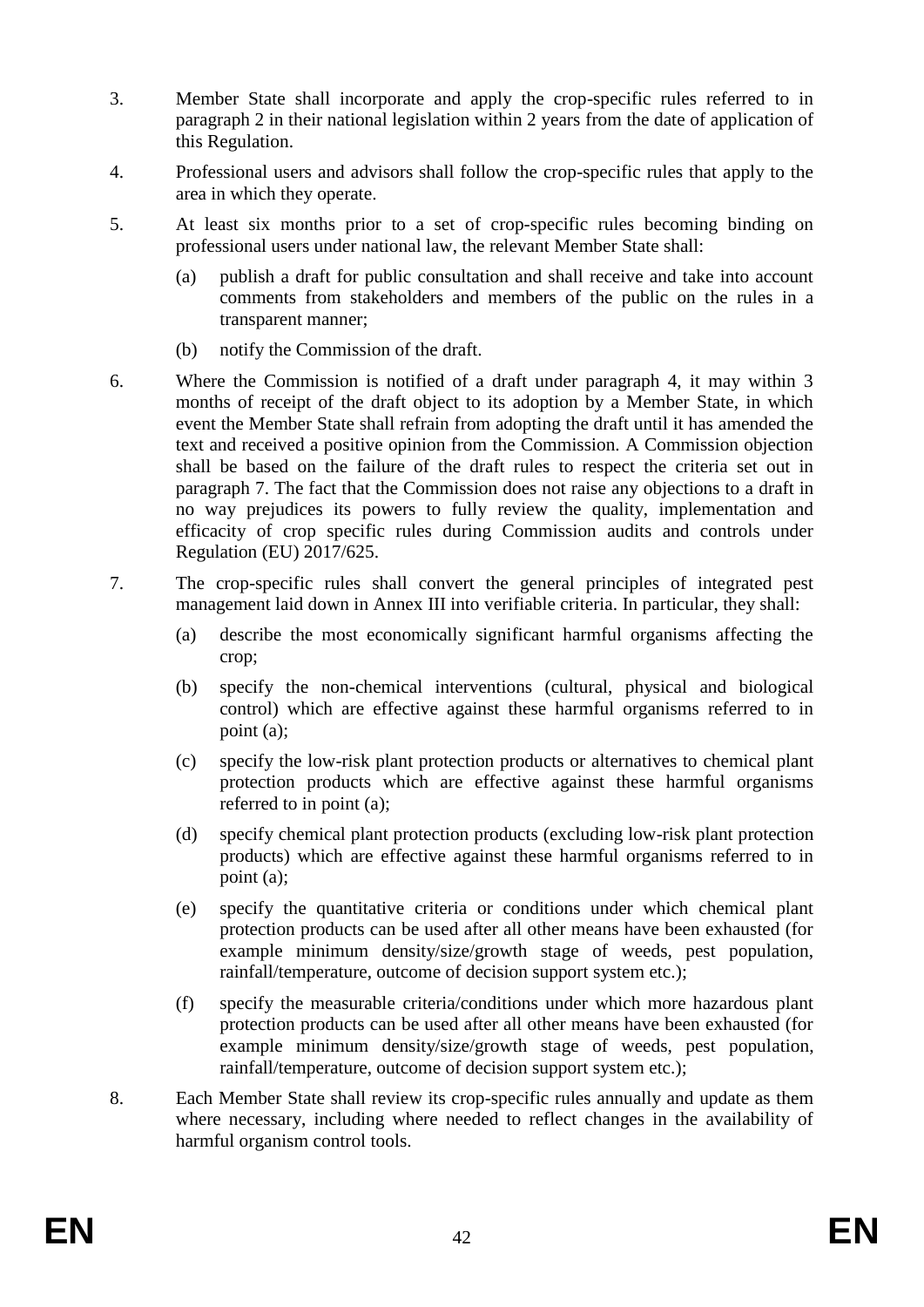- 3. Member State shall incorporate and apply the crop-specific rules referred to in paragraph 2 in their national legislation within 2 years from the date of application of this Regulation.
- 4. Professional users and advisors shall follow the crop-specific rules that apply to the area in which they operate.
- 5. At least six months prior to a set of crop-specific rules becoming binding on professional users under national law, the relevant Member State shall:
	- (a) publish a draft for public consultation and shall receive and take into account comments from stakeholders and members of the public on the rules in a transparent manner;
	- (b) notify the Commission of the draft.
- 6. Where the Commission is notified of a draft under paragraph 4, it may within 3 months of receipt of the draft object to its adoption by a Member State, in which event the Member State shall refrain from adopting the draft until it has amended the text and received a positive opinion from the Commission. A Commission objection shall be based on the failure of the draft rules to respect the criteria set out in paragraph 7. The fact that the Commission does not raise any objections to a draft in no way prejudices its powers to fully review the quality, implementation and efficacity of crop specific rules during Commission audits and controls under Regulation (EU) 2017/625.
- 7. The crop-specific rules shall convert the general principles of integrated pest management laid down in Annex III into verifiable criteria. In particular, they shall:
	- (a) describe the most economically significant harmful organisms affecting the crop;
	- (b) specify the non-chemical interventions (cultural, physical and biological control) which are effective against these harmful organisms referred to in point (a);
	- (c) specify the low-risk plant protection products or alternatives to chemical plant protection products which are effective against these harmful organisms referred to in point (a);
	- (d) specify chemical plant protection products (excluding low-risk plant protection products) which are effective against these harmful organisms referred to in point (a);
	- (e) specify the quantitative criteria or conditions under which chemical plant protection products can be used after all other means have been exhausted (for example minimum density/size/growth stage of weeds, pest population, rainfall/temperature, outcome of decision support system etc.);
	- (f) specify the measurable criteria/conditions under which more hazardous plant protection products can be used after all other means have been exhausted (for example minimum density/size/growth stage of weeds, pest population, rainfall/temperature, outcome of decision support system etc.);
- 8. Each Member State shall review its crop-specific rules annually and update as them where necessary, including where needed to reflect changes in the availability of harmful organism control tools.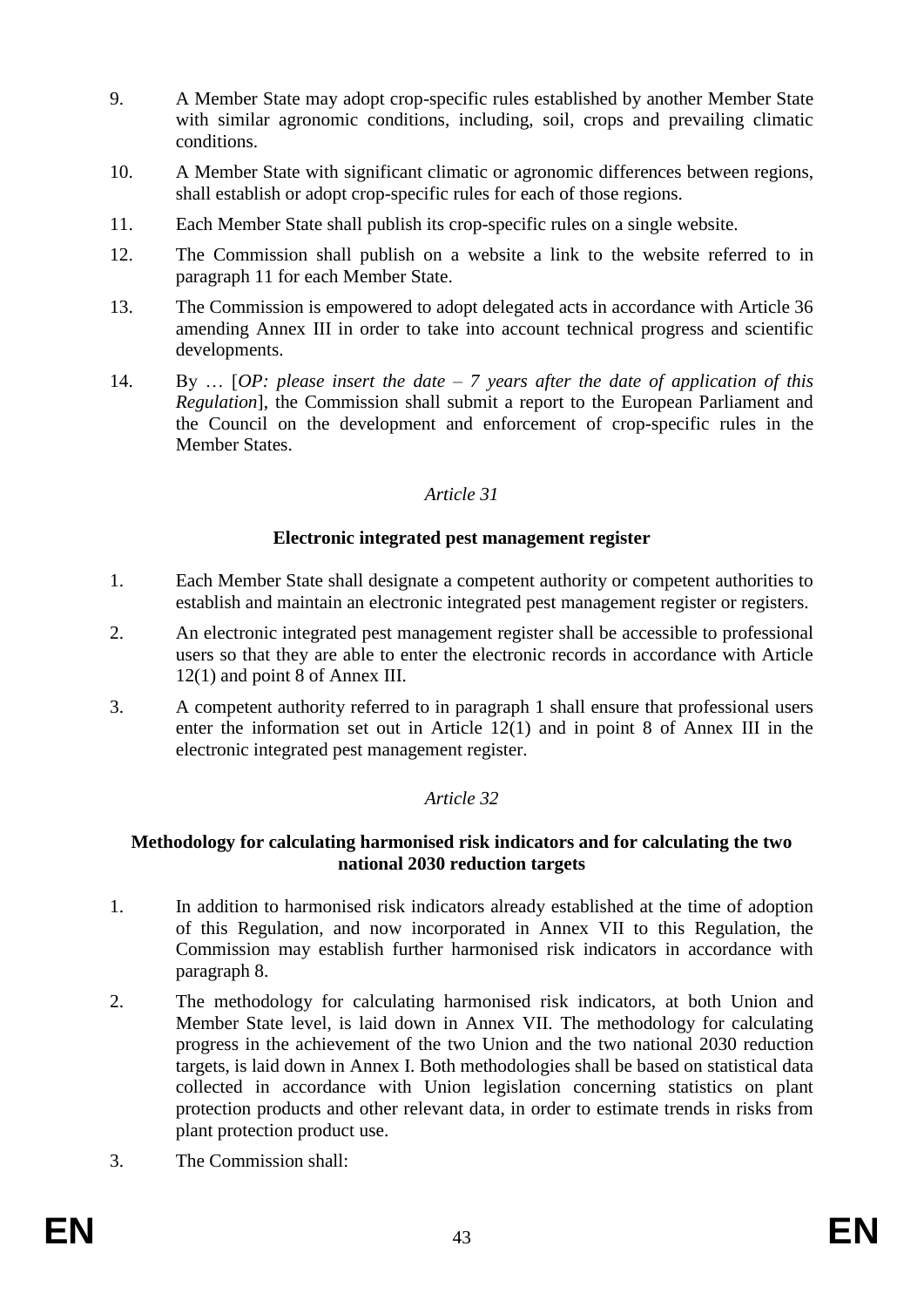- 9. A Member State may adopt crop-specific rules established by another Member State with similar agronomic conditions, including, soil, crops and prevailing climatic conditions.
- 10. A Member State with significant climatic or agronomic differences between regions, shall establish or adopt crop-specific rules for each of those regions.
- 11. Each Member State shall publish its crop-specific rules on a single website.
- 12. The Commission shall publish on a website a link to the website referred to in paragraph 11 for each Member State.
- 13. The Commission is empowered to adopt delegated acts in accordance with Article 36 amending Annex III in order to take into account technical progress and scientific developments.
- 14. By … [*OP: please insert the date – 7 years after the date of application of this Regulation*], the Commission shall submit a report to the European Parliament and the Council on the development and enforcement of crop-specific rules in the Member States.

# **Electronic integrated pest management register**

- 1. Each Member State shall designate a competent authority or competent authorities to establish and maintain an electronic integrated pest management register or registers.
- 2. An electronic integrated pest management register shall be accessible to professional users so that they are able to enter the electronic records in accordance with Article 12(1) and point 8 of Annex III.
- 3. A competent authority referred to in paragraph 1 shall ensure that professional users enter the information set out in Article 12(1) and in point 8 of Annex III in the electronic integrated pest management register.

# *Article 32*

### **Methodology for calculating harmonised risk indicators and for calculating the two national 2030 reduction targets**

- 1. In addition to harmonised risk indicators already established at the time of adoption of this Regulation, and now incorporated in Annex VII to this Regulation, the Commission may establish further harmonised risk indicators in accordance with paragraph 8.
- 2. The methodology for calculating harmonised risk indicators, at both Union and Member State level, is laid down in Annex VII. The methodology for calculating progress in the achievement of the two Union and the two national 2030 reduction targets, is laid down in Annex I. Both methodologies shall be based on statistical data collected in accordance with Union legislation concerning statistics on plant protection products and other relevant data, in order to estimate trends in risks from plant protection product use.
- 3. The Commission shall: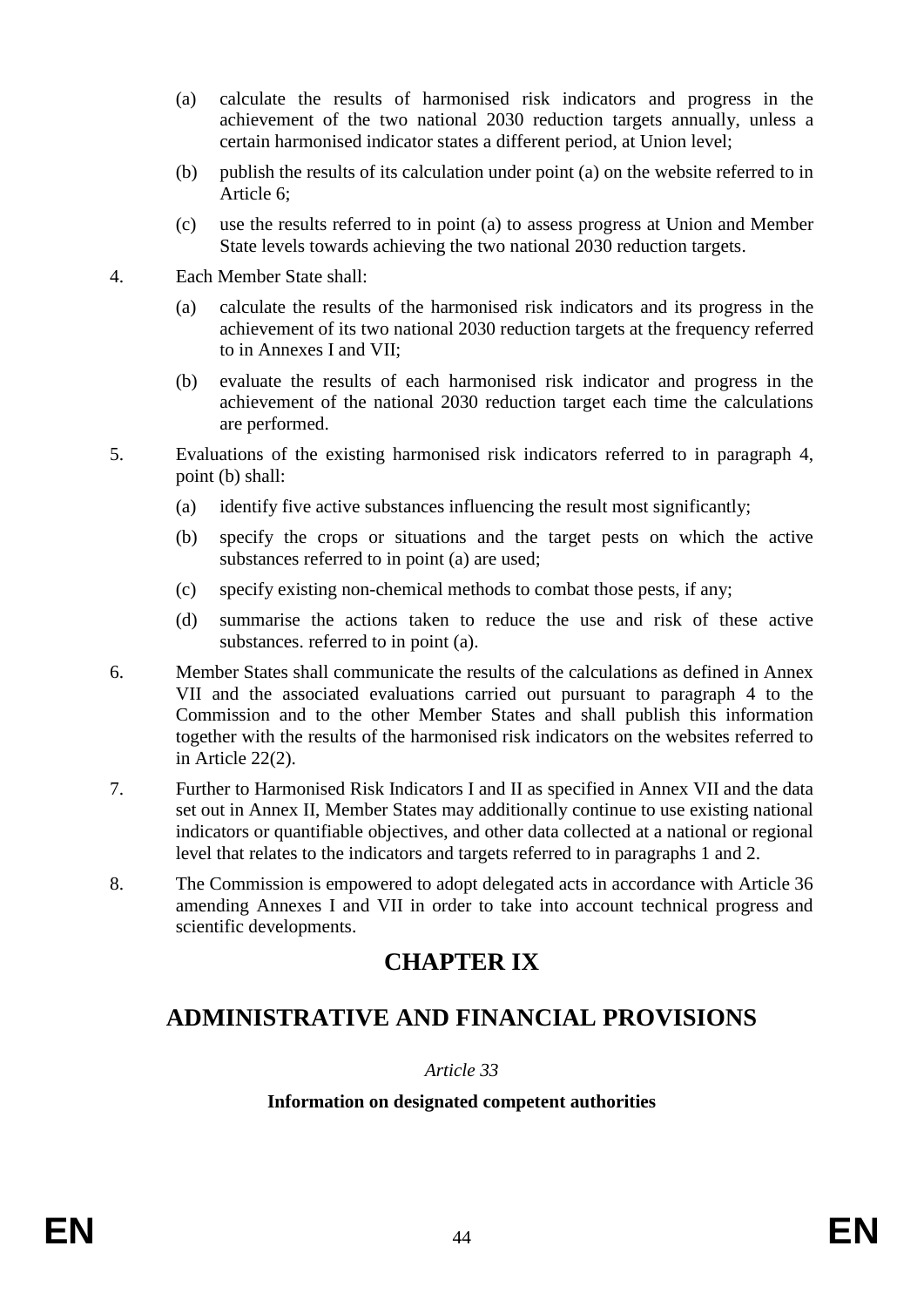- (a) calculate the results of harmonised risk indicators and progress in the achievement of the two national 2030 reduction targets annually, unless a certain harmonised indicator states a different period, at Union level;
- (b) publish the results of its calculation under point (a) on the website referred to in Article 6;
- (c) use the results referred to in point (a) to assess progress at Union and Member State levels towards achieving the two national 2030 reduction targets.
- 4. Each Member State shall:
	- (a) calculate the results of the harmonised risk indicators and its progress in the achievement of its two national 2030 reduction targets at the frequency referred to in Annexes I and VII;
	- (b) evaluate the results of each harmonised risk indicator and progress in the achievement of the national 2030 reduction target each time the calculations are performed.
- 5. Evaluations of the existing harmonised risk indicators referred to in paragraph 4, point (b) shall:
	- (a) identify five active substances influencing the result most significantly;
	- (b) specify the crops or situations and the target pests on which the active substances referred to in point (a) are used;
	- (c) specify existing non-chemical methods to combat those pests, if any;
	- (d) summarise the actions taken to reduce the use and risk of these active substances. referred to in point (a).
- 6. Member States shall communicate the results of the calculations as defined in Annex VII and the associated evaluations carried out pursuant to paragraph 4 to the Commission and to the other Member States and shall publish this information together with the results of the harmonised risk indicators on the websites referred to in Article 22(2).
- 7. Further to Harmonised Risk Indicators I and II as specified in Annex VII and the data set out in Annex II, Member States may additionally continue to use existing national indicators or quantifiable objectives, and other data collected at a national or regional level that relates to the indicators and targets referred to in paragraphs 1 and 2.
- 8. The Commission is empowered to adopt delegated acts in accordance with Article 36 amending Annexes I and VII in order to take into account technical progress and scientific developments.

# **CHAPTER IX**

# **ADMINISTRATIVE AND FINANCIAL PROVISIONS**

# *Article 33*

# **Information on designated competent authorities**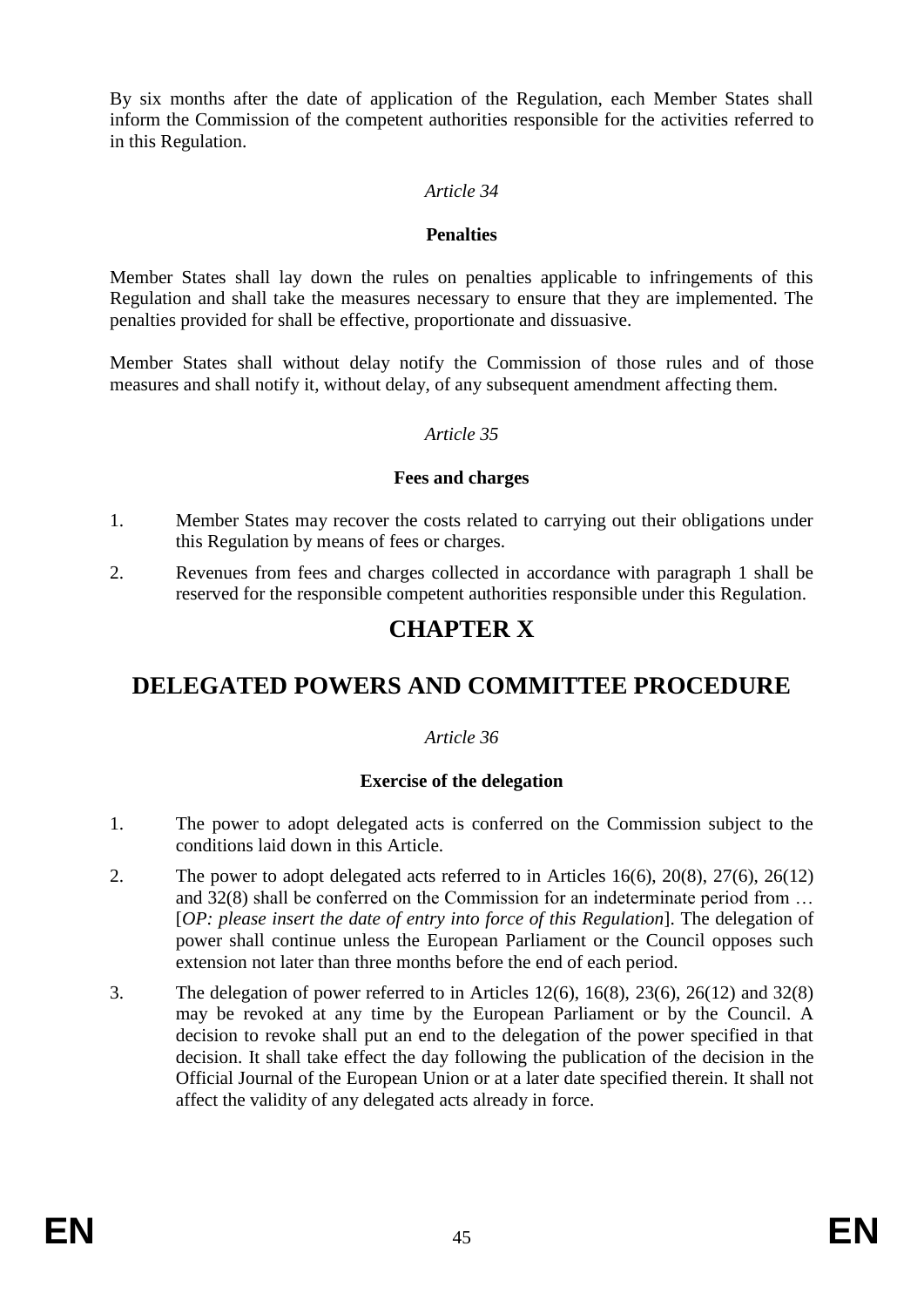By six months after the date of application of the Regulation, each Member States shall inform the Commission of the competent authorities responsible for the activities referred to in this Regulation.

### *Article 34*

#### **Penalties**

Member States shall lay down the rules on penalties applicable to infringements of this Regulation and shall take the measures necessary to ensure that they are implemented. The penalties provided for shall be effective, proportionate and dissuasive.

Member States shall without delay notify the Commission of those rules and of those measures and shall notify it, without delay, of any subsequent amendment affecting them.

#### *Article 35*

### **Fees and charges**

- 1. Member States may recover the costs related to carrying out their obligations under this Regulation by means of fees or charges.
- 2. Revenues from fees and charges collected in accordance with paragraph 1 shall be reserved for the responsible competent authorities responsible under this Regulation.

# **CHAPTER X**

# **DELEGATED POWERS AND COMMITTEE PROCEDURE**

# *Article 36*

# **Exercise of the delegation**

- 1. The power to adopt delegated acts is conferred on the Commission subject to the conditions laid down in this Article.
- 2. The power to adopt delegated acts referred to in Articles 16(6), 20(8), 27(6), 26(12) and 32(8) shall be conferred on the Commission for an indeterminate period from … [*OP: please insert the date of entry into force of this Regulation*]. The delegation of power shall continue unless the European Parliament or the Council opposes such extension not later than three months before the end of each period.
- 3. The delegation of power referred to in Articles 12(6), 16(8), 23(6), 26(12) and 32(8) may be revoked at any time by the European Parliament or by the Council. A decision to revoke shall put an end to the delegation of the power specified in that decision. It shall take effect the day following the publication of the decision in the Official Journal of the European Union or at a later date specified therein. It shall not affect the validity of any delegated acts already in force.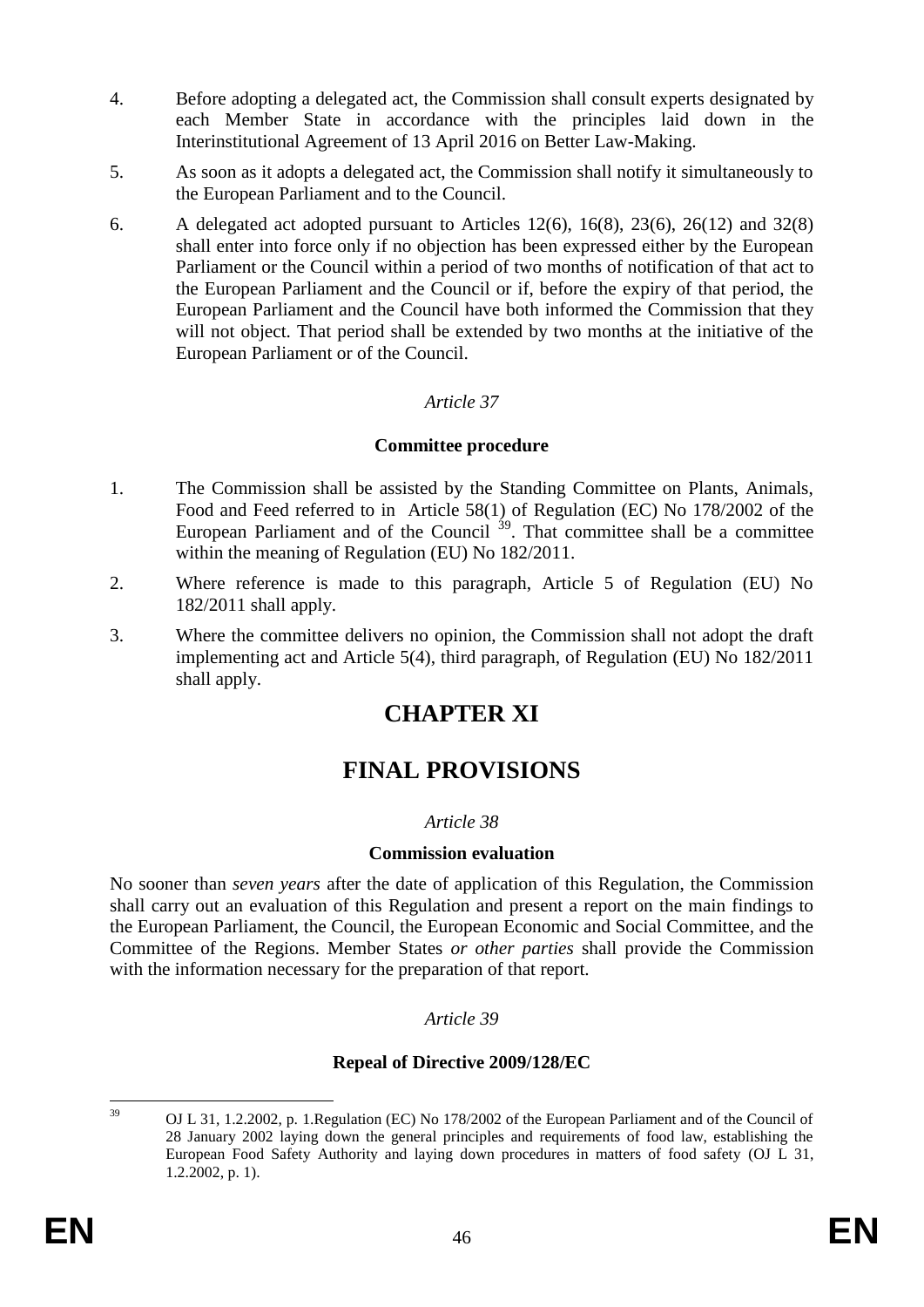- 4. Before adopting a delegated act, the Commission shall consult experts designated by each Member State in accordance with the principles laid down in the Interinstitutional Agreement of 13 April 2016 on Better Law-Making.
- 5. As soon as it adopts a delegated act, the Commission shall notify it simultaneously to the European Parliament and to the Council.
- 6. A delegated act adopted pursuant to Articles 12(6), 16(8), 23(6), 26(12) and 32(8) shall enter into force only if no objection has been expressed either by the European Parliament or the Council within a period of two months of notification of that act to the European Parliament and the Council or if, before the expiry of that period, the European Parliament and the Council have both informed the Commission that they will not object. That period shall be extended by two months at the initiative of the European Parliament or of the Council.

#### **Committee procedure**

- 1. The Commission shall be assisted by the Standing Committee on Plants, Animals, Food and Feed referred to in Article 58(1) of Regulation (EC) No 178/2002 of the European Parliament and of the Council  $39$ . That committee shall be a committee within the meaning of Regulation (EU) No 182/2011.
- 2. Where reference is made to this paragraph, Article 5 of Regulation (EU) No 182/2011 shall apply.
- 3. Where the committee delivers no opinion, the Commission shall not adopt the draft implementing act and Article 5(4), third paragraph, of Regulation (EU) No 182/2011 shall apply.

# **CHAPTER XI**

# **FINAL PROVISIONS**

#### *Article 38*

#### **Commission evaluation**

No sooner than *seven years* after the date of application of this Regulation, the Commission shall carry out an evaluation of this Regulation and present a report on the main findings to the European Parliament, the Council, the European Economic and Social Committee, and the Committee of the Regions. Member States *or other parties* shall provide the Commission with the information necessary for the preparation of that report.

#### *Article 39*

#### **Repeal of Directive 2009/128/EC**

 $39$ <sup>39</sup> OJ L 31, 1.2.2002, p. 1.Regulation (EC) No 178/2002 of the European Parliament and of the Council of 28 January 2002 laying down the general principles and requirements of food law, establishing the European Food Safety Authority and laying down procedures in matters of food safety (OJ L 31, 1.2.2002, p. 1).